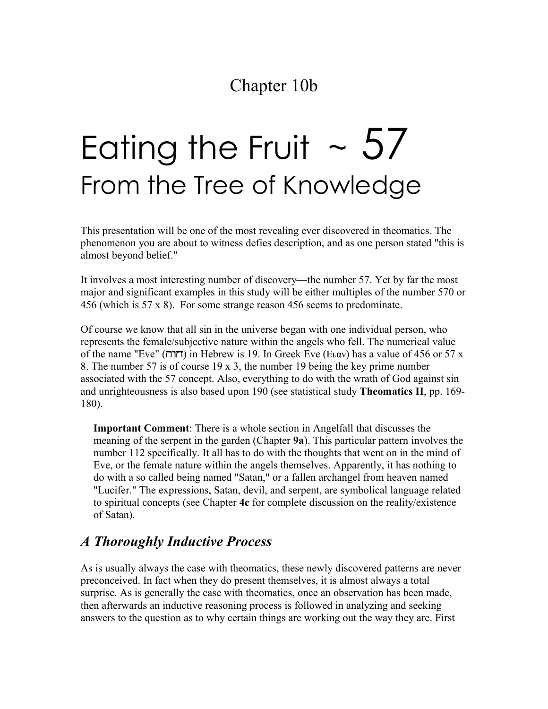# Eating the Fruit  $\sim 57$ From the Tree of Knowledge

This presentation will be one of the most revealing ever discovered in theomatics. The phenomenon you are about to witness defies description, and as one person stated "this is almost beyond belief."

It involves a most interesting number of discovery—the number 57. Yet by far the most major and significant examples in this study will be either multiples of the number 570 or 456 (which is 57 x 8). For some strange reason 456 seems to predominate.

Of course we know that all sin in the universe began with one individual person, who represents the female/subjective nature within the angels who fell. The numerical value of the name "Eve" (חדרה) in Hebrew is 19. In Greek Eve (Evav) has a value of 456 or 57 x 8. The number 57 is of course 19 x 3, the number 19 being the key prime number associated with the 57 concept. Also, everything to do with the wrath of God against sin and unrighteousness is also based upon 190 (see statistical study **Theomatics II**, pp. 169- 180).

**Important Comment**: There is a whole section in Angelfall that discusses the meaning of the serpent in the garden (Chapter **9a**). This particular pattern involves the number 112 specifically. It all has to do with the thoughts that went on in the mind of Eve, or the female nature within the angels themselves. Apparently, it has nothing to do with a so called being named "Satan," or a fallen archangel from heaven named "Lucifer." The expressions, Satan, devil, and serpent, are symbolical language related to spiritual concepts (see Chapter **4c** for complete discussion on the reality/existence of Satan).

#### *A Thoroughly Inductive Process*

As is usually always the case with theomatics, these newly discovered patterns are never preconceived. In fact when they do present themselves, it is almost always a total surprise. As is generally the case with theomatics, once an observation has been made, then afterwards an inductive reasoning process is followed in analyzing and seeking answers to the question as to why certain things are working out the way they are. First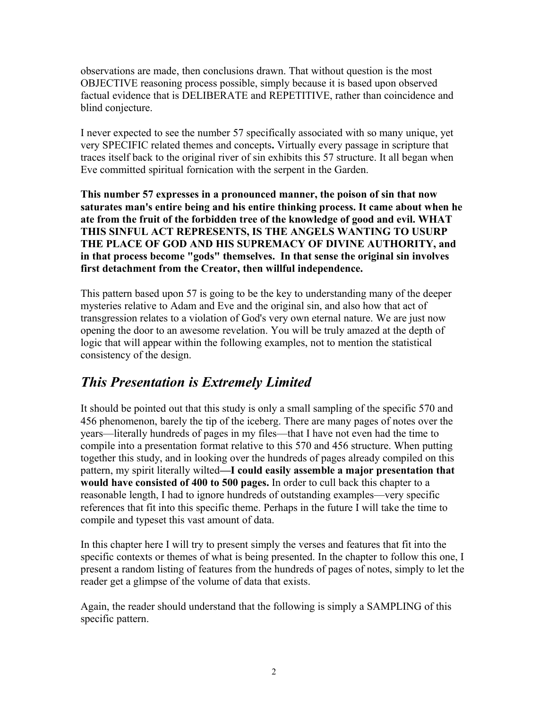observations are made, then conclusions drawn. That without question is the most OBJECTIVE reasoning process possible, simply because it is based upon observed factual evidence that is DELIBERATE and REPETITIVE, rather than coincidence and blind conjecture.

I never expected to see the number 57 specifically associated with so many unique, yet very SPECIFIC related themes and concepts**.** Virtually every passage in scripture that traces itself back to the original river of sin exhibits this 57 structure. It all began when Eve committed spiritual fornication with the serpent in the Garden.

**This number 57 expresses in a pronounced manner, the poison of sin that now saturates man's entire being and his entire thinking process. It came about when he ate from the fruit of the forbidden tree of the knowledge of good and evil. WHAT THIS SINFUL ACT REPRESENTS, IS THE ANGELS WANTING TO USURP THE PLACE OF GOD AND HIS SUPREMACY OF DIVINE AUTHORITY, and in that process become "gods" themselves. In that sense the original sin involves first detachment from the Creator, then willful independence.** 

This pattern based upon 57 is going to be the key to understanding many of the deeper mysteries relative to Adam and Eve and the original sin, and also how that act of transgression relates to a violation of God's very own eternal nature. We are just now opening the door to an awesome revelation. You will be truly amazed at the depth of logic that will appear within the following examples, not to mention the statistical consistency of the design.

#### *This Presentation is Extremely Limited*

It should be pointed out that this study is only a small sampling of the specific 570 and 456 phenomenon, barely the tip of the iceberg. There are many pages of notes over the years—literally hundreds of pages in my files—that I have not even had the time to compile into a presentation format relative to this 570 and 456 structure. When putting together this study, and in looking over the hundreds of pages already compiled on this pattern, my spirit literally wilted**—I could easily assemble a major presentation that would have consisted of 400 to 500 pages.** In order to cull back this chapter to a reasonable length, I had to ignore hundreds of outstanding examples—very specific references that fit into this specific theme. Perhaps in the future I will take the time to compile and typeset this vast amount of data.

In this chapter here I will try to present simply the verses and features that fit into the specific contexts or themes of what is being presented. In the chapter to follow this one, I present a random listing of features from the hundreds of pages of notes, simply to let the reader get a glimpse of the volume of data that exists.

Again, the reader should understand that the following is simply a SAMPLING of this specific pattern.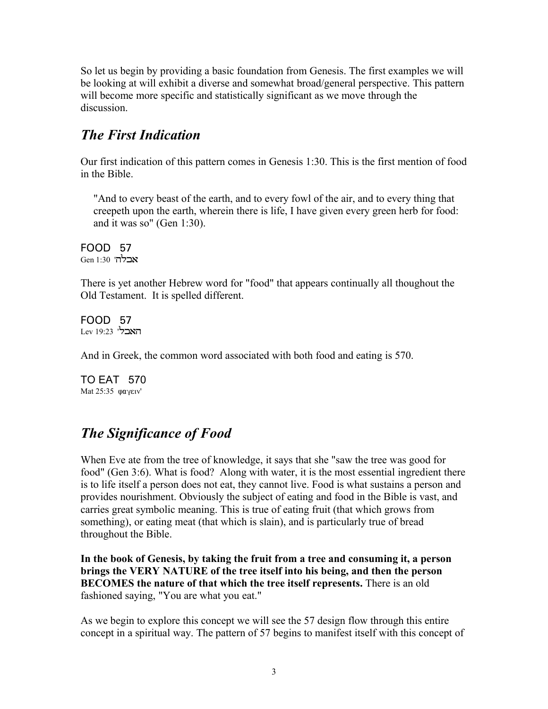So let us begin by providing a basic foundation from Genesis. The first examples we will be looking at will exhibit a diverse and somewhat broad/general perspective. This pattern will become more specific and statistically significant as we move through the discussion.

#### *The First Indication*

Our first indication of this pattern comes in Genesis 1:30. This is the first mention of food in the Bible.

"And to every beast of the earth, and to every fowl of the air, and to every thing that creepeth upon the earth, wherein there is life, I have given every green herb for food: and it was so" (Gen 1:30).

FOOD 57 Gen 1:30 **'הבלה** 

There is yet another Hebrew word for "food" that appears continually all thoughout the Old Testament. It is spelled different.

FOOD 57 Lev 19:23 '**האבל** 

And in Greek, the common word associated with both food and eating is 570.

TO EAT 570 Mat  $25:35$   $\omega$ ay $\epsilon$ iv'

### *The Significance of Food*

When Eve ate from the tree of knowledge, it says that she "saw the tree was good for food" (Gen 3:6). What is food? Along with water, it is the most essential ingredient there is to life itself a person does not eat, they cannot live. Food is what sustains a person and provides nourishment. Obviously the subject of eating and food in the Bible is vast, and carries great symbolic meaning. This is true of eating fruit (that which grows from something), or eating meat (that which is slain), and is particularly true of bread throughout the Bible.

**In the book of Genesis, by taking the fruit from a tree and consuming it, a person brings the VERY NATURE of the tree itself into his being, and then the person BECOMES the nature of that which the tree itself represents.** There is an old fashioned saying, "You are what you eat."

As we begin to explore this concept we will see the 57 design flow through this entire concept in a spiritual way. The pattern of 57 begins to manifest itself with this concept of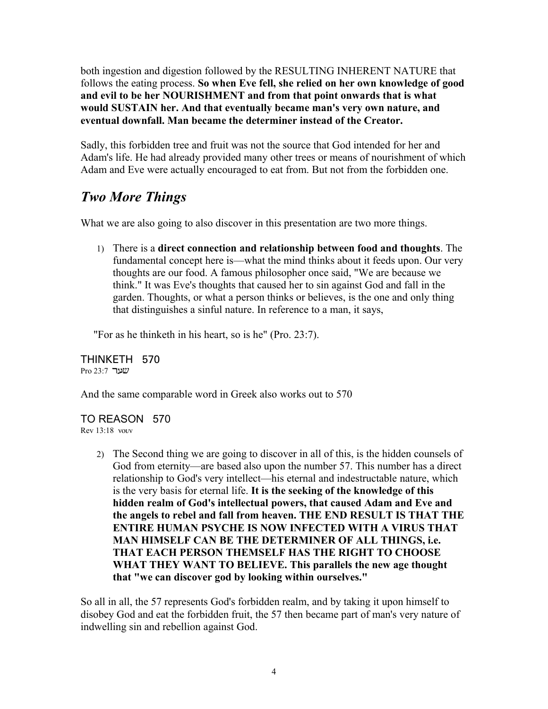both ingestion and digestion followed by the RESULTING INHERENT NATURE that follows the eating process. **So when Eve fell, she relied on her own knowledge of good and evil to be her NOURISHMENT and from that point onwards that is what would SUSTAIN her. And that eventually became man's very own nature, and eventual downfall. Man became the determiner instead of the Creator.**

Sadly, this forbidden tree and fruit was not the source that God intended for her and Adam's life. He had already provided many other trees or means of nourishment of which Adam and Eve were actually encouraged to eat from. But not from the forbidden one.

#### *Two More Things*

What we are also going to also discover in this presentation are two more things.

1) There is a **direct connection and relationship between food and thoughts**. The fundamental concept here is—what the mind thinks about it feeds upon. Our very thoughts are our food. A famous philosopher once said, "We are because we think." It was Eve's thoughts that caused her to sin against God and fall in the garden. Thoughts, or what a person thinks or believes, is the one and only thing that distinguishes a sinful nature. In reference to a man, it says,

"For as he thinketh in his heart, so is he" (Pro. 23:7).

THINKETH 570 Pro 23:7 שער

And the same comparable word in Greek also works out to 570

TO REASON 570  $Rev 13:18$  vouv

> 2) The Second thing we are going to discover in all of this, is the hidden counsels of God from eternity—are based also upon the number 57. This number has a direct relationship to God's very intellect—his eternal and indestructable nature, which is the very basis for eternal life. **It is the seeking of the knowledge of this hidden realm of God's intellectual powers, that caused Adam and Eve and the angels to rebel and fall from heaven. THE END RESULT IS THAT THE ENTIRE HUMAN PSYCHE IS NOW INFECTED WITH A VIRUS THAT MAN HIMSELF CAN BE THE DETERMINER OF ALL THINGS, i.e. THAT EACH PERSON THEMSELF HAS THE RIGHT TO CHOOSE WHAT THEY WANT TO BELIEVE. This parallels the new age thought that "we can discover god by looking within ourselves."**

So all in all, the 57 represents God's forbidden realm, and by taking it upon himself to disobey God and eat the forbidden fruit, the 57 then became part of man's very nature of indwelling sin and rebellion against God.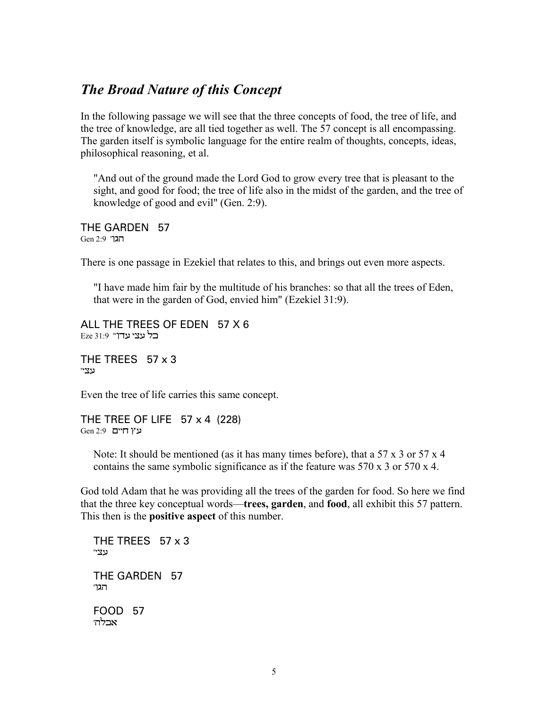#### *The Broad Nature of this Concept*

In the following passage we will see that the three concepts of food, the tree of life, and the tree of knowledge, are all tied together as well. The 57 concept is all encompassing. The garden itself is symbolic language for the entire realm of thoughts, concepts, ideas, philosophical reasoning, et al.

"And out of the ground made the Lord God to grow every tree that is pleasant to the sight, and good for food; the tree of life also in the midst of the garden, and the tree of knowledge of good and evil" (Gen. 2:9).

THE GARDEN 57 Gen 2:9 'הגו

There is one passage in Ezekiel that relates to this, and brings out even more aspects.

"I have made him fair by the multitude of his branches: so that all the trees of Eden, that were in the garden of God, envied him" (Ezekiel 31:9).

ALL THE TREES OF EDEN 57 X 6 Eze 31:9 **Ezr עצי עדו** 

THE TREES 57 x 3 'עצ'

Even the tree of life carries this same concept.

THE TREE OF LIFE  $57 \times 4$  (228) Gen 2:9 פין חיים

Note: It should be mentioned (as it has many times before), that a  $57 \times 3$  or  $57 \times 4$ contains the same symbolic significance as if the feature was 570 x 3 or 570 x 4.

God told Adam that he was providing all the trees of the garden for food. So here we find that the three key conceptual words—**trees, garden**, and **food**, all exhibit this 57 pattern. This then is the **positive aspect** of this number.

THE TREES  $57 \times 3$ 'עצ THE GARDEN 57 'הגן FOOD 57 אבלה'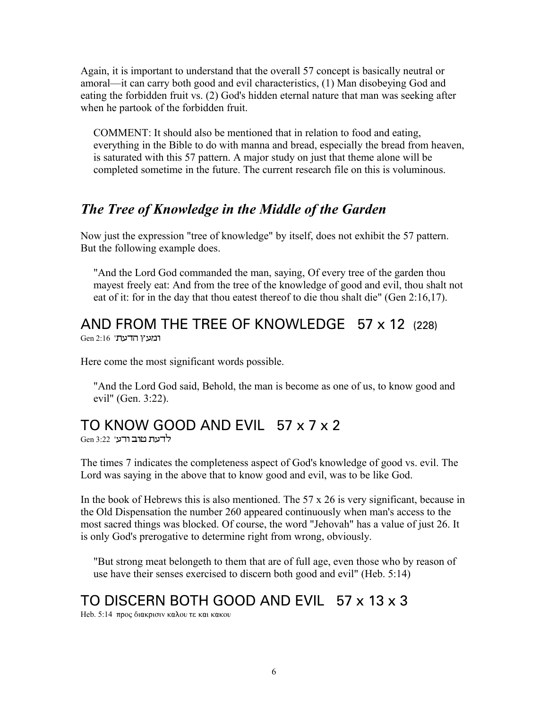Again, it is important to understand that the overall 57 concept is basically neutral or amoral—it can carry both good and evil characteristics, (1) Man disobeying God and eating the forbidden fruit vs. (2) God's hidden eternal nature that man was seeking after when he partook of the forbidden fruit.

COMMENT: It should also be mentioned that in relation to food and eating, everything in the Bible to do with manna and bread, especially the bread from heaven, is saturated with this 57 pattern. A major study on just that theme alone will be completed sometime in the future. The current research file on this is voluminous.

#### *The Tree of Knowledge in the Middle of the Garden*

Now just the expression "tree of knowledge" by itself, does not exhibit the 57 pattern. But the following example does.

"And the Lord God commanded the man, saying, Of every tree of the garden thou mayest freely eat: And from the tree of the knowledge of good and evil, thou shalt not eat of it: for in the day that thou eatest thereof to die thou shalt die" (Gen 2:16,17).

# AND FROM THE TREE OF KNOWLEDGE 57 x 12 (228)

 $Gen$  2:16 'הדעת

Here come the most significant words possible.

"And the Lord God said, Behold, the man is become as one of us, to know good and evil" (Gen. 3:22).

### TO KNOW GOOD AND EVIL 57 x 7 x 2

Gen 3:22 'רעת מוב

The times 7 indicates the completeness aspect of God's knowledge of good vs. evil. The Lord was saying in the above that to know good and evil, was to be like God.

In the book of Hebrews this is also mentioned. The  $57 \times 26$  is very significant, because in the Old Dispensation the number 260 appeared continuously when man's access to the most sacred things was blocked. Of course, the word "Jehovah" has a value of just 26. It is only God's prerogative to determine right from wrong, obviously.

"But strong meat belongeth to them that are of full age, even those who by reason of use have their senses exercised to discern both good and evil" (Heb. 5:14)

### TO DISCERN BOTH GOOD AND EVIL 57 x 13 x 3

Heb.  $5:14$  προς διακρισιν καλου τε και κακου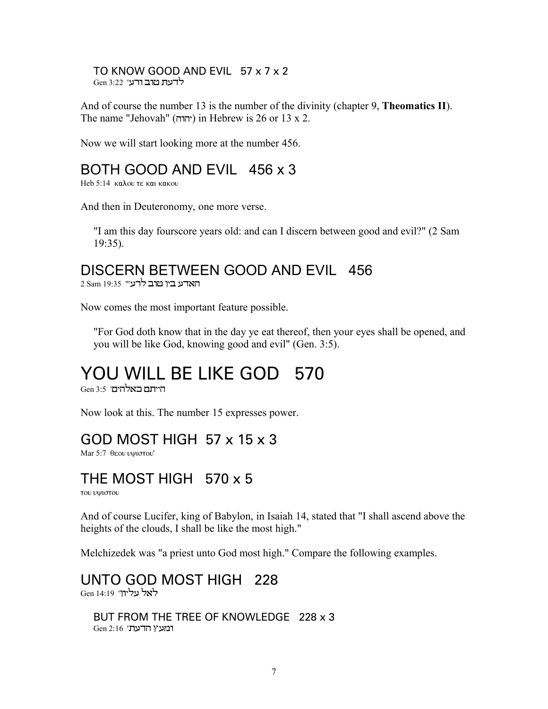TO KNOW GOOD AND EVIL 57 x 7 x 2 ו ה'ת מוב ורע' 13:22 Gen

And of course the number 13 is the number of the divinity (chapter 9, **Theomatics II**). The name "Jehovah" (יהוה) in Hebrew is 26 or 13 x 2.

Now we will start looking more at the number 456.

#### BOTH GOOD AND EVIL 456 x 3

Heb 5:14  $καλου$  τε και κακου

And then in Deuteronomy, one more verse.

"I am this day fourscore years old: and can I discern between good and evil?" (2 Sam 19:35).

#### DISCERN BETWEEN GOOD AND EVIL 456

2 Sam 19:35 "ראדע בין מוב לרע

Now comes the most important feature possible.

"For God doth know that in the day ye eat thereof, then your eyes shall be opened, and you will be like God, knowing good and evil" (Gen. 3:5).

# YOU WILL BE LIKE GOD 570

הייתם באלהים' 3:5 Gen

Now look at this. The number 15 expresses power.

#### GOD MOST HIGH 57 x 15 x 3

Mar 5:7 θεου υψιστου'

#### THE MOST HIGH 570 x 5

του υψιστου

And of course Lucifer, king of Babylon, in Isaiah 14, stated that "I shall ascend above the heights of the clouds, I shall be like the most high."

Melchizedek was "a priest unto God most high." Compare the following examples.

UNTO GOD MOST HIGH 228 Gen 14:19 'לאל עליוו

BUT FROM THE TREE OF KNOWLEDGE 228 x 3  $Gen 2:16$  'האצץ הדעת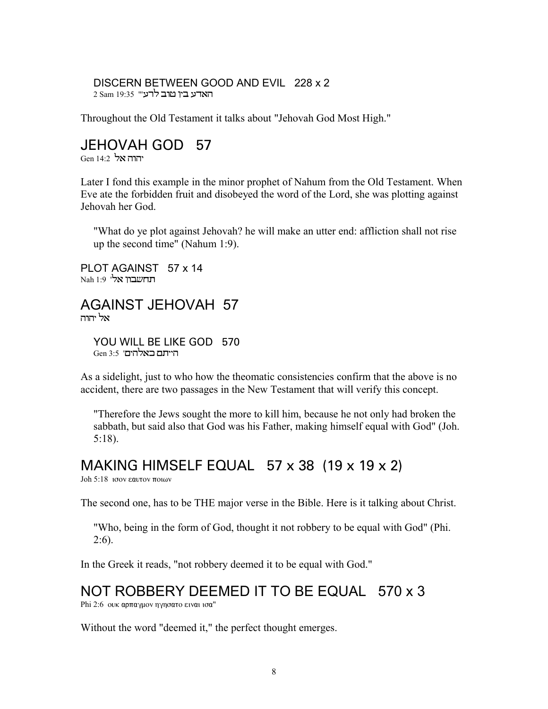#### DISCERN BETWEEN GOOD AND EVIL 228 x 2 2 Sam 19:35 "ראדע ביו מוב לרע

Throughout the Old Testament it talks about "Jehovah God Most High."

#### JEHOVAH GOD 57

יהוה אל Gen 14:2

Later I fond this example in the minor prophet of Nahum from the Old Testament. When Eve ate the forbidden fruit and disobeyed the word of the Lord, she was plotting against Jehovah her God.

"What do ye plot against Jehovah? he will make an utter end: affliction shall not rise up the second time" (Nahum 1:9).

PLOT AGAINST 57 x 14 Nah 1:9 **'תחשבוו אל** 

AGAINST JEHOVAH 57 אל יהוה

YOU WILL BE LIKE GOD 570 הייתם באלהים' 3:5 Gen

As a sidelight, just to who how the theomatic consistencies confirm that the above is no accident, there are two passages in the New Testament that will verify this concept.

"Therefore the Jews sought the more to kill him, because he not only had broken the sabbath, but said also that God was his Father, making himself equal with God" (Joh. 5:18).

#### MAKING HIMSELF EQUAL 57 x 38 (19 x 19 x 2)

Joh 5:18  $1000$  εαυτον ποιων

The second one, has to be THE major verse in the Bible. Here is it talking about Christ.

"Who, being in the form of God, thought it not robbery to be equal with God" (Phi.  $2:6$ ).

In the Greek it reads, "not robbery deemed it to be equal with God."

### NOT ROBBERY DEEMED IT TO BE EQUAL 570 x 3

Phi 2:6 ουκ αρπαγμον ηγησατο ειναι ισα"

Without the word "deemed it," the perfect thought emerges.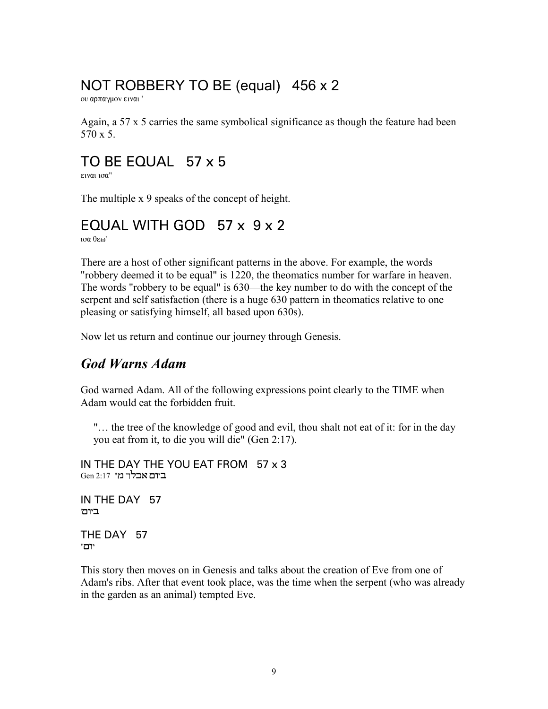### NOT ROBBERY TO BE (equal) 456 x 2

ου αρπαγμον ειναι '

Again, a 57 x 5 carries the same symbolical significance as though the feature had been 570 x 5.

### TO BE EQUAL 57 x 5

ειναι ισα"

The multiple x 9 speaks of the concept of height.

### EQUAL WITH GOD 57 x 9 x 2

 $100 \text{e}$ 

There are a host of other significant patterns in the above. For example, the words "robbery deemed it to be equal" is 1220, the theomatics number for warfare in heaven. The words "robbery to be equal" is 630—the key number to do with the concept of the serpent and self satisfaction (there is a huge 630 pattern in theomatics relative to one pleasing or satisfying himself, all based upon 630s).

Now let us return and continue our journey through Genesis.

#### *God Warns Adam*

God warned Adam. All of the following expressions point clearly to the TIME when Adam would eat the forbidden fruit.

"… the tree of the knowledge of good and evil, thou shalt not eat of it: for in the day you eat from it, to die you will die" (Gen 2:17).

IN THE DAY THE YOU EAT FROM 57 x 3 Gen 2:17 "האבלר מ

IN THE DAY 57 ביום'

THE DAY 57 ''Æ…‰

This story then moves on in Genesis and talks about the creation of Eve from one of Adam's ribs. After that event took place, was the time when the serpent (who was already in the garden as an animal) tempted Eve.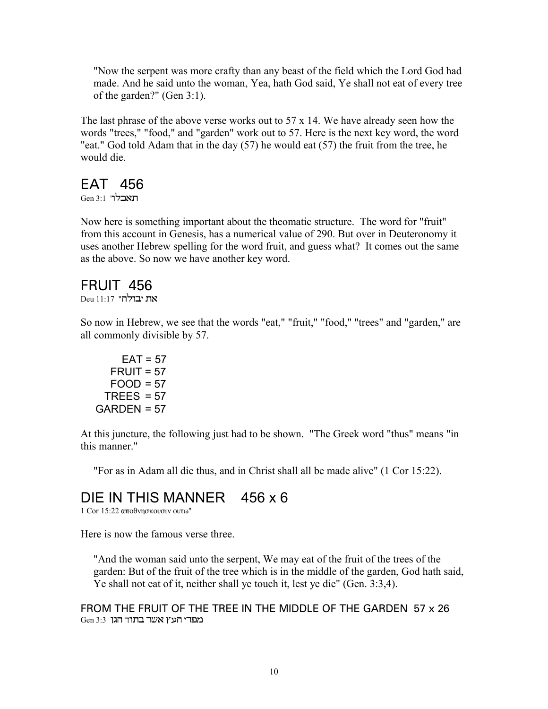"Now the serpent was more crafty than any beast of the field which the Lord God had made. And he said unto the woman, Yea, hath God said, Ye shall not eat of every tree of the garden?" (Gen 3:1).

The last phrase of the above verse works out to 57 x 14. We have already seen how the words "trees," "food," and "garden" work out to 57. Here is the next key word, the word "eat." God told Adam that in the day (57) he would eat (57) the fruit from the tree, he would die.

#### EAT 456

Gen 3:1 תאבלו

Now here is something important about the theomatic structure. The word for "fruit" from this account in Genesis, has a numerical value of 290. But over in Deuteronomy it uses another Hebrew spelling for the word fruit, and guess what? It comes out the same as the above. So now we have another key word.

### FRUIT 456

Deu 11:17 **"בולה** 

So now in Hebrew, we see that the words "eat," "fruit," "food," "trees" and "garden," are all commonly divisible by 57.

 $EAT = 57$  $FRUIT = 57$  $FOOD = 57$ TREES  $= 57$  $GARDEN = 57$ 

At this juncture, the following just had to be shown. "The Greek word "thus" means "in this manner."

"For as in Adam all die thus, and in Christ shall all be made alive" (1 Cor 15:22).

### DIE IN THIS MANNER 456 x 6

 $1$  Cor  $15:22$  αποθνησκουσιν ουτω"

Here is now the famous verse three.

"And the woman said unto the serpent, We may eat of the fruit of the trees of the garden: But of the fruit of the tree which is in the middle of the garden, God hath said, Ye shall not eat of it, neither shall ye touch it, lest ye die" (Gen. 3:3,4).

FROM THE FRUIT OF THE TREE IN THE MIDDLE OF THE GARDEN 57 x 26 Gen 3:3 מפרי העץ אשר בתוך הגן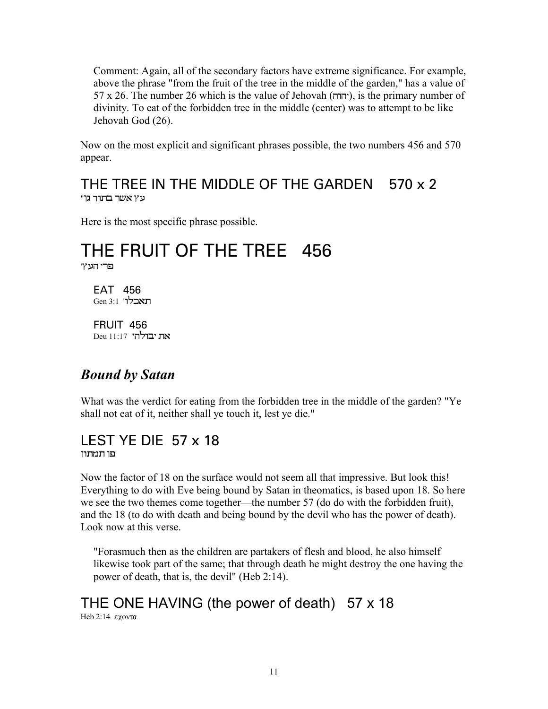Comment: Again, all of the secondary factors have extreme significance. For example, above the phrase "from the fruit of the tree in the middle of the garden," has a value of  $57 \times 26$ . The number 26 which is the value of Jehovah (יהוה), is the primary number of divinity. To eat of the forbidden tree in the middle (center) was to attempt to be like Jehovah God (26).

Now on the most explicit and significant phrases possible, the two numbers 456 and 570 appear.

#### THE TREE IN THE MIDDLE OF THE GARDEN 570 x 2 "נאשר בתוד גו

Here is the most specific phrase possible.

#### THE FRUIT OF THE TREE 456 '**פר**י העץ

EAT 456 Gen 3:1 'תאבלר

FRUIT 456 Deu 11:17 **"בולה** 

#### *Bound by Satan*

What was the verdict for eating from the forbidden tree in the middle of the garden? "Ye shall not eat of it, neither shall ye touch it, lest ye die."

# LEST YE DIE 57 x 18

פו תמתוו

Now the factor of 18 on the surface would not seem all that impressive. But look this! Everything to do with Eve being bound by Satan in theomatics, is based upon 18. So here we see the two themes come together—the number 57 (do do with the forbidden fruit), and the 18 (to do with death and being bound by the devil who has the power of death). Look now at this verse.

"Forasmuch then as the children are partakers of flesh and blood, he also himself likewise took part of the same; that through death he might destroy the one having the power of death, that is, the devil" (Heb 2:14).

#### THE ONE HAVING (the power of death) 57 x 18 Heb 2:14 εχοντα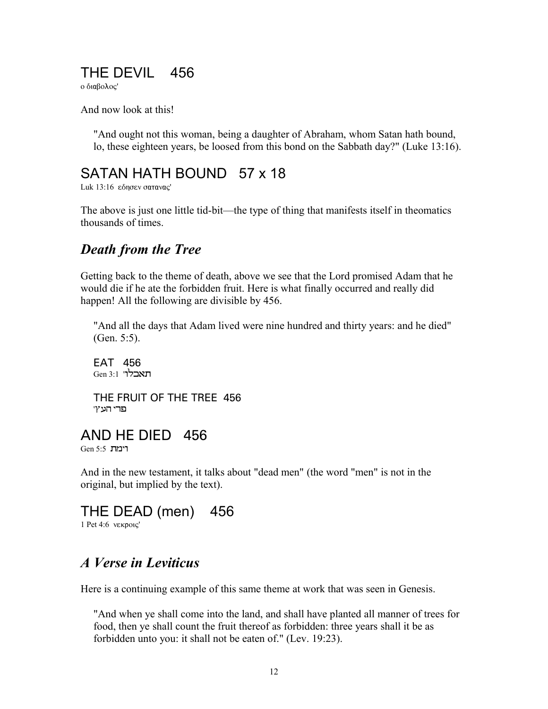### THE DEVIL 456

ο διαβολος'

And now look at this!

"And ought not this woman, being a daughter of Abraham, whom Satan hath bound, lo, these eighteen years, be loosed from this bond on the Sabbath day?" (Luke 13:16).

#### SATAN HATH BOUND 57 x 18

Luk 13:16 εδησεν σατανας'

The above is just one little tid-bit—the type of thing that manifests itself in theomatics thousands of times.

#### *Death from the Tree*

Getting back to the theme of death, above we see that the Lord promised Adam that he would die if he ate the forbidden fruit. Here is what finally occurred and really did happen! All the following are divisible by 456.

"And all the days that Adam lived were nine hundred and thirty years: and he died" (Gen. 5:5).

EAT 456 Gen 3:1 'תאבלר

THE FRUIT OF THE TREE 456 'פרי העץ

### AND HE DIED 456

Gen 5:5  $\overline{J}$ רימת

And in the new testament, it talks about "dead men" (the word "men" is not in the original, but implied by the text).

THE DEAD (men) 456

 $1$  Pet  $4:6$  v $\epsilon$ кро $\epsilon'$ 

#### *A Verse in Leviticus*

Here is a continuing example of this same theme at work that was seen in Genesis.

"And when ye shall come into the land, and shall have planted all manner of trees for food, then ye shall count the fruit thereof as forbidden: three years shall it be as forbidden unto you: it shall not be eaten of." (Lev. 19:23).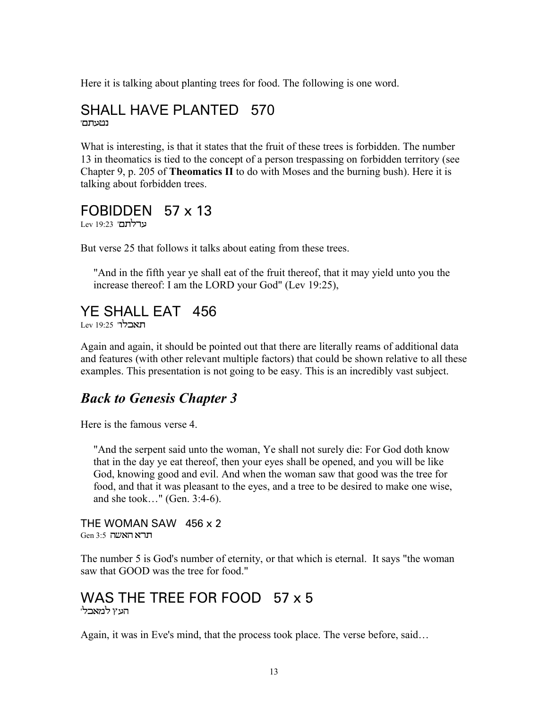Here it is talking about planting trees for food. The following is one word.

#### SHALL HAVE PLANTED 570 נטעתם<sup>'</sup>

What is interesting, is that it states that the fruit of these trees is forbidden. The number 13 in theomatics is tied to the concept of a person trespassing on forbidden territory (see Chapter 9, p. 205 of **Theomatics II** to do with Moses and the burning bush). Here it is talking about forbidden trees.

#### FOBIDDEN 57 x 13

Lev 19:23 **'ערלתם** 

But verse 25 that follows it talks about eating from these trees.

"And in the fifth year ye shall eat of the fruit thereof, that it may yield unto you the increase thereof: I am the LORD your God" (Lev 19:25),

#### YE SHALL EAT 456

Lev 19:25 '**הארלו** 

Again and again, it should be pointed out that there are literally reams of additional data and features (with other relevant multiple factors) that could be shown relative to all these examples. This presentation is not going to be easy. This is an incredibly vast subject.

#### *Back to Genesis Chapter 3*

Here is the famous verse 4.

"And the serpent said unto the woman, Ye shall not surely die: For God doth know that in the day ye eat thereof, then your eyes shall be opened, and you will be like God, knowing good and evil. And when the woman saw that good was the tree for food, and that it was pleasant to the eyes, and a tree to be desired to make one wise, and she took…" (Gen. 3:4-6).

#### THE WOMAN SAW 456 x 2  $Gen$ 3:5 תרא האשה

The number 5 is God's number of eternity, or that which is eternal. It says "the woman saw that GOOD was the tree for food."

#### WAS THE TREE FOR FOOD 57 x 5 העץ למאבלי

Again, it was in Eve's mind, that the process took place. The verse before, said…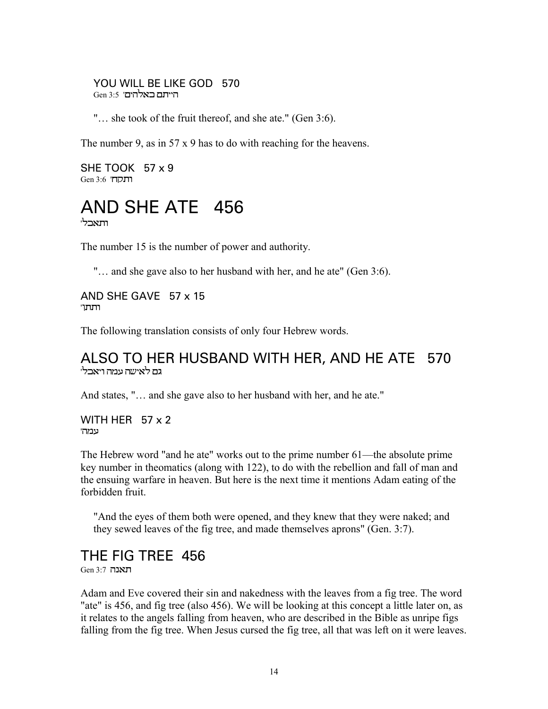YOU WILL BE LIKE GOD 570 הייתם כאלהים' 3:5 Gen

"… she took of the fruit thereof, and she ate." (Gen 3:6).

The number 9, as in 57 x 9 has to do with reaching for the heavens.

SHE TOOK 57 x 9 Gen 3:6 **'הנקה'** 



The number 15 is the number of power and authority.

"... and she gave also to her husband with her, and he ate" (Gen 3:6).

AND SHE GAVE 57 x 15 'תתו

The following translation consists of only four Hebrew words.

#### ALSO TO HER HUSBAND WITH HER, AND HE ATE 570 גם לאישה עמה ויאבל<sup>,</sup>

And states, "… and she gave also to her husband with her, and he ate."

WITH HER 57 x 2 'נימה

The Hebrew word "and he ate" works out to the prime number 61—the absolute prime key number in theomatics (along with 122), to do with the rebellion and fall of man and the ensuing warfare in heaven. But here is the next time it mentions Adam eating of the forbidden fruit.

"And the eyes of them both were opened, and they knew that they were naked; and they sewed leaves of the fig tree, and made themselves aprons" (Gen. 3:7).

### THE FIG TREE 456

Gen 3:7 תאנה

Adam and Eve covered their sin and nakedness with the leaves from a fig tree. The word "ate" is 456, and fig tree (also 456). We will be looking at this concept a little later on, as it relates to the angels falling from heaven, who are described in the Bible as unripe figs falling from the fig tree. When Jesus cursed the fig tree, all that was left on it were leaves.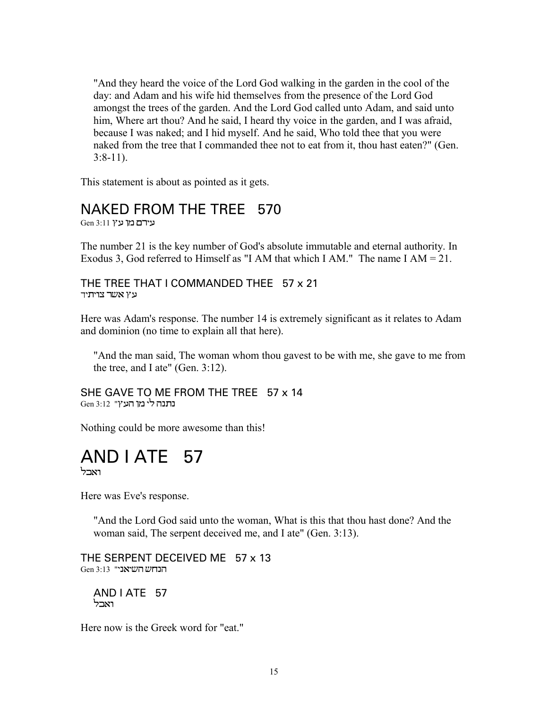"And they heard the voice of the Lord God walking in the garden in the cool of the day: and Adam and his wife hid themselves from the presence of the Lord God amongst the trees of the garden. And the Lord God called unto Adam, and said unto him, Where art thou? And he said, I heard thy voice in the garden, and I was afraid, because I was naked; and I hid myself. And he said, Who told thee that you were naked from the tree that I commanded thee not to eat from it, thou hast eaten?" (Gen.  $3:8-11$ ).

This statement is about as pointed as it gets.

#### NAKED FROM THE TREE 570

 $Gen$ 3:11 עירם מן ע

The number 21 is the key number of God's absolute immutable and eternal authority. In Exodus 3, God referred to Himself as "I AM that which I AM." The name I AM =  $21$ .

#### THE TREE THAT I COMMANDED THEE 57 x 21 עץ *אשר* צויתיד

Here was Adam's response. The number 14 is extremely significant as it relates to Adam and dominion (no time to explain all that here).

"And the man said, The woman whom thou gavest to be with me, she gave to me from the tree, and I ate" (Gen. 3:12).

#### SHE GAVE TO ME FROM THE TREE 57 x 14 נתנה לי מו העץ" 12:3

Nothing could be more awesome than this!

#### AND I ATE 57 ואכל

Here was Eve's response.

"And the Lord God said unto the woman, What is this that thou hast done? And the woman said, The serpent deceived me, and I ate" (Gen. 3:13).

THE SERPENT DECEIVED ME 57 x 13  $Gen 3:13$  "הנחש השיאני

AND I ATE 57 וארל

Here now is the Greek word for "eat."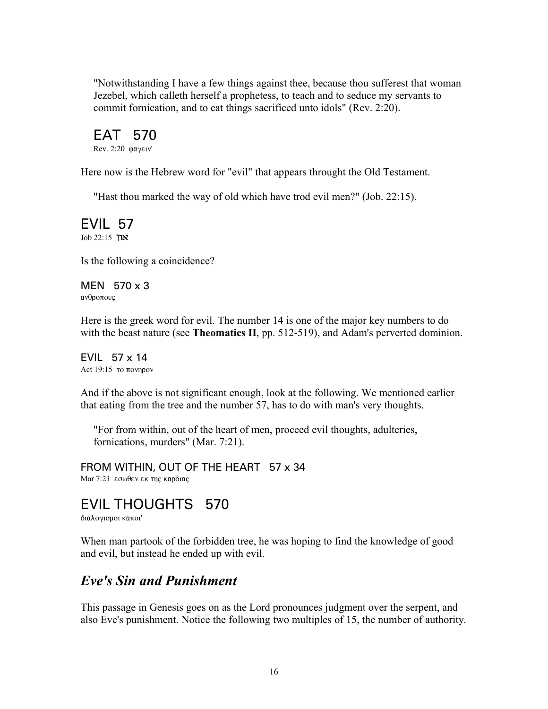"Notwithstanding I have a few things against thee, because thou sufferest that woman Jezebel, which calleth herself a prophetess, to teach and to seduce my servants to commit fornication, and to eat things sacrificed unto idols" (Rev. 2:20).

EAT 570 Rev. 2:20 φαγειν'

Here now is the Hebrew word for "evil" that appears throught the Old Testament.

"Hast thou marked the way of old which have trod evil men?" (Job. 22:15).

EVIL 57 Job 22:15 **און** 

Is the following a coincidence?

MEN 570 x 3 ανθροπους

Here is the greek word for evil. The number 14 is one of the major key numbers to do with the beast nature (see **Theomatics II**, pp. 512-519), and Adam's perverted dominion.

EVIL 57 x 14 Act  $19:15$  to  $\pi$ ovnpov

And if the above is not significant enough, look at the following. We mentioned earlier that eating from the tree and the number 57, has to do with man's very thoughts.

"For from within, out of the heart of men, proceed evil thoughts, adulteries, fornications, murders" (Mar. 7:21).

FROM WITHIN, OUT OF THE HEART 57 x 34 Mar 7:21 εσωθεν εκ της καρδιας

#### EVIL THOUGHTS 570

διαλογισμοι κακοι'

When man partook of the forbidden tree, he was hoping to find the knowledge of good and evil, but instead he ended up with evil.

#### *Eve's Sin and Punishment*

This passage in Genesis goes on as the Lord pronounces judgment over the serpent, and also Eve's punishment. Notice the following two multiples of 15, the number of authority.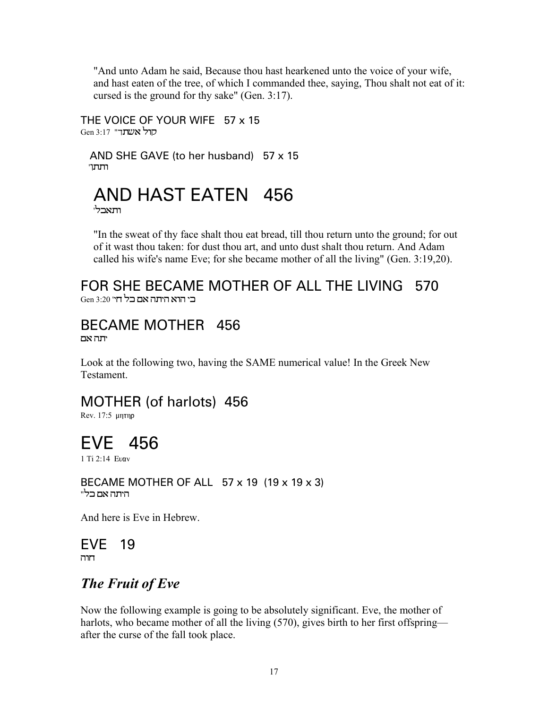"And unto Adam he said, Because thou hast hearkened unto the voice of your wife, and hast eaten of the tree, of which I commanded thee, saying, Thou shalt not eat of it: cursed is the ground for thy sake" (Gen. 3:17).

THE VOICE OF YOUR WIFE 57 x 15 Gen 3:17 "הול אשתך

 AND SHE GAVE (to her husband) 57 x 15  $T$ רתתו

# AND HAST EATEN 456

ותאכלי

"In the sweat of thy face shalt thou eat bread, till thou return unto the ground; for out of it wast thou taken: for dust thou art, and unto dust shalt thou return. And Adam called his wife's name Eve; for she became mother of all the living" (Gen. 3:19,20).

#### FOR SHE BECAME MOTHER OF ALL THE LIVING 570  $\rm{Gen}$  3:20 בי הוא היתה אם כל חי

#### BECAME MOTHER 456 יתה אם

Look at the following two, having the SAME numerical value! In the Greek New **Testament** 

### MOTHER (of harlots) 456

Rev. 17:5 µnTnp

# EVE 456

1 Ti 2:14 Evav

BECAME MOTHER OF ALL 57 x 19 (19 x 19 x 3) היתה אם בל"

And here is Eve in Hebrew.

#### EVE 19 חוה

### *The Fruit of Eve*

Now the following example is going to be absolutely significant. Eve, the mother of harlots, who became mother of all the living (570), gives birth to her first offspring after the curse of the fall took place.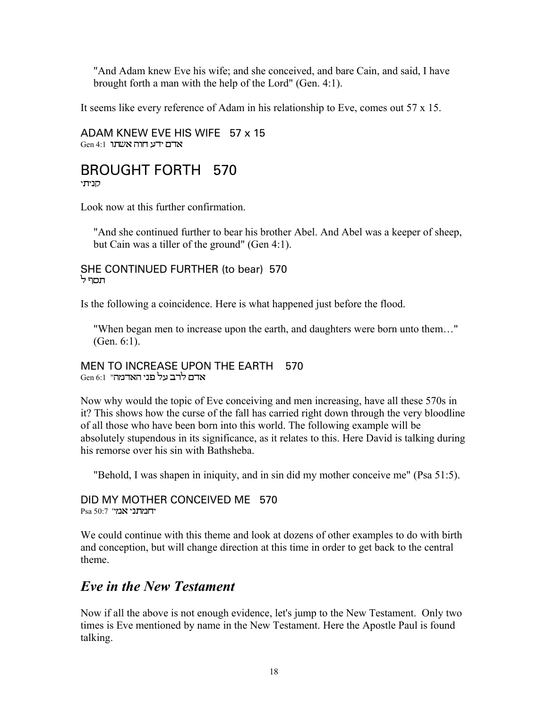"And Adam knew Eve his wife; and she conceived, and bare Cain, and said, I have brought forth a man with the help of the Lord" (Gen. 4:1).

It seems like every reference of Adam in his relationship to Eve, comes out 57 x 15.

ADAM KNEW EVE HIS WIFE 57 x 15  $Gen 4:1$  אדם ידע חוה אשתו

#### BROUGHT FORTH 570 יתי

Look now at this further confirmation.

"And she continued further to bear his brother Abel. And Abel was a keeper of sheep, but Cain was a tiller of the ground" (Gen 4:1).

SHE CONTINUED FURTHER (to bear) 570 'תסף ל

Is the following a coincidence. Here is what happened just before the flood.

"When began men to increase upon the earth, and daughters were born unto them…" (Gen. 6:1).

#### MEN TO INCREASE UPON THE EARTH 570 Gen 6:1 "אדם לרב על פני האדמה

Now why would the topic of Eve conceiving and men increasing, have all these 570s in it? This shows how the curse of the fall has carried right down through the very bloodline of all those who have been born into this world. The following example will be absolutely stupendous in its significance, as it relates to this. Here David is talking during his remorse over his sin with Bathsheba.

"Behold, I was shapen in iniquity, and in sin did my mother conceive me" (Psa 51:5).

DID MY MOTHER CONCEIVED ME 570 Psa 50:7 'תמתני

We could continue with this theme and look at dozens of other examples to do with birth and conception, but will change direction at this time in order to get back to the central theme.

#### *Eve in the New Testament*

Now if all the above is not enough evidence, let's jump to the New Testament. Only two times is Eve mentioned by name in the New Testament. Here the Apostle Paul is found talking.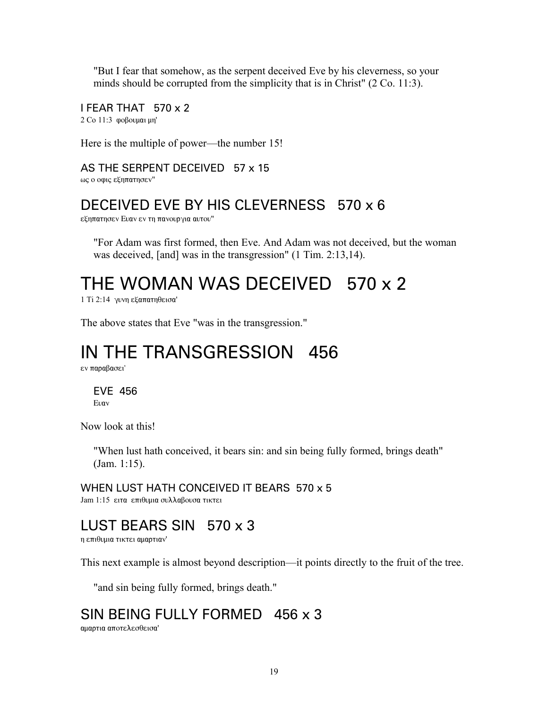"But I fear that somehow, as the serpent deceived Eve by his cleverness, so your minds should be corrupted from the simplicity that is in Christ" (2 Co. 11:3).

I FEAR THAT 570 x 2  $2$  Co  $11:3$  goßovuat un'

Here is the multiple of power—the number 15!

AS THE SERPENT DECEIVED 57 x 15

ως ο οφις εξηπατησεν"

#### DECEIVED EVE BY HIS CLEVERNESS 570 x 6

εξηπατησεν Ευαν εν τη πανουργια αυτου"

"For Adam was first formed, then Eve. And Adam was not deceived, but the woman was deceived, [and] was in the transgression" (1 Tim. 2:13,14).

# THE WOMAN WAS DECEIVED 570 x 2

 $1$  Ti 2:14  $\gamma$ υνη εξαπατηθεισα'

The above states that Eve "was in the transgression."

# IN THE TRANSGRESSION 456

εν παραβασει'

EVE 456 Evay

Now look at this!

"When lust hath conceived, it bears sin: and sin being fully formed, brings death" (Jam. 1:15).

WHEN LUST HATH CONCEIVED IT BEARS 570 x 5 Jam 1:15 ειτα επιθυμια συλλαβουσα τικτει

### LUST BEARS SIN 570 x 3

η επιθυμια τικτει αμαρτιαν'

This next example is almost beyond description—it points directly to the fruit of the tree.

"and sin being fully formed, brings death."

### SIN BEING FULLY FORMED 456 x 3

αμαρτια αποτελεσθεισα'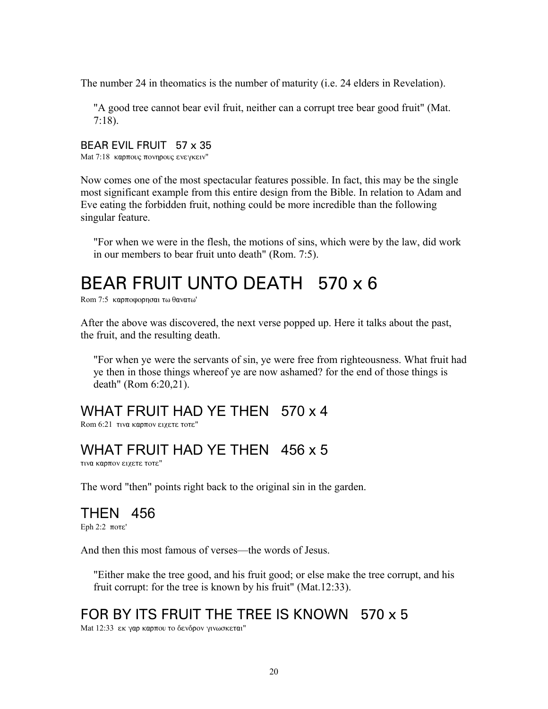The number 24 in theomatics is the number of maturity (i.e. 24 elders in Revelation).

"A good tree cannot bear evil fruit, neither can a corrupt tree bear good fruit" (Mat. 7:18).

#### BEAR EVIL FRUIT 57 x 35

Mat 7:18 καρπους πονηρους ενεγκειν"

Now comes one of the most spectacular features possible. In fact, this may be the single most significant example from this entire design from the Bible. In relation to Adam and Eve eating the forbidden fruit, nothing could be more incredible than the following singular feature.

"For when we were in the flesh, the motions of sins, which were by the law, did work in our members to bear fruit unto death" (Rom. 7:5).

# BEAR FRUIT UNTO DEATH 570 x 6

Rom 7:5 καρποφορησαι τω θανατω'

After the above was discovered, the next verse popped up. Here it talks about the past, the fruit, and the resulting death.

"For when ye were the servants of sin, ye were free from righteousness. What fruit had ye then in those things whereof ye are now ashamed? for the end of those things is death" (Rom 6:20,21).

#### WHAT FRUIT HAD YE THEN 570 x 4

 $R$ om 6:21  $\tau$ iva kao $\pi$ ov εixete  $\tau$ ote"

#### WHAT FRUIT HAD YE THEN 456 x 5

τινα καρπον ειχετε τοτε"

The word "then" points right back to the original sin in the garden.

### THEN 456

Eph  $2:2$   $\pi$ o $\tau$  $\varepsilon$ '

And then this most famous of verses—the words of Jesus.

"Either make the tree good, and his fruit good; or else make the tree corrupt, and his fruit corrupt: for the tree is known by his fruit" (Mat.12:33).

### FOR BY ITS FRUIT THE TREE IS KNOWN 570 x 5

Mat 12:33 εκ γαρ καρπου το δενδρον γινωσκεται"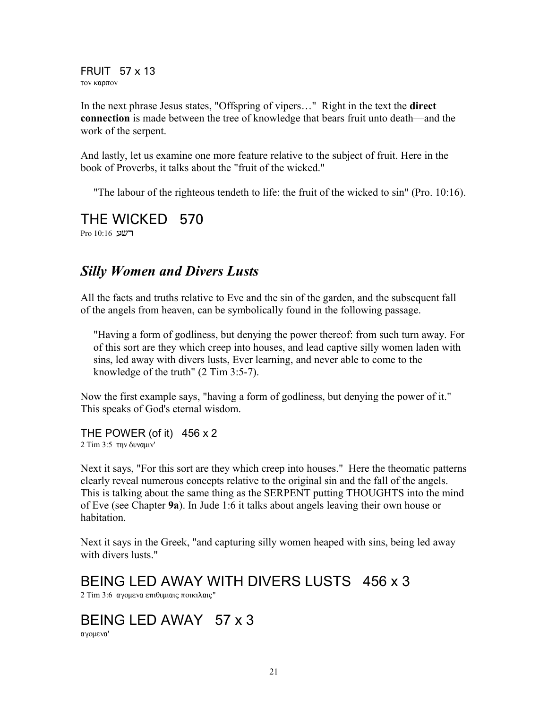FRUIT 57 x 13 τον καρπον

In the next phrase Jesus states, "Offspring of vipers…" Right in the text the **direct connection** is made between the tree of knowledge that bears fruit unto death—and the work of the serpent.

And lastly, let us examine one more feature relative to the subject of fruit. Here in the book of Proverbs, it talks about the "fruit of the wicked."

"The labour of the righteous tendeth to life: the fruit of the wicked to sin" (Pro. 10:16).

### THE WICKED 570

Pro 10:16 **רשע** 

#### *Silly Women and Divers Lusts*

All the facts and truths relative to Eve and the sin of the garden, and the subsequent fall of the angels from heaven, can be symbolically found in the following passage.

"Having a form of godliness, but denying the power thereof: from such turn away. For of this sort are they which creep into houses, and lead captive silly women laden with sins, led away with divers lusts, Ever learning, and never able to come to the knowledge of the truth" (2 Tim 3:5-7).

Now the first example says, "having a form of godliness, but denying the power of it." This speaks of God's eternal wisdom.

THE POWER (of it) 456 x 2 2 Tim 3:5 την δυναμιν'

Next it says, "For this sort are they which creep into houses." Here the theomatic patterns clearly reveal numerous concepts relative to the original sin and the fall of the angels. This is talking about the same thing as the SERPENT putting THOUGHTS into the mind of Eve (see Chapter **9a**). In Jude 1:6 it talks about angels leaving their own house or habitation.

Next it says in the Greek, "and capturing silly women heaped with sins, being led away with divers lusts."

BEING LED AWAY WITH DIVERS LUSTS 456 x 3

2 Tim 3:6 αγομενα επιθυμιαις ποικιλαις"

### BEING LED AWAY 57 x 3

αγομενα'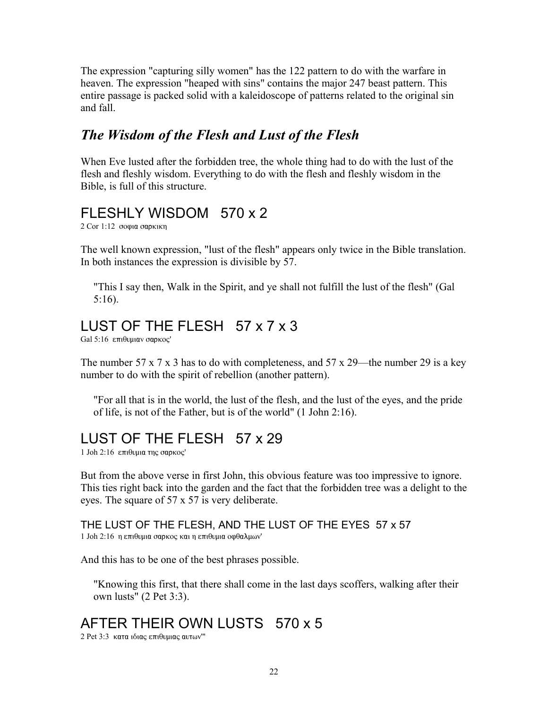The expression "capturing silly women" has the 122 pattern to do with the warfare in heaven. The expression "heaped with sins" contains the major 247 beast pattern. This entire passage is packed solid with a kaleidoscope of patterns related to the original sin and fall.

#### *The Wisdom of the Flesh and Lust of the Flesh*

When Eve lusted after the forbidden tree, the whole thing had to do with the lust of the flesh and fleshly wisdom. Everything to do with the flesh and fleshly wisdom in the Bible, is full of this structure.

### FLESHLY WISDOM 570 x 2

 $2$  Cor 1:12 σοφια σαρκικη

The well known expression, "lust of the flesh" appears only twice in the Bible translation. In both instances the expression is divisible by 57.

"This I say then, Walk in the Spirit, and ye shall not fulfill the lust of the flesh" (Gal 5:16).

### LUST OF THE FLESH 57 x 7 x 3

 $Gal 5:16$  επιθυμιαν σαρκος'

The number 57 x 7 x 3 has to do with completeness, and 57 x 29—the number 29 is a key number to do with the spirit of rebellion (another pattern).

"For all that is in the world, the lust of the flesh, and the lust of the eyes, and the pride of life, is not of the Father, but is of the world" (1 John 2:16).

# LUST OF THE FLESH 57 x 29

 $1$  Joh 2:16 επιθυμια της σαρκος'

But from the above verse in first John, this obvious feature was too impressive to ignore. This ties right back into the garden and the fact that the forbidden tree was a delight to the eyes. The square of 57 x 57 is very deliberate.

THE LUST OF THE FLESH, AND THE LUST OF THE EYES 57 x 57 1 Joh 2:16 η επιθυμια σαρκος και η επιθυμια οφθαλμων'

And this has to be one of the best phrases possible.

"Knowing this first, that there shall come in the last days scoffers, walking after their own lusts" (2 Pet 3:3).

### AFTER THEIR OWN LUSTS 570 x 5

2 Pet 3:3 κατα ιδιας επιθυμιας αυτων"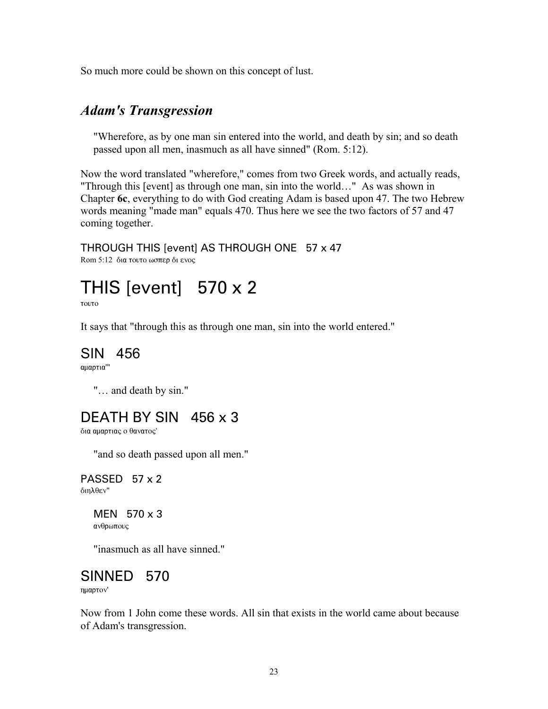So much more could be shown on this concept of lust.

#### *Adam's Transgression*

"Wherefore, as by one man sin entered into the world, and death by sin; and so death passed upon all men, inasmuch as all have sinned" (Rom. 5:12).

Now the word translated "wherefore," comes from two Greek words, and actually reads, "Through this [event] as through one man, sin into the world…" As was shown in Chapter **6c**, everything to do with God creating Adam is based upon 47. The two Hebrew words meaning "made man" equals 470. Thus here we see the two factors of 57 and 47 coming together.

## THROUGH THIS [event] AS THROUGH ONE 57 x 47

Rom 5:12 δια τουτο ωσπερ δι ενος

# THIS [event] 570 x 2

**TOUTO** 

It says that "through this as through one man, sin into the world entered."

#### SIN 456

αμαρτια'"

"… and death by sin."

### DEATH BY SIN 456 x 3

δια αμαρτιας ο θανατος'

"and so death passed upon all men."

PASSED 57 x 2 διηλθεν"

#### MEN 570 x 3

ανθρωπους

"inasmuch as all have sinned."

#### SINNED 570

ημαρτον'

Now from 1 John come these words. All sin that exists in the world came about because of Adam's transgression.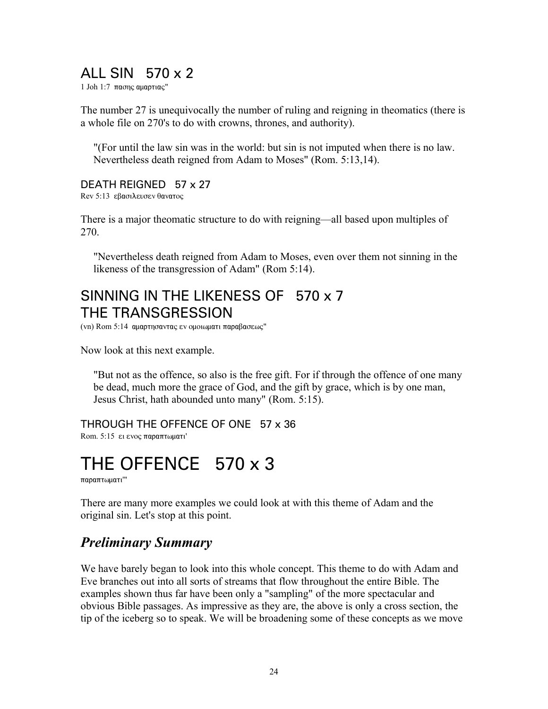### ALL SIN 570 x 2

1 Joh 1:7 πασης αμαρτιας"

The number 27 is unequivocally the number of ruling and reigning in theomatics (there is a whole file on 270's to do with crowns, thrones, and authority).

"(For until the law sin was in the world: but sin is not imputed when there is no law. Nevertheless death reigned from Adam to Moses" (Rom. 5:13,14).

#### DEATH REIGNED 57 x 27

Rev 5:13 εβασιλευσεν θανατος

There is a major theomatic structure to do with reigning—all based upon multiples of 270.

"Nevertheless death reigned from Adam to Moses, even over them not sinning in the likeness of the transgression of Adam" (Rom 5:14).

### SINNING IN THE LIKENESS OF 570 x 7 THE TRANSGRESSION

(vn) Rom 5:14 αμαρτησαντας εν ομοιωματι παραβασεως"

Now look at this next example.

"But not as the offence, so also is the free gift. For if through the offence of one many be dead, much more the grace of God, and the gift by grace, which is by one man, Jesus Christ, hath abounded unto many" (Rom. 5:15).

THROUGH THE OFFENCE OF ONE 57 x 36 Rom.  $5:15$  ει ενος παραπτωματι'

# THE OFFENCE 570 x 3

 $\pi a$ ρ $\alpha$ πτωματι'''

There are many more examples we could look at with this theme of Adam and the original sin. Let's stop at this point.

#### *Preliminary Summary*

We have barely began to look into this whole concept. This theme to do with Adam and Eve branches out into all sorts of streams that flow throughout the entire Bible. The examples shown thus far have been only a "sampling" of the more spectacular and obvious Bible passages. As impressive as they are, the above is only a cross section, the tip of the iceberg so to speak. We will be broadening some of these concepts as we move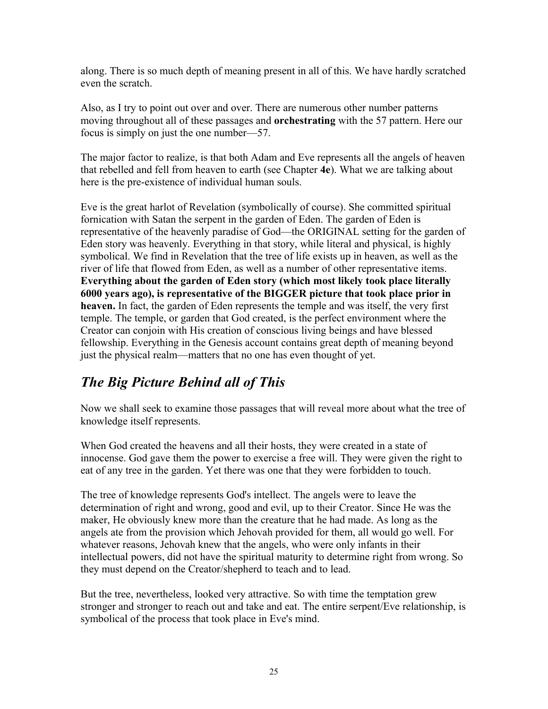along. There is so much depth of meaning present in all of this. We have hardly scratched even the scratch.

Also, as I try to point out over and over. There are numerous other number patterns moving throughout all of these passages and **orchestrating** with the 57 pattern. Here our focus is simply on just the one number—57.

The major factor to realize, is that both Adam and Eve represents all the angels of heaven that rebelled and fell from heaven to earth (see Chapter **4e**). What we are talking about here is the pre-existence of individual human souls.

Eve is the great harlot of Revelation (symbolically of course). She committed spiritual fornication with Satan the serpent in the garden of Eden. The garden of Eden is representative of the heavenly paradise of God—the ORIGINAL setting for the garden of Eden story was heavenly. Everything in that story, while literal and physical, is highly symbolical. We find in Revelation that the tree of life exists up in heaven, as well as the river of life that flowed from Eden, as well as a number of other representative items. **Everything about the garden of Eden story (which most likely took place literally 6000 years ago), is representative of the BIGGER picture that took place prior in heaven.** In fact, the garden of Eden represents the temple and was itself, the very first temple. The temple, or garden that God created, is the perfect environment where the Creator can conjoin with His creation of conscious living beings and have blessed fellowship. Everything in the Genesis account contains great depth of meaning beyond just the physical realm—matters that no one has even thought of yet.

### *The Big Picture Behind all of This*

Now we shall seek to examine those passages that will reveal more about what the tree of knowledge itself represents.

When God created the heavens and all their hosts, they were created in a state of innocense. God gave them the power to exercise a free will. They were given the right to eat of any tree in the garden. Yet there was one that they were forbidden to touch.

The tree of knowledge represents God's intellect. The angels were to leave the determination of right and wrong, good and evil, up to their Creator. Since He was the maker, He obviously knew more than the creature that he had made. As long as the angels ate from the provision which Jehovah provided for them, all would go well. For whatever reasons, Jehovah knew that the angels, who were only infants in their intellectual powers, did not have the spiritual maturity to determine right from wrong. So they must depend on the Creator/shepherd to teach and to lead.

But the tree, nevertheless, looked very attractive. So with time the temptation grew stronger and stronger to reach out and take and eat. The entire serpent/Eve relationship, is symbolical of the process that took place in Eve's mind.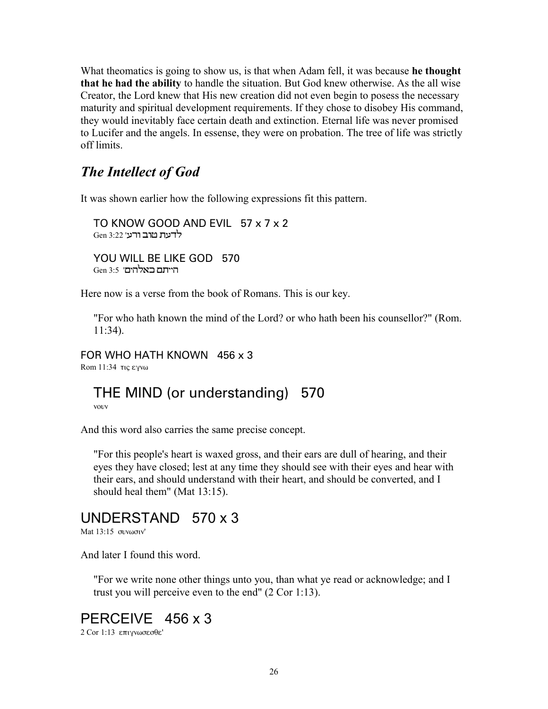What theomatics is going to show us, is that when Adam fell, it was because **he thought that he had the ability** to handle the situation. But God knew otherwise. As the all wise Creator, the Lord knew that His new creation did not even begin to posess the necessary maturity and spiritual development requirements. If they chose to disobey His command, they would inevitably face certain death and extinction. Eternal life was never promised to Lucifer and the angels. In essense, they were on probation. The tree of life was strictly off limits.

#### *The Intellect of God*

It was shown earlier how the following expressions fit this pattern.

TO KNOW GOOD AND EVIL 57 x 7 x 2 <u>Gen ארב ורע' 3:22 </u> YOU WILL BE LIKE GOD 570 Gen 3:5 'הייתם באלהים

Here now is a verse from the book of Romans. This is our key.

"For who hath known the mind of the Lord? or who hath been his counsellor?" (Rom. 11:34).

FOR WHO HATH KNOWN 456 x 3

Rom  $11:34$  Tic  $\epsilon$ yv $\omega$ 

### THE MIND (or understanding) 570

vouv

And this word also carries the same precise concept.

"For this people's heart is waxed gross, and their ears are dull of hearing, and their eyes they have closed; lest at any time they should see with their eyes and hear with their ears, and should understand with their heart, and should be converted, and I should heal them" (Mat 13:15).

#### UNDERSTAND 570 x 3

Mat  $13:15$  συνωσιν'

And later I found this word.

"For we write none other things unto you, than what ye read or acknowledge; and I trust you will perceive even to the end" (2 Cor 1:13).

# PERCEIVE 456 x 3

2 Cor 1:13 επιγνωσεσθε'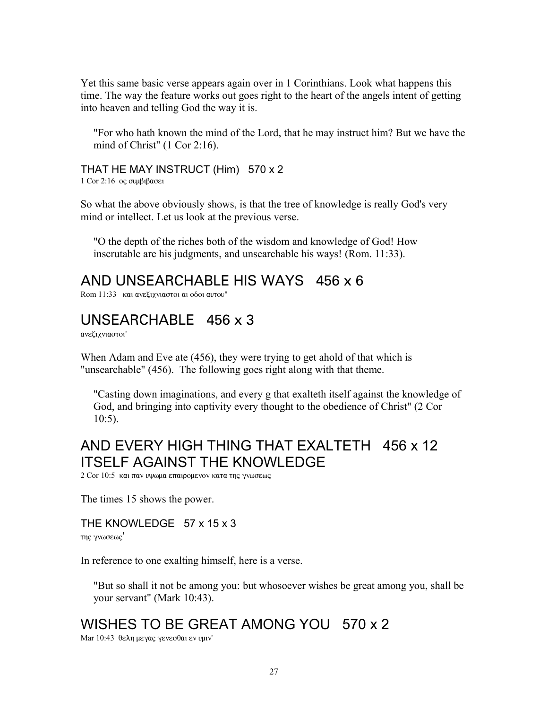Yet this same basic verse appears again over in 1 Corinthians. Look what happens this time. The way the feature works out goes right to the heart of the angels intent of getting into heaven and telling God the way it is.

"For who hath known the mind of the Lord, that he may instruct him? But we have the mind of Christ" (1 Cor 2:16).

THAT HE MAY INSTRUCT (Him) 570 x 2

 $1$  Cor  $2:16$  oς συμβιβασει

So what the above obviously shows, is that the tree of knowledge is really God's very mind or intellect. Let us look at the previous verse.

"O the depth of the riches both of the wisdom and knowledge of God! How inscrutable are his judgments, and unsearchable his ways! (Rom. 11:33).

AND UNSEARCHABLE HIS WAYS 456 x 6

Rom 11:33 και ανεξιχνιαστοι αι οδοι αυτου"

#### UNSEARCHABLE 456 x 3

ανεξιχνιαστοι'

When Adam and Eve ate (456), they were trying to get ahold of that which is "unsearchable" (456). The following goes right along with that theme.

"Casting down imaginations, and every g that exalteth itself against the knowledge of God, and bringing into captivity every thought to the obedience of Christ" (2 Cor 10:5).

### AND EVERY HIGH THING THAT EXALTETH 456 x 12 ITSELF AGAINST THE KNOWLEDGE

2 Cor 10:5  $\kappa$ αι παν υψωμα επαιρομενον κατα της γνωσεως

The times 15 shows the power.

#### THE KNOWLEDGE 57 x 15 x 3

της γνωσεως'

In reference to one exalting himself, here is a verse.

"But so shall it not be among you: but whosoever wishes be great among you, shall be your servant" (Mark 10:43).

### WISHES TO BE GREAT AMONG YOU 570 x 2

Mar 10:43 θελη μεγας γενεσθαι εν υμιν'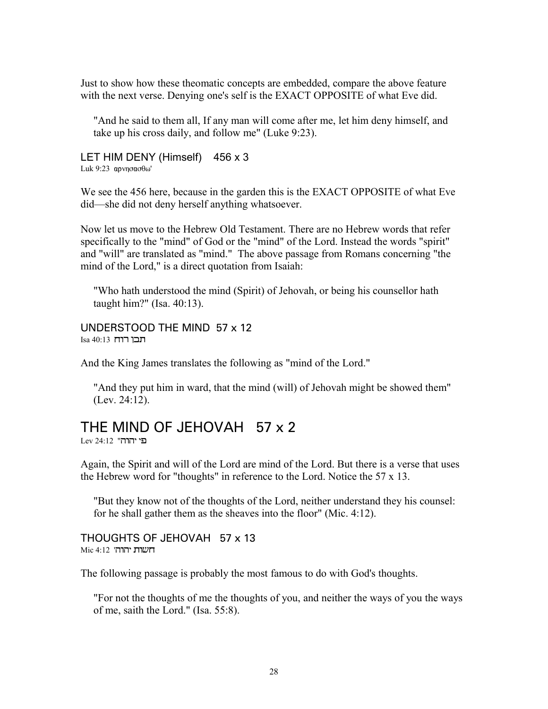Just to show how these theomatic concepts are embedded, compare the above feature with the next verse. Denying one's self is the EXACT OPPOSITE of what Eve did.

"And he said to them all, If any man will come after me, let him deny himself, and take up his cross daily, and follow me" (Luke 9:23).

LET HIM DENY (Himself) 456 x 3 Luk 9:23  $apvnora<sub>0</sub>$ <sup>'</sup>

We see the 456 here, because in the garden this is the EXACT OPPOSITE of what Eve did—she did not deny herself anything whatsoever.

Now let us move to the Hebrew Old Testament. There are no Hebrew words that refer specifically to the "mind" of God or the "mind" of the Lord. Instead the words "spirit" and "will" are translated as "mind." The above passage from Romans concerning "the mind of the Lord," is a direct quotation from Isaiah:

"Who hath understood the mind (Spirit) of Jehovah, or being his counsellor hath taught him?" (Isa. 40:13).

UNDERSTOOD THE MIND 57 x 12  $Isa 40:13$  תכו רוח

And the King James translates the following as "mind of the Lord."

"And they put him in ward, that the mind (will) of Jehovah might be showed them" (Lev. 24:12).

#### THE MIND OF JEHOVAH 57 x 2

Lev 24:12 "הוהו

Again, the Spirit and will of the Lord are mind of the Lord. But there is a verse that uses the Hebrew word for "thoughts" in reference to the Lord. Notice the 57 x 13.

"But they know not of the thoughts of the Lord, neither understand they his counsel: for he shall gather them as the sheaves into the floor" (Mic. 4:12).

THOUGHTS OF JEHOVAH 57 x 13  $Mic$  4:12 'הוהי

The following passage is probably the most famous to do with God's thoughts.

"For not the thoughts of me the thoughts of you, and neither the ways of you the ways of me, saith the Lord." (Isa. 55:8).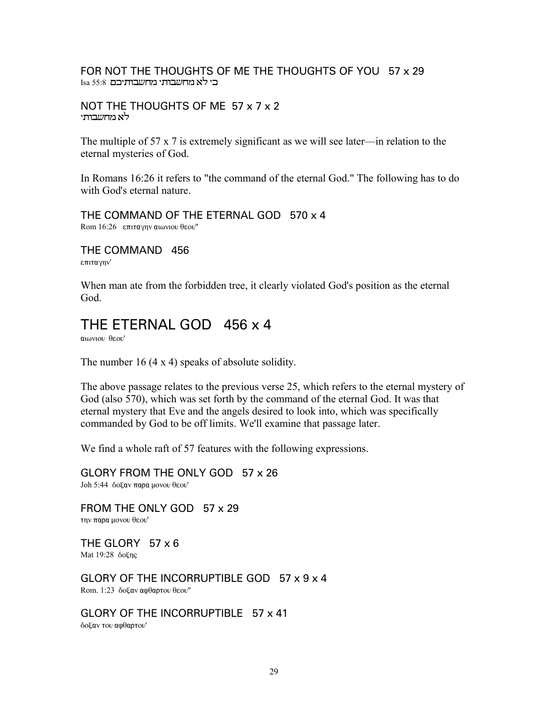#### FOR NOT THE THOUGHTS OF ME THE THOUGHTS OF YOU 57 x 29 Isa 55:8 בי לא מחשבות בא§ Isa 55:8

#### NOT THE THOUGHTS OF ME 57 x 7 x 2 לא מח*וע*בוחי

The multiple of 57 x 7 is extremely significant as we will see later—in relation to the eternal mysteries of God.

In Romans 16:26 it refers to "the command of the eternal God." The following has to do with God's eternal nature.

THE COMMAND OF THE ETERNAL GOD 570 x 4 Rom 16:26 επιταγην αιωνιου θεου"

THE COMMAND 456 επιταγην'

When man ate from the forbidden tree, it clearly violated God's position as the eternal God.

#### THE ETERNAL GOD 456 x 4

 $a$ <sub>iô</sub>vioù  $a$ sou'

The number 16 (4 x 4) speaks of absolute solidity.

The above passage relates to the previous verse 25, which refers to the eternal mystery of God (also 570), which was set forth by the command of the eternal God. It was that eternal mystery that Eve and the angels desired to look into, which was specifically commanded by God to be off limits. We'll examine that passage later.

We find a whole raft of 57 features with the following expressions.

GLORY FROM THE ONLY GOD 57 x 26 Joh 5:44 δοξαν παρα μονου θεου'

FROM THE ONLY GOD 57 x 29 την παρα μονου θεου'

THE GLORY 57 x 6 Mat  $19:28$   $\delta$ o $\zeta$ ng

GLORY OF THE INCORRUPTIBLE GOD 57 x 9 x 4 Rom. 1:23 δοξαν αφθαρτου θεου"

GLORY OF THE INCORRUPTIBLE 57 x 41 δοξαν του αφθαρτου'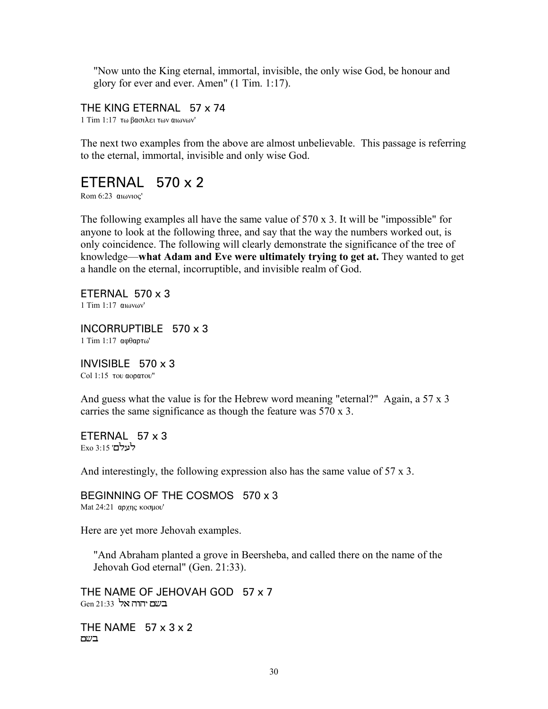"Now unto the King eternal, immortal, invisible, the only wise God, be honour and glory for ever and ever. Amen" (1 Tim. 1:17).

THE KING ETERNAL 57 x 74

1 Tim 1:17 τω βασιλει των αιωνων'

The next two examples from the above are almost unbelievable. This passage is referring to the eternal, immortal, invisible and only wise God.

#### ETERNAL 570 x 2

Rom  $6:23$   $6:23$ 

The following examples all have the same value of 570 x 3. It will be "impossible" for anyone to look at the following three, and say that the way the numbers worked out, is only coincidence. The following will clearly demonstrate the significance of the tree of knowledge—**what Adam and Eve were ultimately trying to get at.** They wanted to get a handle on the eternal, incorruptible, and invisible realm of God.

ETERNAL  $570 \times 3$  $1$  Tim  $1:17$   $\alpha$ 1 $\omega$ v $\omega$ v'

INCORRUPTIBLE 570 x 3 1 Tim 1:17 αφθαρτω'

INVISIBLE 570 x 3 Col 1:15 του αορατου"

And guess what the value is for the Hebrew word meaning "eternal?" Again, a 57 x 3 carries the same significance as though the feature was 570 x 3.

ETERNAL 57 x 3 Exo 3:15 'Exo

And interestingly, the following expression also has the same value of 57 x 3.

BEGINNING OF THE COSMOS 570 x 3 Mat  $24:21$  αρχης κοσμου'

Here are yet more Jehovah examples.

"And Abraham planted a grove in Beersheba, and called there on the name of the Jehovah God eternal" (Gen. 21:33).

THE NAME OF JEHOVAH GOD 57 x 7  $G$ E בשת יהוה אל  $G$ הו

THE NAME  $57 \times 3 \times 2$ Æ™Â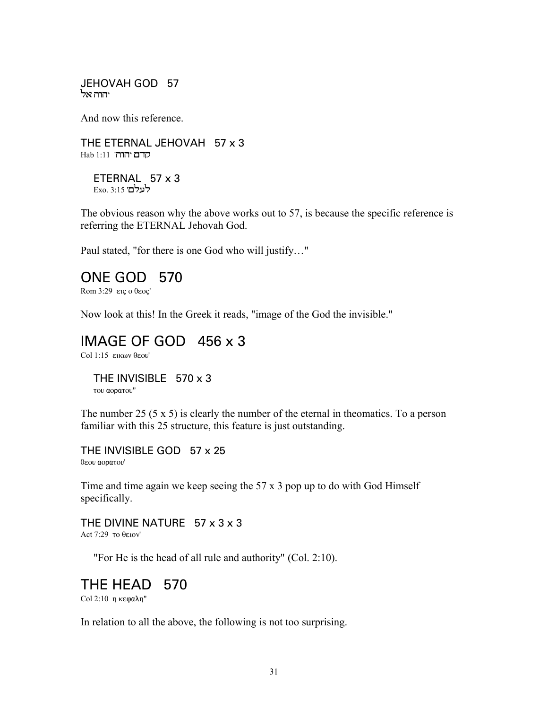JEHOVAH GOD 57 יהוה אל

And now this reference.

THE ETERNAL JEHOVAH 57 x 3 Hab 1:11 'הוה'

ETERNAL 57 x 3 Exo. 3:15 '**כעלם** 

The obvious reason why the above works out to 57, is because the specific reference is referring the ETERNAL Jehovah God.

Paul stated, "for there is one God who will justify…"

#### ONE GOD 570

Rom  $3:29$   $\epsilon$ iç o θεος'

Now look at this! In the Greek it reads, "image of the God the invisible."

#### IMAGE OF GOD 456 x 3

 $Col 1:15$  εικων θεου'

THE INVISIBLE 570 x 3 του αορατου"

The number 25 (5 x 5) is clearly the number of the eternal in theomatics. To a person familiar with this 25 structure, this feature is just outstanding.

THE INVISIBLE GOD 57 x 25 θεου αορατου'

Time and time again we keep seeing the 57 x 3 pop up to do with God Himself specifically.

THE DIVINE NATURE  $57 \times 3 \times 3$ Act  $7:29$  to  $\theta$ ειον'

"For He is the head of all rule and authority" (Col. 2:10).

THE HEAD 570

Col 2:10 η κεφαλη"

In relation to all the above, the following is not too surprising.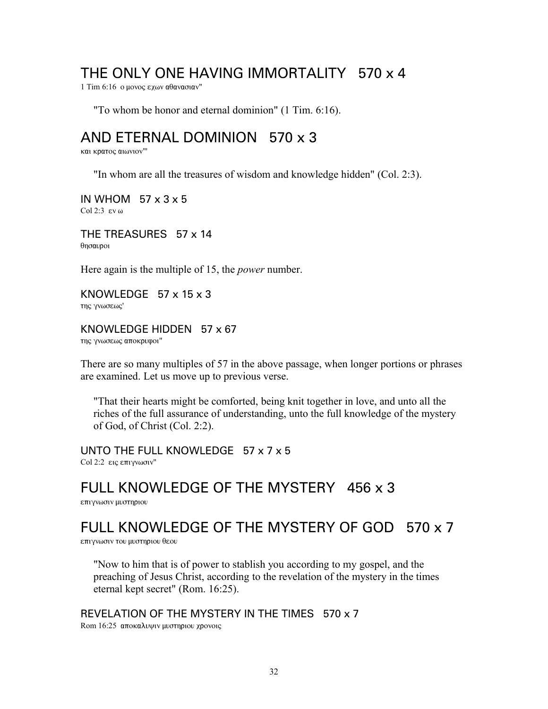#### THE ONLY ONE HAVING IMMORTALITY 570 x 4

1 Tim 6:16 ο μονος εχων αθανασιαν"

"To whom be honor and eternal dominion" (1 Tim. 6:16).

#### AND ETERNAL DOMINION 570 x 3

και κρατος αιωνιον"'

"In whom are all the treasures of wisdom and knowledge hidden" (Col. 2:3).

IN WHOM 57 x 3 x 5 Col 2:3  $\epsilon$ v $\omega$ 

THE TREASURES 57 x 14 θησαυροι

Here again is the multiple of 15, the *power* number.

KNOWLEDGE 57 x 15 x 3 της γνωσεως'

#### KNOWLEDGE HIDDEN 57 x 67

της γνωσεως αποκρυφοι"

There are so many multiples of 57 in the above passage, when longer portions or phrases are examined. Let us move up to previous verse.

"That their hearts might be comforted, being knit together in love, and unto all the riches of the full assurance of understanding, unto the full knowledge of the mystery of God, of Christ (Col. 2:2).

UNTO THE FULL KNOWLEDGE 57 x 7 x 5 Col 2:2 εις επιγνωσιν"

#### FULL KNOWLEDGE OF THE MYSTERY 456 x 3

επιγνωσιν μυστηριου

# FULL KNOWLEDGE OF THE MYSTERY OF GOD 570 x 7

επιγνωσιν του μυστηριου θεου

"Now to him that is of power to stablish you according to my gospel, and the preaching of Jesus Christ, according to the revelation of the mystery in the times eternal kept secret" (Rom. 16:25).

REVELATION OF THE MYSTERY IN THE TIMES 570 x 7 Rom 16:25 αποκαλυψιν μυστηριου χρονοις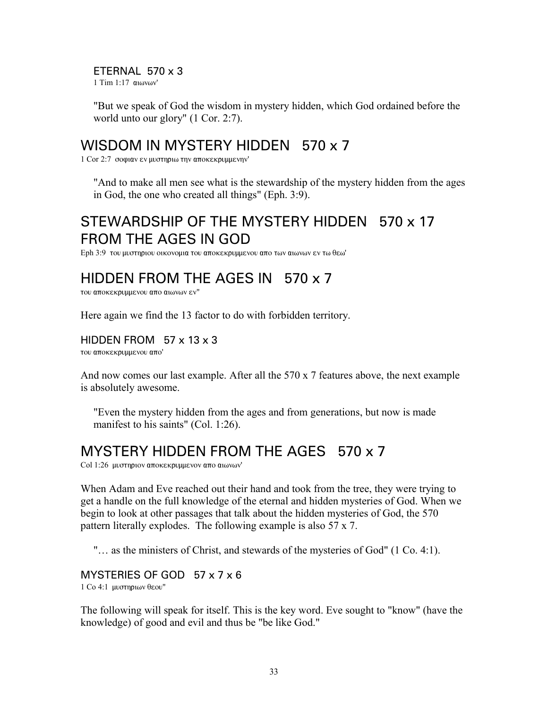#### ETERNAL 570 x 3

 $1$  Tim  $1:17$   $\alpha$ <sub>1</sub> $\omega$ <sub>2</sub> $\omega$ <sup>'</sup>

"But we speak of God the wisdom in mystery hidden, which God ordained before the world unto our glory" (1 Cor. 2:7).

#### WISDOM IN MYSTERY HIDDEN 570 x 7

 $1$  Cor 2:7 σοφιαν εν μυστηριω την αποκεκρυμμενην'

"And to make all men see what is the stewardship of the mystery hidden from the ages in God, the one who created all things" (Eph. 3:9).

### STEWARDSHIP OF THE MYSTERY HIDDEN 570 x 17 FROM THE AGES IN GOD

Eph 3:9 του μυστηριου οικονομια του αποκεκρυμμενου απο των αιωνων εν τω θεω'

### HIDDEN FROM THE AGES IN 570 x 7

του αποκεκρυμμενου απο αιωνων εν"

Here again we find the 13 factor to do with forbidden territory.

#### HIDDEN FROM 57 x 13 x 3

του αποκεκρυμμενου απο'

And now comes our last example. After all the 570 x 7 features above, the next example is absolutely awesome.

"Even the mystery hidden from the ages and from generations, but now is made manifest to his saints" (Col. 1:26).

### MYSTERY HIDDEN FROM THE AGES 570 x 7

Col 1:26 μυστηριον αποκεκρυμμενον απο αιωνων'

When Adam and Eve reached out their hand and took from the tree, they were trying to get a handle on the full knowledge of the eternal and hidden mysteries of God. When we begin to look at other passages that talk about the hidden mysteries of God, the 570 pattern literally explodes. The following example is also 57 x 7.

"… as the ministers of Christ, and stewards of the mysteries of God" (1 Co. 4:1).

#### MYSTERIES OF GOD 57 x 7 x 6

 $1$  Co 4:1 μυστηριων θεου"

The following will speak for itself. This is the key word. Eve sought to "know" (have the knowledge) of good and evil and thus be "be like God."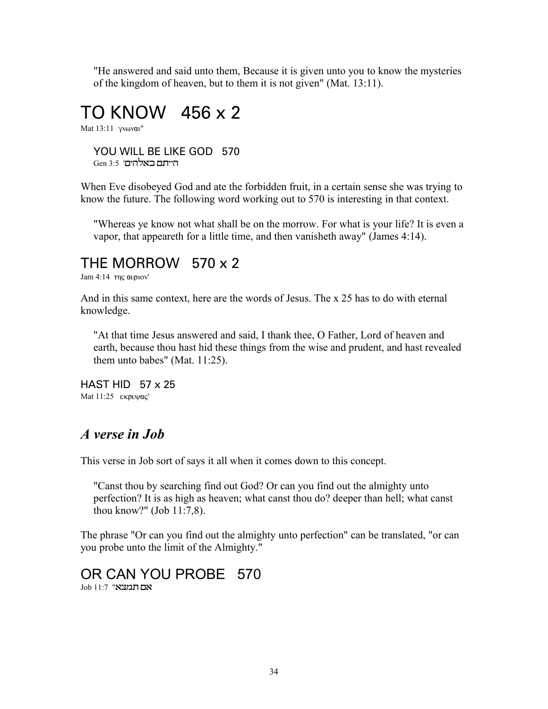"He answered and said unto them, Because it is given unto you to know the mysteries of the kingdom of heaven, but to them it is not given" (Mat. 13:11).

# TO KNOW 456 x 2

Mat  $13:11$   $\gamma$ vωναι"

YOU WILL BE LIKE GOD 570 Gen 3:5 'הייתם באלהים

When Eve disobeyed God and ate the forbidden fruit, in a certain sense she was trying to know the future. The following word working out to 570 is interesting in that context.

"Whereas ye know not what shall be on the morrow. For what is your life? It is even a vapor, that appeareth for a little time, and then vanisheth away" (James 4:14).

#### THE MORROW 570 x 2

Jam 4:14  $\tau$ nc auptov'

And in this same context, here are the words of Jesus. The x 25 has to do with eternal knowledge.

"At that time Jesus answered and said, I thank thee, O Father, Lord of heaven and earth, because thou hast hid these things from the wise and prudent, and hast revealed them unto babes" (Mat. 11:25).

HAST HID 57 x 25 Mat 11:25 εκρυψας'

#### *A verse in Job*

This verse in Job sort of says it all when it comes down to this concept.

"Canst thou by searching find out God? Or can you find out the almighty unto perfection? It is as high as heaven; what canst thou do? deeper than hell; what canst thou know?" (Job 11:7,8).

The phrase "Or can you find out the almighty unto perfection" can be translated, "or can you probe unto the limit of the Almighty."

# OR CAN YOU PROBE 570

 $J$ Job 11:7 "אם תמצא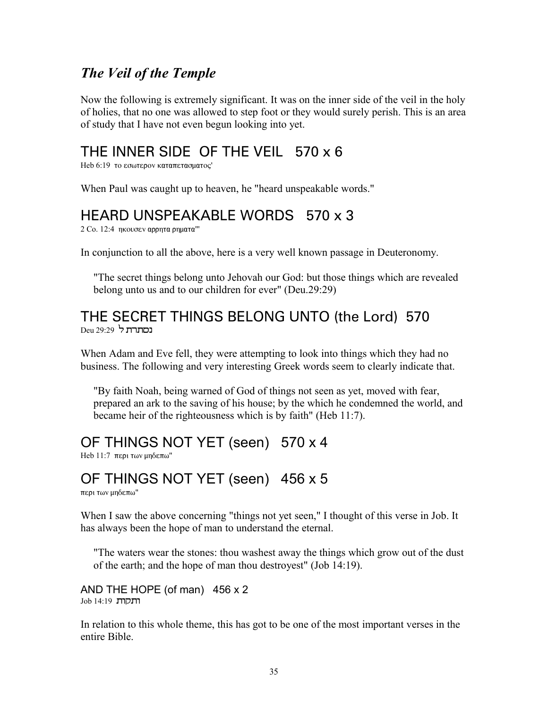#### *The Veil of the Temple*

Now the following is extremely significant. It was on the inner side of the veil in the holy of holies, that no one was allowed to step foot or they would surely perish. This is an area of study that I have not even begun looking into yet.

### THE INNER SIDE OF THE VEIL 570 x 6

Heb 6:19 το εσωτερον καταπετασματος'

When Paul was caught up to heaven, he "heard unspeakable words."

### HEARD UNSPEAKABLE WORDS 570 x 3

 $2$  Co. 12:4 ηκουσεν αρρητα ρηματα"'

In conjunction to all the above, here is a very well known passage in Deuteronomy.

"The secret things belong unto Jehovah our God: but those things which are revealed belong unto us and to our children for ever" (Deu.29:29)

#### THE SECRET THINGS BELONG UNTO (the Lord) 570 **נסתרת ל** 29:29

When Adam and Eve fell, they were attempting to look into things which they had no business. The following and very interesting Greek words seem to clearly indicate that.

"By faith Noah, being warned of God of things not seen as yet, moved with fear, prepared an ark to the saving of his house; by the which he condemned the world, and became heir of the righteousness which is by faith" (Heb 11:7).

### OF THINGS NOT YET (seen) 570 x 4

Heb 11:7 περι των μηδεπω"

### OF THINGS NOT YET (seen) 456 x 5

περι των μηδεπω"

When I saw the above concerning "things not yet seen," I thought of this verse in Job. It has always been the hope of man to understand the eternal.

"The waters wear the stones: thou washest away the things which grow out of the dust of the earth; and the hope of man thou destroyest" (Job 14:19).

AND THE HOPE (of man) 456 x 2  $Job$  14:19  $\pi$ הלקות

In relation to this whole theme, this has got to be one of the most important verses in the entire Bible.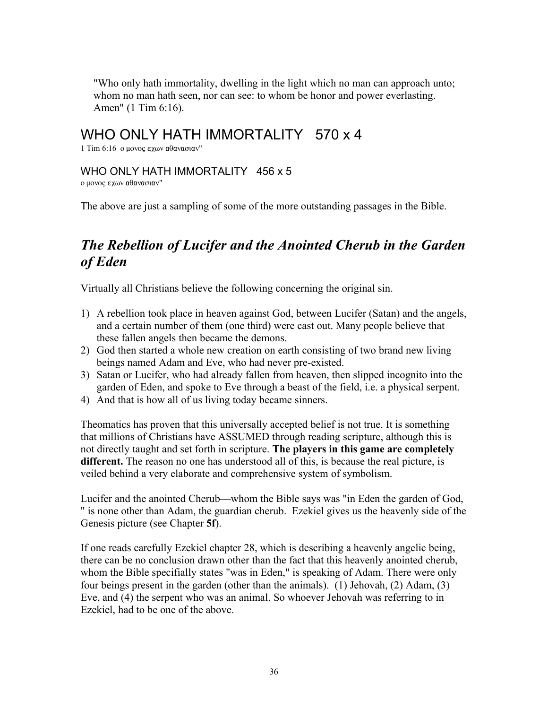"Who only hath immortality, dwelling in the light which no man can approach unto; whom no man hath seen, nor can see: to whom be honor and power everlasting. Amen" (1 Tim 6:16).

### WHO ONLY HATH IMMORTALITY 570 x 4

1 Tim 6:16 ο μονος εχων αθανασιαν"

#### WHO ONLY HATH IMMORTALITY 456 x 5

ο μονος εχων αθανασιαν"

The above are just a sampling of some of the more outstanding passages in the Bible.

### *The Rebellion of Lucifer and the Anointed Cherub in the Garden of Eden*

Virtually all Christians believe the following concerning the original sin.

- 1) A rebellion took place in heaven against God, between Lucifer (Satan) and the angels, and a certain number of them (one third) were cast out. Many people believe that these fallen angels then became the demons.
- 2) God then started a whole new creation on earth consisting of two brand new living beings named Adam and Eve, who had never pre-existed.
- 3) Satan or Lucifer, who had already fallen from heaven, then slipped incognito into the garden of Eden, and spoke to Eve through a beast of the field, i.e. a physical serpent.
- 4) And that is how all of us living today became sinners.

Theomatics has proven that this universally accepted belief is not true. It is something that millions of Christians have ASSUMED through reading scripture, although this is not directly taught and set forth in scripture. **The players in this game are completely different.** The reason no one has understood all of this, is because the real picture, is veiled behind a very elaborate and comprehensive system of symbolism.

Lucifer and the anointed Cherub—whom the Bible says was "in Eden the garden of God, " is none other than Adam, the guardian cherub. Ezekiel gives us the heavenly side of the Genesis picture (see Chapter **5f**).

If one reads carefully Ezekiel chapter 28, which is describing a heavenly angelic being, there can be no conclusion drawn other than the fact that this heavenly anointed cherub, whom the Bible specifially states "was in Eden," is speaking of Adam. There were only four beings present in the garden (other than the animals). (1) Jehovah, (2) Adam, (3) Eve, and (4) the serpent who was an animal. So whoever Jehovah was referring to in Ezekiel, had to be one of the above.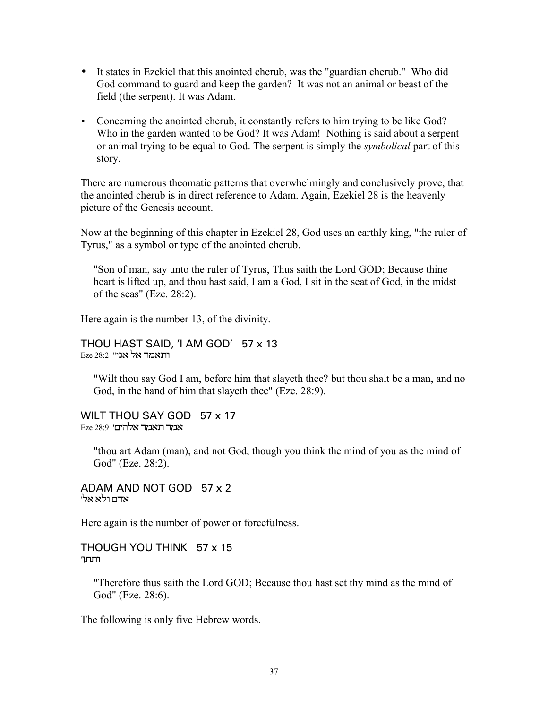- It states in Ezekiel that this anointed cherub, was the "guardian cherub." Who did God command to guard and keep the garden? It was not an animal or beast of the field (the serpent). It was Adam.
- Concerning the anointed cherub, it constantly refers to him trying to be like God? Who in the garden wanted to be God? It was Adam! Nothing is said about a serpent or animal trying to be equal to God. The serpent is simply the *symbolical* part of this story.

There are numerous theomatic patterns that overwhelmingly and conclusively prove, that the anointed cherub is in direct reference to Adam. Again, Ezekiel 28 is the heavenly picture of the Genesis account.

Now at the beginning of this chapter in Ezekiel 28, God uses an earthly king, "the ruler of Tyrus," as a symbol or type of the anointed cherub.

"Son of man, say unto the ruler of Tyrus, Thus saith the Lord GOD; Because thine heart is lifted up, and thou hast said, I am a God, I sit in the seat of God, in the midst of the seas" (Eze.  $28:2$ ).

Here again is the number 13, of the divinity.

THOU HAST SAID, 'I AM GOD' 57 x 13 Eze 28:2 "וחאמר אל אני

"Wilt thou say God I am, before him that slayeth thee? but thou shalt be a man, and no God, in the hand of him that slayeth thee" (Eze. 28:9).

WILT THOU SAY GOD 57 x 17 אמר תאמר אלהים' Eze 28:9

"thou art Adam (man), and not God, though you think the mind of you as the mind of God" (Eze. 28:2).

ADAM AND NOT GOD 57 x 2 אדם ולא אלי

Here again is the number of power or forcefulness.

THOUGH YOU THINK 57 x 15 ותתו"

"Therefore thus saith the Lord GOD; Because thou hast set thy mind as the mind of God" (Eze. 28:6).

The following is only five Hebrew words.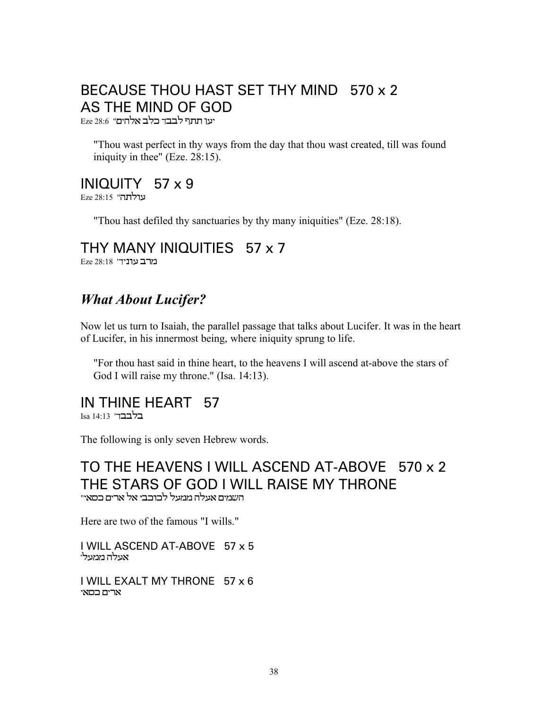## BECAUSE THOU HAST SET THY MIND 570 x 2 AS THE MIND OF GOD

יעו תתף לבבד כלב אלהים" Eze 28:6

"Thou wast perfect in thy ways from the day that thou wast created, till was found iniquity in thee" (Eze. 28:15).

### INIQUITY  $57 \times 9$

צולתה" Eze 28:15

"Thou hast defiled thy sanctuaries by thy many iniquities" (Eze. 28:18).

### THY MANY INIQUITIES 57 x 7

Eze 28:18 'בוניד'

### **What About Lucifer?**

Now let us turn to Isaiah, the parallel passage that talks about Lucifer. It was in the heart of Lucifer, in his innermost being, where iniquity sprung to life.

"For thou hast said in thine heart, to the heavens I will ascend at-above the stars of God I will raise my throne." (Isa. 14:13).

## IN THINE HEART 57

Isa 14·13 בלבבד'

The following is only seven Hebrew words.

# TO THE HEAVENS I WILL ASCEND AT-ABOVE 570 x 2 THE STARS OF GOD I WILL RAISE MY THRONE

השמים אעלה ממעל לכוכבי אל ארים כסאי"

Here are two of the famous "I wills."

I WILL ASCEND AT-ABOVE 57 x 5 אעלה ממעלי

I WILL EXALT MY THRONE 57 x 6 ארים בסאי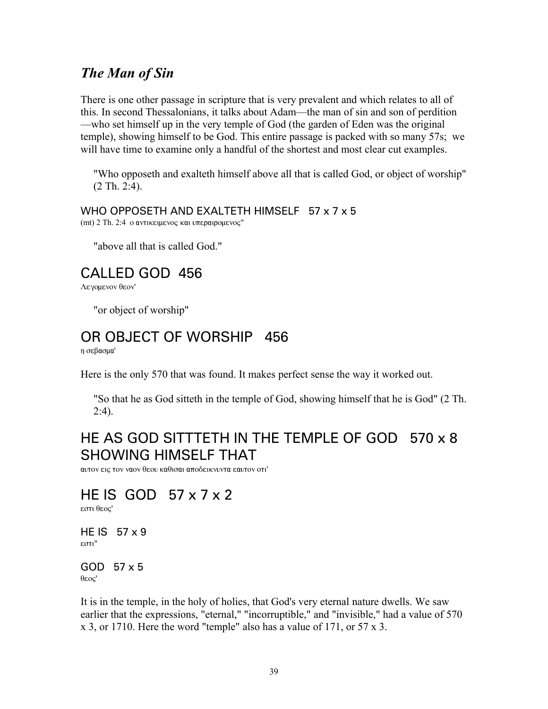#### *The Man of Sin*

There is one other passage in scripture that is very prevalent and which relates to all of this. In second Thessalonians, it talks about Adam—the man of sin and son of perdition —who set himself up in the very temple of God (the garden of Eden was the original temple), showing himself to be God. This entire passage is packed with so many 57s; we will have time to examine only a handful of the shortest and most clear cut examples.

"Who opposeth and exalteth himself above all that is called God, or object of worship" (2 Th. 2:4).

#### WHO OPPOSETH AND EXALTETH HIMSELF 57 x 7 x 5

 $(mt)$  2 Th. 2:4 ο αντικειμενος και υπεραιρομενος"

"above all that is called God."

### CALLED GOD 456

Λενομενον θεον'

"or object of worship"

#### OR OBJECT OF WORSHIP 456

η σεβασμα'

Here is the only 570 that was found. It makes perfect sense the way it worked out.

"So that he as God sitteth in the temple of God, showing himself that he is God" (2 Th. 2:4).

### HE AS GOD SITTTETH IN THE TEMPLE OF GOD 570 x 8 SHOWING HIMSELF THAT

αυτον εις τον ναον θεου καθισαι αποδεικνυντα εαυτον οτι'

### HE IS GOD 57 x 7 x 2

εστι θεος'

HE IS  $57 \times 9$  $\epsilon$ στι"

GOD 57 x 5  $θ$ εος'

It is in the temple, in the holy of holies, that God's very eternal nature dwells. We saw earlier that the expressions, "eternal," "incorruptible," and "invisible," had a value of 570 x 3, or 1710. Here the word "temple" also has a value of 171, or 57 x 3.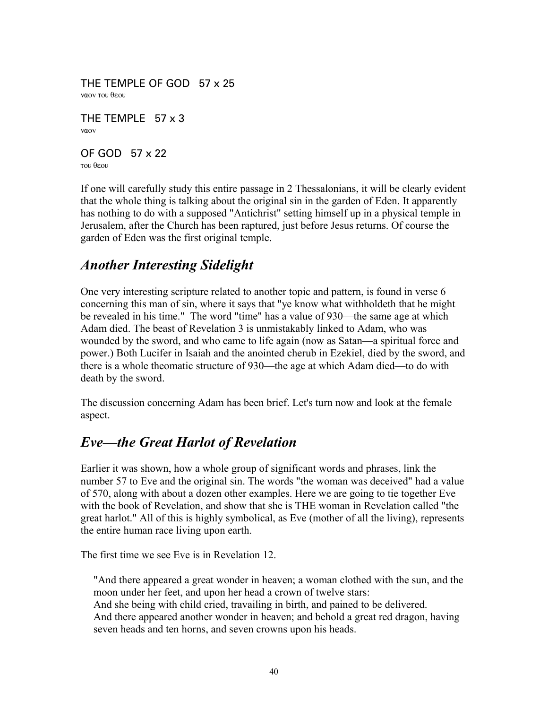THE TEMPLE OF GOD 57 x 25 ναον του θεου

THE TEMPLE 57 x 3  $v$ a $\alpha$ 

OF GOD 57 x 22 TOU <del>O</del>EOU

If one will carefully study this entire passage in 2 Thessalonians, it will be clearly evident that the whole thing is talking about the original sin in the garden of Eden. It apparently has nothing to do with a supposed "Antichrist" setting himself up in a physical temple in Jerusalem, after the Church has been raptured, just before Jesus returns. Of course the garden of Eden was the first original temple.

### *Another Interesting Sidelight*

One very interesting scripture related to another topic and pattern, is found in verse 6 concerning this man of sin, where it says that "ye know what withholdeth that he might be revealed in his time." The word "time" has a value of 930—the same age at which Adam died. The beast of Revelation 3 is unmistakably linked to Adam, who was wounded by the sword, and who came to life again (now as Satan—a spiritual force and power.) Both Lucifer in Isaiah and the anointed cherub in Ezekiel, died by the sword, and there is a whole theomatic structure of 930—the age at which Adam died—to do with death by the sword.

The discussion concerning Adam has been brief. Let's turn now and look at the female aspect.

### *Eve—the Great Harlot of Revelation*

Earlier it was shown, how a whole group of significant words and phrases, link the number 57 to Eve and the original sin. The words "the woman was deceived" had a value of 570, along with about a dozen other examples. Here we are going to tie together Eve with the book of Revelation, and show that she is THE woman in Revelation called "the great harlot." All of this is highly symbolical, as Eve (mother of all the living), represents the entire human race living upon earth.

The first time we see Eve is in Revelation 12.

"And there appeared a great wonder in heaven; a woman clothed with the sun, and the moon under her feet, and upon her head a crown of twelve stars:

And she being with child cried, travailing in birth, and pained to be delivered. And there appeared another wonder in heaven; and behold a great red dragon, having seven heads and ten horns, and seven crowns upon his heads.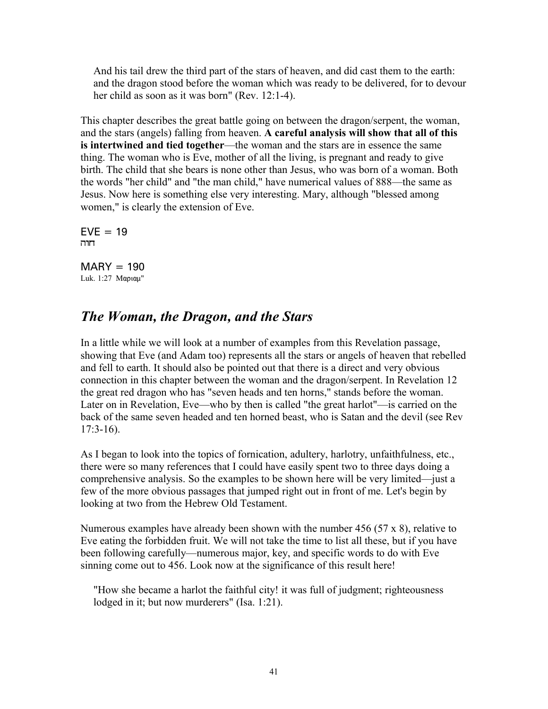And his tail drew the third part of the stars of heaven, and did cast them to the earth: and the dragon stood before the woman which was ready to be delivered, for to devour her child as soon as it was born" (Rev. 12:1-4).

This chapter describes the great battle going on between the dragon/serpent, the woman, and the stars (angels) falling from heaven. **A careful analysis will show that all of this is intertwined and tied together**—the woman and the stars are in essence the same thing. The woman who is Eve, mother of all the living, is pregnant and ready to give birth. The child that she bears is none other than Jesus, who was born of a woman. Both the words "her child" and "the man child," have numerical values of 888—the same as Jesus. Now here is something else very interesting. Mary, although "blessed among women," is clearly the extension of Eve.

 $EVE = 19$ חוה

 $MARY = 190$ Luk. 1:27 Mapiau"

#### *The Woman, the Dragon, and the Stars*

In a little while we will look at a number of examples from this Revelation passage, showing that Eve (and Adam too) represents all the stars or angels of heaven that rebelled and fell to earth. It should also be pointed out that there is a direct and very obvious connection in this chapter between the woman and the dragon/serpent. In Revelation 12 the great red dragon who has "seven heads and ten horns," stands before the woman. Later on in Revelation, Eve—who by then is called "the great harlot"—is carried on the back of the same seven headed and ten horned beast, who is Satan and the devil (see Rev  $17:3-16$ .

As I began to look into the topics of fornication, adultery, harlotry, unfaithfulness, etc., there were so many references that I could have easily spent two to three days doing a comprehensive analysis. So the examples to be shown here will be very limited—just a few of the more obvious passages that jumped right out in front of me. Let's begin by looking at two from the Hebrew Old Testament.

Numerous examples have already been shown with the number 456 (57 x 8), relative to Eve eating the forbidden fruit. We will not take the time to list all these, but if you have been following carefully—numerous major, key, and specific words to do with Eve sinning come out to 456. Look now at the significance of this result here!

"How she became a harlot the faithful city! it was full of judgment; righteousness lodged in it; but now murderers" (Isa. 1:21).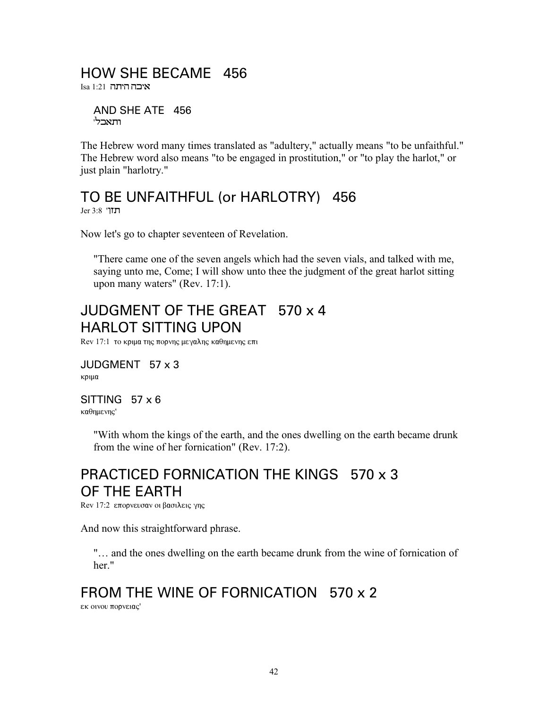#### HOW SHE BECAME 456

איבה היתה 1:21

AND SHE ATE 456 ותאכלי

The Hebrew word many times translated as "adultery," actually means "to be unfaithful." The Hebrew word also means "to be engaged in prostitution," or "to play the harlot," or just plain "harlotry."

#### TO BE UNFAITHFUL (or HARLOTRY) 456  $Jer 3:8$  תזוי

Now let's go to chapter seventeen of Revelation.

"There came one of the seven angels which had the seven vials, and talked with me, saying unto me, Come; I will show unto thee the judgment of the great harlot sitting upon many waters" (Rev. 17:1).

# JUDGMENT OF THE GREAT 570 x 4 **HARLOT SITTING UPON**

Rev 17:1 το κριμα της πορνης μεγαλης καθημενης επι

JUDGMENT 57 x 3 κριμα

SITTING  $57 \times 6$ καθημενης'

> "With whom the kings of the earth, and the ones dwelling on the earth became drunk from the wine of her fornication" (Rev. 17:2).

### PRACTICED FORNICATION THE KINGS 570 x 3 OF THE EARTH

Rev 17:2 επορνευσαν οι βασιλεις γης

And now this straightforward phrase.

"... and the ones dwelling on the earth became drunk from the wine of fornication of her"

## FROM THE WINE OF FORNICATION 570 x 2

εκ οινου πορνειας'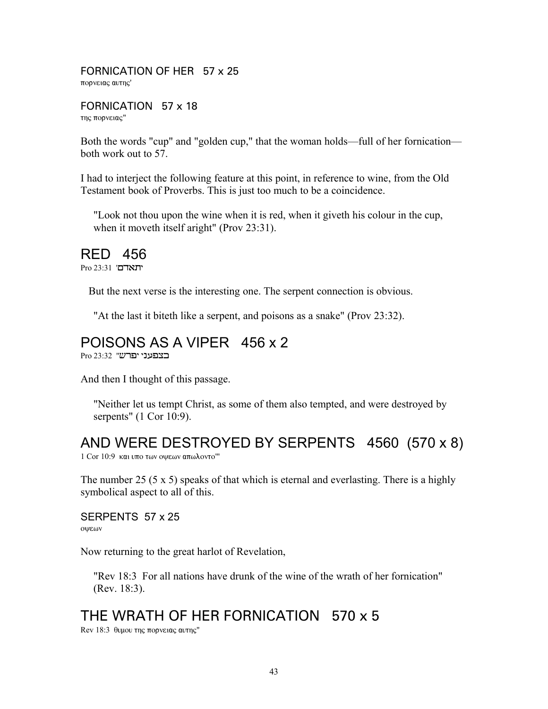FORNICATION OF HER 57 x 25 πορνειας αυτης'

FORNICATION 57 x 18 της πορνειας"

Both the words "cup" and "golden cup," that the woman holds—full of her fornication both work out to 57.

I had to interject the following feature at this point, in reference to wine, from the Old Testament book of Proverbs. This is just too much to be a coincidence.

"Look not thou upon the wine when it is red, when it giveth his colour in the cup, when it moveth itself aright" (Prov 23:31).

#### RED 456

Pro 23:31 'תאדם'

But the next verse is the interesting one. The serpent connection is obvious.

"At the last it biteth like a serpent, and poisons as a snake" (Prov 23:32).

# POISONS AS A VIPER 456 x 2

Pro 23:32 "האפעני המיש

And then I thought of this passage.

"Neither let us tempt Christ, as some of them also tempted, and were destroyed by serpents" (1 Cor 10:9).

# AND WERE DESTROYED BY SERPENTS 4560 (570 x 8)

 $1$  Cor  $10:9$  και υπο των οψεων απωλοντο<sup>'''</sup>

The number 25 (5  $\times$  5) speaks of that which is eternal and everlasting. There is a highly symbolical aspect to all of this.

SERPENTS 57 x 25 οψεων

Now returning to the great harlot of Revelation,

"Rev 18:3 For all nations have drunk of the wine of the wrath of her fornication" (Rev. 18:3).

# THE WRATH OF HER FORNICATION 570 x 5

Rev 18:3 θυμου της πορνειας αυτης"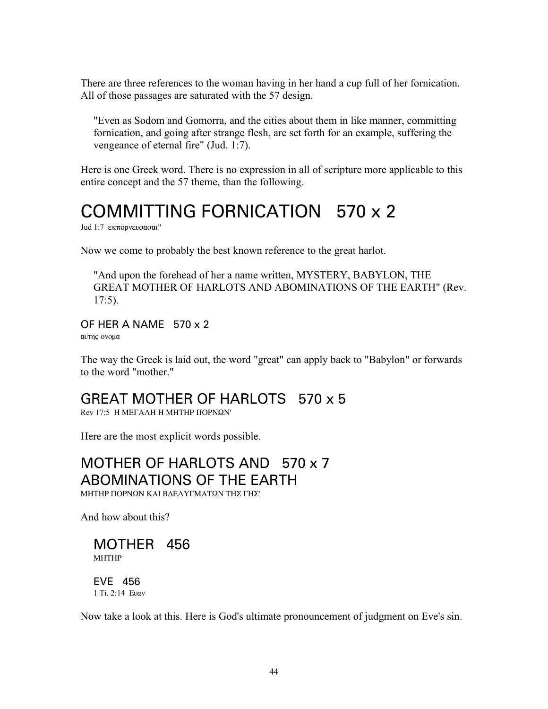There are three references to the woman having in her hand a cup full of her fornication. All of those passages are saturated with the 57 design.

"Even as Sodom and Gomorra, and the cities about them in like manner, committing fornication, and going after strange flesh, are set forth for an example, suffering the vengeance of eternal fire" (Jud. 1:7).

Here is one Greek word. There is no expression in all of scripture more applicable to this entire concept and the 57 theme, than the following.

# COMMITTING FORNICATION 570 x 2

Jud 1:7 εκπορνευσασαι"

Now we come to probably the best known reference to the great harlot.

"And upon the forehead of her a name written, MYSTERY, BABYLON, THE GREAT MOTHER OF HARLOTS AND ABOMINATIONS OF THE EARTH" (Rev. 17:5).

#### OF HER A NAME 570 x 2

αυτης ονομα

The way the Greek is laid out, the word "great" can apply back to "Babylon" or forwards to the word "mother."

### GREAT MOTHER OF HARLOTS 570 x 5

 $Rev 17:5$  H ME $\Gamma$ AAH H MHTHP  $\Pi$ OPN $\Omega$ N'

Here are the most explicit words possible.

MOTHER OF HARLOTS AND 570 x 7 ABOMINATIONS OF THE EARTH ΜΗΤΗΡ ΠΟΡΝΩΝ ΚΑΙ ΒΔΕΛΥΓΜΑΤΩΝ ΤΗΣ ΓΗΣ'

And how about this?

MOTHER 456 **MHTHP** 

EVE 456 1 Ti. 2:14 Evav

Now take a look at this. Here is God's ultimate pronouncement of judgment on Eve's sin.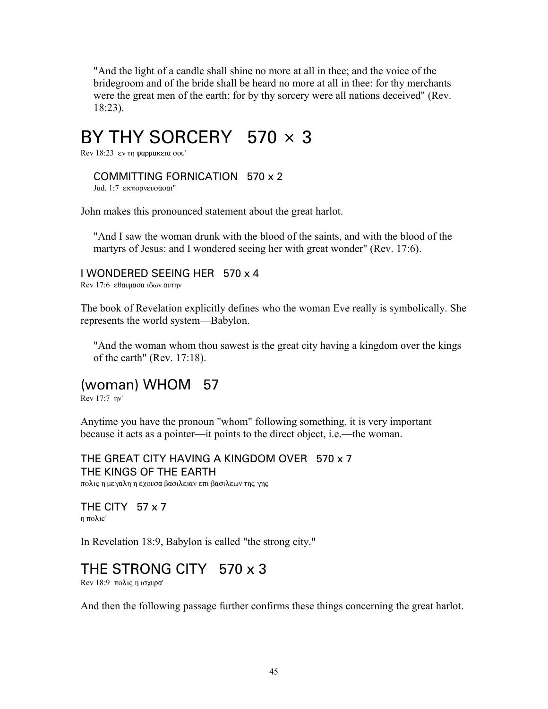"And the light of a candle shall shine no more at all in thee; and the voice of the bridegroom and of the bride shall be heard no more at all in thee: for thy merchants were the great men of the earth; for by thy sorcery were all nations deceived" (Rev. 18:23).

# BY THY SORCERY 570 × 3

Rev  $18:23$  εν τη φαρμακεια σου'

#### COMMITTING FORNICATION 570 x 2

Jud. 1:7 εκπορνευσασαι"

John makes this pronounced statement about the great harlot.

"And I saw the woman drunk with the blood of the saints, and with the blood of the martyrs of Jesus: and I wondered seeing her with great wonder" (Rev. 17:6).

#### I WONDERED SEEING HER 570 x 4

Rev 17:6 εθαυμασα ιδων αυτην

The book of Revelation explicitly defines who the woman Eve really is symbolically. She represents the world system—Babylon.

"And the woman whom thou sawest is the great city having a kingdom over the kings of the earth" (Rev. 17:18).

#### (woman) WHOM 57

Rev 17:7 nv'

Anytime you have the pronoun "whom" following something, it is very important because it acts as a pointer—it points to the direct object, i.e.—the woman.

THE GREAT CITY HAVING A KINGDOM OVER 570 x 7 THE KINGS OF THE EARTH πολις η μεγαλη η εχουσα βασιλειαν επι βασιλεων της γης

THE CITY 57 x 7  $n \pi o \lambda_1 c'$ 

In Revelation 18:9, Babylon is called "the strong city."

#### THE STRONG CITY 570 x 3

Rev 18:9 πολις η ισχυρα'

And then the following passage further confirms these things concerning the great harlot.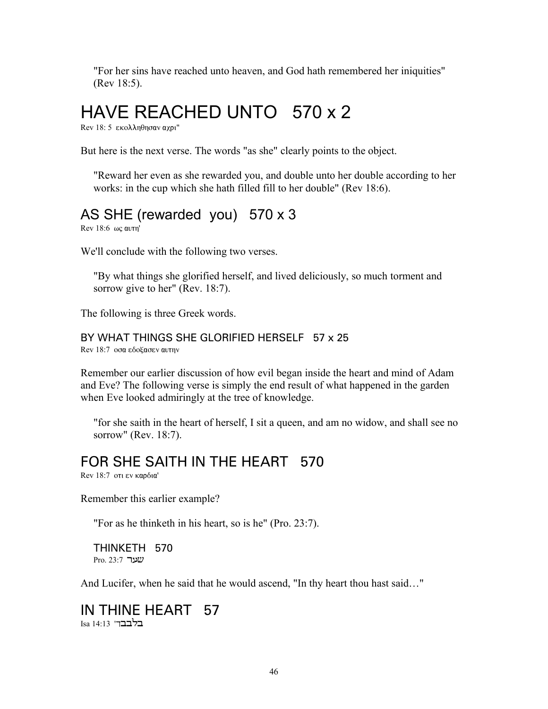"For her sins have reached unto heaven, and God hath remembered her iniquities" (Rev 18:5).

# HAVE REACHED UNTO 570 x 2

Rev 18: 5 εκολληθησαν αχρι"

But here is the next verse. The words "as she" clearly points to the object.

"Reward her even as she rewarded you, and double unto her double according to her works: in the cup which she hath filled fill to her double" (Rev 18:6).

# AS SHE (rewarded you) 570 x 3

Rev 18:6  $\omega$ c  $\alpha$ <sub>U</sub> $\eta$ <sup>'</sup>

We'll conclude with the following two verses.

"By what things she glorified herself, and lived deliciously, so much torment and sorrow give to her" (Rev. 18:7).

The following is three Greek words.

#### BY WHAT THINGS SHE GLORIFIED HERSELF 57 x 25

Rev 18:7 oσα εδοξασεν αυτην

Remember our earlier discussion of how evil began inside the heart and mind of Adam and Eve? The following verse is simply the end result of what happened in the garden when Eve looked admiringly at the tree of knowledge.

"for she saith in the heart of herself, I sit a queen, and am no widow, and shall see no sorrow" (Rev. 18:7).

### FOR SHE SAITH IN THE HEART 570

Rev 18:7 oti εν καρδια'

Remember this earlier example?

"For as he thinketh in his heart, so is he" (Pro. 23:7).

THINKETH 570 Pro. 23:7 שער

And Lucifer, when he said that he would ascend, "In thy heart thou hast said…"

#### IN THINE HEART 57 Isa 14:13 'בלבבד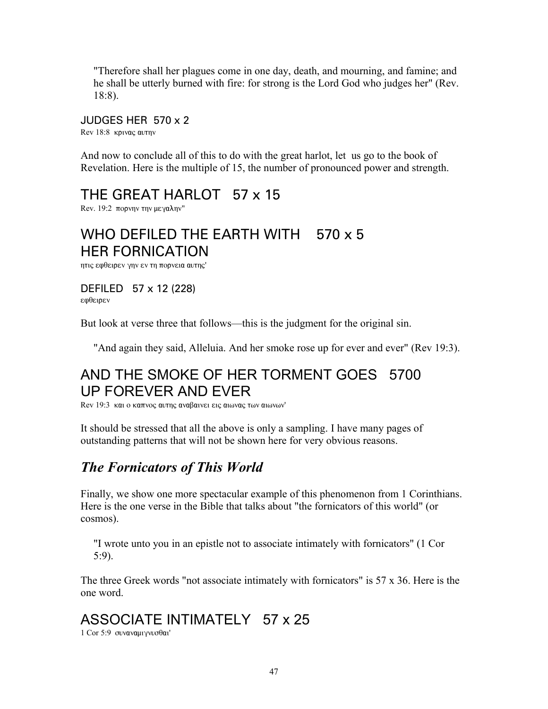"Therefore shall her plagues come in one day, death, and mourning, and famine; and he shall be utterly burned with fire: for strong is the Lord God who judges her" (Rev. 18:8).

#### JUDGES HER 570 x 2

Rev 18:8 kpivaç avrny

And now to conclude all of this to do with the great harlot, let us go to the book of Revelation. Here is the multiple of 15, the number of pronounced power and strength.

## THE GREAT HARLOT 57 x 15

Rev. 19:2 πορνην την μεγαλην"

# WHO DEFILED THE EARTH WITH 570 x 5 HER FORNICATION

ητις εφθειρεν γην εν τη πορνεια αυτης'

DEFILED 57 x 12 (228) εφθειρεν

But look at verse three that follows—this is the judgment for the original sin.

"And again they said, Alleluia. And her smoke rose up for ever and ever" (Rev 19:3).

# AND THE SMOKE OF HER TORMENT GOES 5700 UP FOREVER AND EVER

Rev 19:3  $\kappa$ αι ο καπνος αυτης αναβαίνει εις αιωνας των αιωνων'

It should be stressed that all the above is only a sampling. I have many pages of outstanding patterns that will not be shown here for very obvious reasons.

## *The Fornicators of This World*

Finally, we show one more spectacular example of this phenomenon from 1 Corinthians. Here is the one verse in the Bible that talks about "the fornicators of this world" (or cosmos).

"I wrote unto you in an epistle not to associate intimately with fornicators" (1 Cor 5:9).

The three Greek words "not associate intimately with fornicators" is 57 x 36. Here is the one word.

# ASSOCIATE INTIMATELY 57 x 25

1 Cor 5:9 συναναμιγνυσθαι'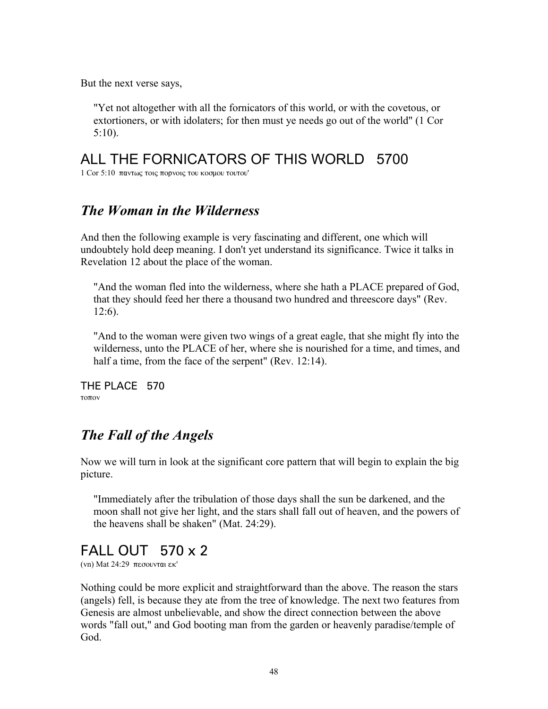But the next verse says,

"Yet not altogether with all the fornicators of this world, or with the covetous, or extortioners, or with idolaters; for then must ye needs go out of the world" (1 Cor 5:10).

### ALL THE FORNICATORS OF THIS WORLD 5700

 $1$  Cor 5:10 παντως τοις πορνοις του κοσμου τουτου'

#### *The Woman in the Wilderness*

And then the following example is very fascinating and different, one which will undoubtely hold deep meaning. I don't yet understand its significance. Twice it talks in Revelation 12 about the place of the woman.

"And the woman fled into the wilderness, where she hath a PLACE prepared of God, that they should feed her there a thousand two hundred and threescore days" (Rev. 12:6).

"And to the woman were given two wings of a great eagle, that she might fly into the wilderness, unto the PLACE of her, where she is nourished for a time, and times, and half a time, from the face of the serpent" (Rev. 12:14).

THE PLACE 570 τοπον

### *The Fall of the Angels*

Now we will turn in look at the significant core pattern that will begin to explain the big picture.

"Immediately after the tribulation of those days shall the sun be darkened, and the moon shall not give her light, and the stars shall fall out of heaven, and the powers of the heavens shall be shaken" (Mat. 24:29).

## FALL OUT 570 x 2

(vn) Mat  $24:29$  πεσουνται εκ'

Nothing could be more explicit and straightforward than the above. The reason the stars (angels) fell, is because they ate from the tree of knowledge. The next two features from Genesis are almost unbelievable, and show the direct connection between the above words "fall out," and God booting man from the garden or heavenly paradise/temple of God.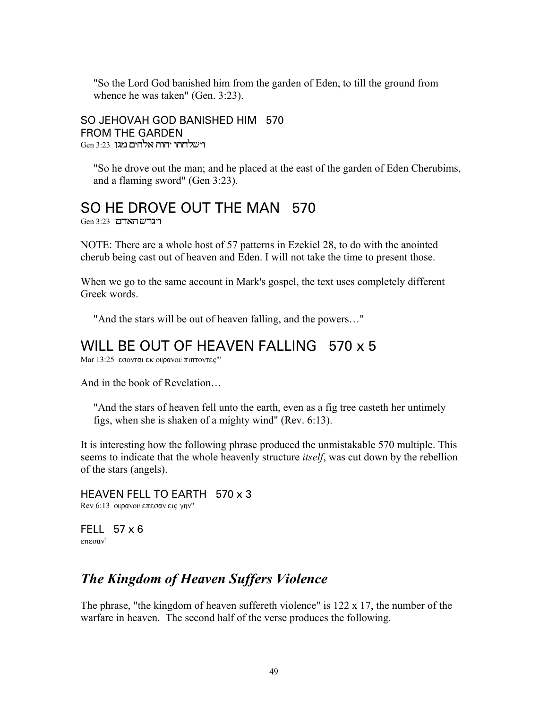"So the Lord God banished him from the garden of Eden, to till the ground from whence he was taken" (Gen. 3:23).

SO JEHOVAH GOD BANISHED HIM 570 FROM THE GARDEN  $Gen$  3:23 רישלחהו יהוה אלהים מגן

"So he drove out the man; and he placed at the east of the garden of Eden Cherubims, and a flaming sword" (Gen 3:23).

## SO HE DROVE OUT THE MAN 570

 $Gen 3:23$  'ריגרש האדם

NOTE: There are a whole host of 57 patterns in Ezekiel 28, to do with the anointed cherub being cast out of heaven and Eden. I will not take the time to present those.

When we go to the same account in Mark's gospel, the text uses completely different Greek words.

"And the stars will be out of heaven falling, and the powers…"

#### WILL BE OUT OF HEAVEN FALLING 570 x 5

Mar 13:25 εσονται εκ ουρανου πιπτοντες"

And in the book of Revelation…

"And the stars of heaven fell unto the earth, even as a fig tree casteth her untimely figs, when she is shaken of a mighty wind" (Rev. 6:13).

It is interesting how the following phrase produced the unmistakable 570 multiple. This seems to indicate that the whole heavenly structure *itself*, was cut down by the rebellion of the stars (angels).

HEAVEN FELL TO EARTH 570 x 3 Rev  $6:13$  oupavou επεσαν εις γην"

FELL 57 x 6 επεσαν'

### *The Kingdom of Heaven Suffers Violence*

The phrase, "the kingdom of heaven suffereth violence" is 122 x 17, the number of the warfare in heaven. The second half of the verse produces the following.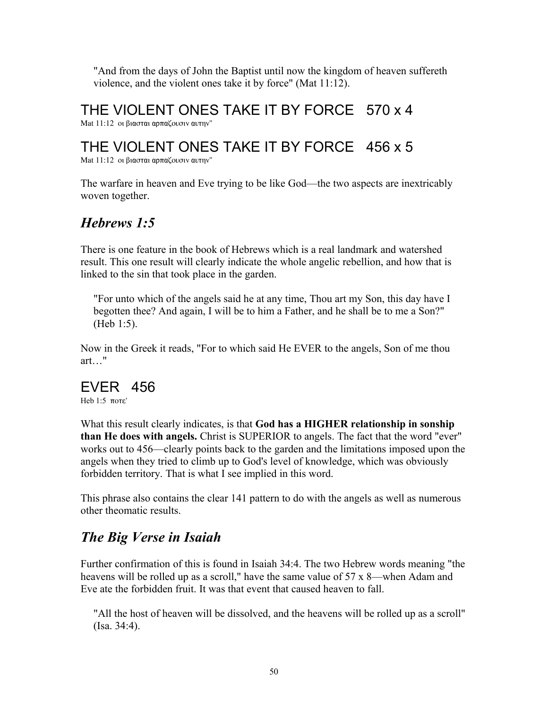"And from the days of John the Baptist until now the kingdom of heaven suffereth violence, and the violent ones take it by force" (Mat 11:12).

THE VIOLENT ONES TAKE IT BY FORCE 570 x 4

Mat 11:12 οι βιασται αρπαζουσιν αυτην"

# THE VIOLENT ONES TAKE IT BY FORCE 456 x 5

Mat 11:12 οι βιασται αρπαζουσιν αυτην"

The warfare in heaven and Eve trying to be like God—the two aspects are inextricably woven together.

# *Hebrews 1:5*

There is one feature in the book of Hebrews which is a real landmark and watershed result. This one result will clearly indicate the whole angelic rebellion, and how that is linked to the sin that took place in the garden.

"For unto which of the angels said he at any time, Thou art my Son, this day have I begotten thee? And again, I will be to him a Father, and he shall be to me a Son?" (Heb 1:5).

Now in the Greek it reads, "For to which said He EVER to the angels, Son of me thou art…"

### EVER 456

Heb  $1:5$   $\pi$ <sup>o</sup> $\tau$  $\varepsilon$ '

What this result clearly indicates, is that **God has a HIGHER relationship in sonship than He does with angels.** Christ is SUPERIOR to angels. The fact that the word "ever" works out to 456—clearly points back to the garden and the limitations imposed upon the angels when they tried to climb up to God's level of knowledge, which was obviously forbidden territory. That is what I see implied in this word.

This phrase also contains the clear 141 pattern to do with the angels as well as numerous other theomatic results.

# *The Big Verse in Isaiah*

Further confirmation of this is found in Isaiah 34:4. The two Hebrew words meaning "the heavens will be rolled up as a scroll," have the same value of 57 x 8—when Adam and Eve ate the forbidden fruit. It was that event that caused heaven to fall.

"All the host of heaven will be dissolved, and the heavens will be rolled up as a scroll" (Isa. 34:4).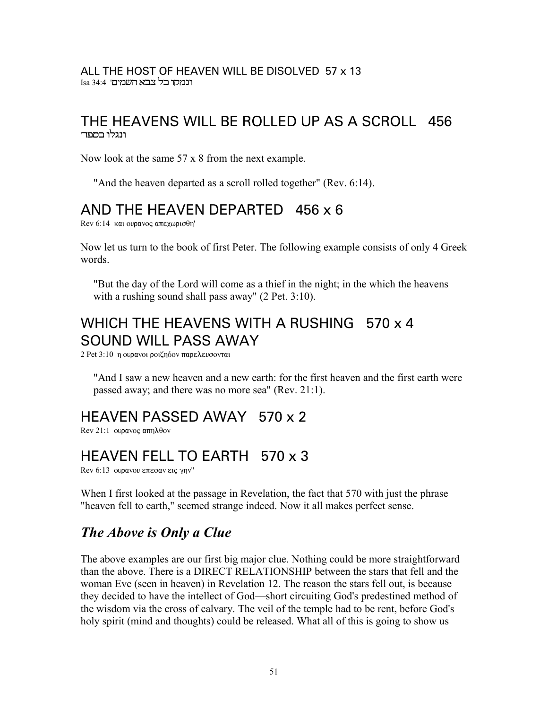#### ALL THE HOST OF HEAVEN WILL BE DISOLVED 57 x 13 Isa 34:4 ' רנמקו בל צבא השמים

#### THE HEAVENS WILL BE ROLLED UP AS A SCROLL 456 ונגלו בספר'

Now look at the same 57 x 8 from the next example.

"And the heaven departed as a scroll rolled together" (Rev. 6:14).

#### AND THE HEAVEN DEPARTED 456 x 6

Rev 6:14  $\kappa$ αι ουρανος απεχωρισθη'

Now let us turn to the book of first Peter. The following example consists of only 4 Greek words.

"But the day of the Lord will come as a thief in the night; in the which the heavens with a rushing sound shall pass away" (2 Pet. 3:10).

# WHICH THE HEAVENS WITH A RUSHING 570 x 4 SOUND WILL PASS AWAY

2 Pet 3:10 η ουρανοι ροιζηδον παρελευσονται

"And I saw a new heaven and a new earth: for the first heaven and the first earth were passed away; and there was no more sea" (Rev. 21:1).

## HEAVEN PASSED AWAY 570 x 2

 $\text{Rev } 21:1$  overvoe  $\text{arm} \lambda \theta$ ov

## HEAVEN FELL TO EARTH 570 x 3

Rev 6:13  $\omega$ ρανου επεσαν εις γην"

When I first looked at the passage in Revelation, the fact that 570 with just the phrase "heaven fell to earth," seemed strange indeed. Now it all makes perfect sense.

### *The Above is Only a Clue*

The above examples are our first big major clue. Nothing could be more straightforward than the above. There is a DIRECT RELATIONSHIP between the stars that fell and the woman Eve (seen in heaven) in Revelation 12. The reason the stars fell out, is because they decided to have the intellect of God—short circuiting God's predestined method of the wisdom via the cross of calvary. The veil of the temple had to be rent, before God's holy spirit (mind and thoughts) could be released. What all of this is going to show us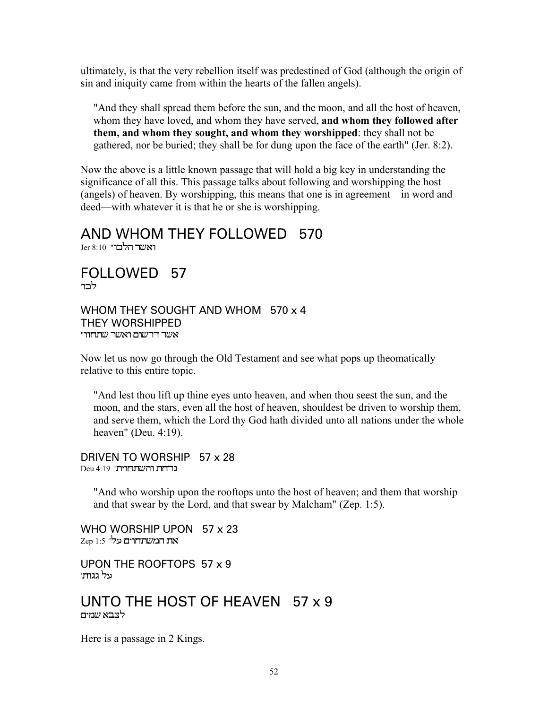ultimately, is that the very rebellion itself was predestined of God (although the origin of sin and iniquity came from within the hearts of the fallen angels).

"And they shall spread them before the sun, and the moon, and all the host of heaven, whom they have loved, and whom they have served, **and whom they followed after them, and whom they sought, and whom they worshipped**: they shall not be gathered, nor be buried; they shall be for dung upon the face of the earth" (Jer. 8:2).

Now the above is a little known passage that will hold a big key in understanding the significance of all this. This passage talks about following and worshipping the host (angels) of heaven. By worshipping, this means that one is in agreement—in word and deed—with whatever it is that he or she is worshipping.

#### AND WHOM THEY FOLLOWED 570

ואשר הלכו" 10 Jer 8:10

FOLLOWED 57 לרוי

WHOM THEY SOUGHT AND WHOM 570 x 4 THEY WORSHIPPED אשר דרשום ואשר שתחוו

Now let us now go through the Old Testament and see what pops up theomatically relative to this entire topic.

"And lest thou lift up thine eyes unto heaven, and when thou seest the sun, and the moon, and the stars, even all the host of heaven, shouldest be driven to worship them, and serve them, which the Lord thy God hath divided unto all nations under the whole heaven" (Deu. 4:19).

DRIVEN TO WORSHIP 57 x 28  $Deu$ 4:19 'נדחת והשתחית

"And who worship upon the rooftops unto the host of heaven; and them that worship and that swear by the Lord, and that swear by Malcham" (Zep. 1:5).

WHO WORSHIP UPON 57 x 23  $Zep$  1:5 'את המשתחוים על

UPON THE ROOFTOPS 57 x 9 על **גגות**'

#### UNTO THE HOST OF HEAVEN 57 x 9 לצבא שמים

Here is a passage in 2 Kings.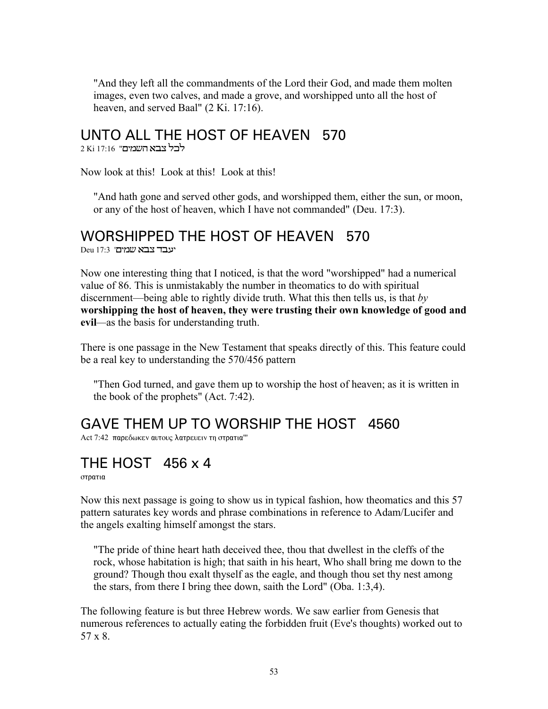"And they left all the commandments of the Lord their God, and made them molten images, even two calves, and made a grove, and worshipped unto all the host of heaven, and served Baal" (2 Ki. 17:16).

### UNTO ALL THE HOST OF HEAVEN 570

2 Ki 17:16 **לכל צבא השמים**"

Now look at this! Look at this! Look at this!

"And hath gone and served other gods, and worshipped them, either the sun, or moon, or any of the host of heaven, which I have not commanded" (Deu. 17:3).

#### WORSHIPPED THE HOST OF HEAVEN 570

 $Deu$ 17:3 'עבד צבא שמים'

Now one interesting thing that I noticed, is that the word "worshipped" had a numerical value of 86. This is unmistakably the number in theomatics to do with spiritual discernment—being able to rightly divide truth. What this then tells us, is that *by* **worshipping the host of heaven, they were trusting their own knowledge of good and evil***—*as the basis for understanding truth.

There is one passage in the New Testament that speaks directly of this. This feature could be a real key to understanding the 570/456 pattern

"Then God turned, and gave them up to worship the host of heaven; as it is written in the book of the prophets" (Act. 7:42).

# GAVE THEM UP TO WORSHIP THE HOST 4560

Act 7:42 παρεδωκεν αυτους λατρευειν τη στρατια"'

## THE HOST 456 x 4

στρατια

Now this next passage is going to show us in typical fashion, how theomatics and this 57 pattern saturates key words and phrase combinations in reference to Adam/Lucifer and the angels exalting himself amongst the stars.

"The pride of thine heart hath deceived thee, thou that dwellest in the cleffs of the rock, whose habitation is high; that saith in his heart, Who shall bring me down to the ground? Though thou exalt thyself as the eagle, and though thou set thy nest among the stars, from there I bring thee down, saith the Lord" (Oba. 1:3,4).

The following feature is but three Hebrew words. We saw earlier from Genesis that numerous references to actually eating the forbidden fruit (Eve's thoughts) worked out to 57 x 8.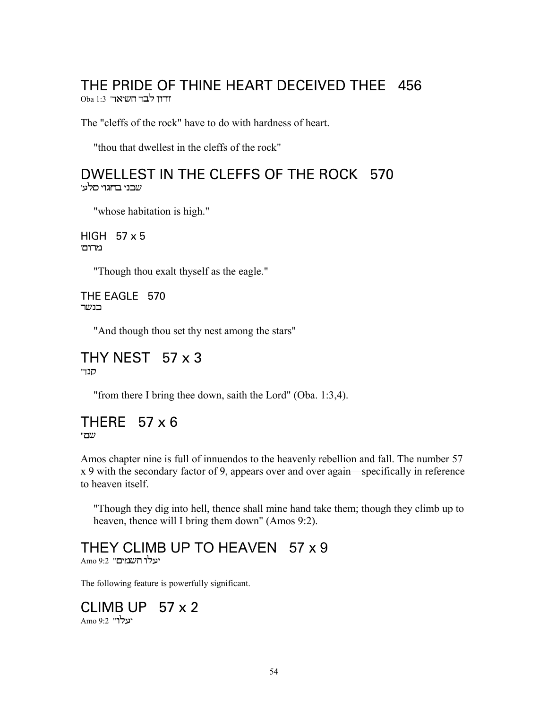# THE PRIDE OF THINE HEART DECEIVED THEE 456

Oba 1:3 ידון לבד השיאר'

The "cleffs of the rock" have to do with hardness of heart.

"thou that dwellest in the cleffs of the rock"

#### DWELLEST IN THE CLEFFS OF THE ROCK 570 שבני בחגוי סלע'

"whose habitation is high."

HIGH  $57 \times 5$ מרום'

"Though thou exalt thyself as the eagle."

THE EAGLE 570 בנשר

"And though thou set thy nest among the stars"

#### THY NEST  $57 \times 3$ סנד'

"from there I bring thee down, saith the Lord" (Oba. 1:3,4).

#### THERE  $57 \times 6$ שם"

Amos chapter nine is full of innuendos to the heavenly rebellion and fall. The number 57 x 9 with the secondary factor of 9, appears over and over again—specifically in reference to heaven itself.

"Though they dig into hell, thence shall mine hand take them; though they climb up to heaven, thence will I bring them down" (Amos 9:2).

# THEY CLIMB UP TO HEAVEN 57 x 9

יעלו השמים" 9:2 Amo

The following feature is powerfully significant.

#### CLIMB UP 57 x 2 יעלו" 9:2 Amo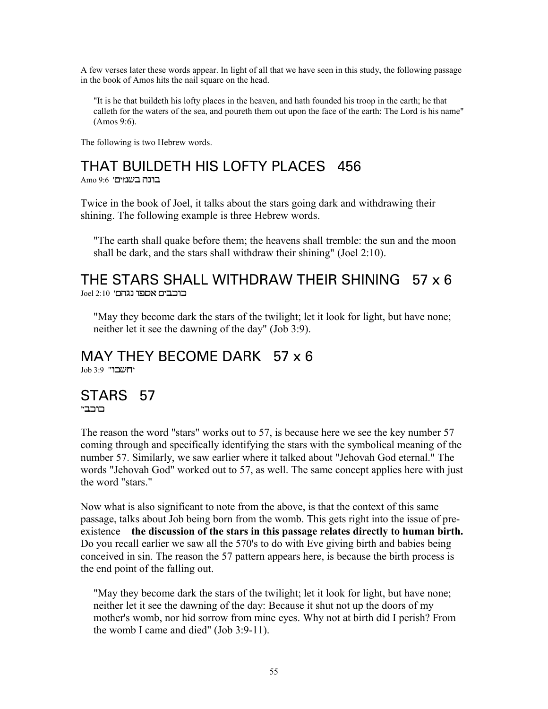A few verses later these words appear. In light of all that we have seen in this study, the following passage in the book of Amos hits the nail square on the head.

"It is he that buildeth his lofty places in the heaven, and hath founded his troop in the earth; he that calleth for the waters of the sea, and poureth them out upon the face of the earth: The Lord is his name" (Amos 9:6).

The following is two Hebrew words.

# THAT BUILDETH HIS LOFTY PLACES 456

 $\text{Amo } 9.6$  בונה בשמים

Twice in the book of Joel, it talks about the stars going dark and withdrawing their shining. The following example is three Hebrew words.

"The earth shall quake before them; the heavens shall tremble: the sun and the moon shall be dark, and the stars shall withdraw their shining" (Joel 2:10).

#### THE STARS SHALL WITHDRAW THEIR SHINING 57 x 6  $Joel$  2:10 'בוכבים אספו נגהם

"May they become dark the stars of the twilight; let it look for light, but have none; neither let it see the dawning of the day" (Job 3:9).

## MAY THEY BECOME DARK 57 x 6

 $Job 3:9$  'יחשבו

#### STARS 57 '‰Â‹…‹

The reason the word "stars" works out to 57, is because here we see the key number 57 coming through and specifically identifying the stars with the symbolical meaning of the number 57. Similarly, we saw earlier where it talked about "Jehovah God eternal." The words "Jehovah God" worked out to 57, as well. The same concept applies here with just the word "stars."

Now what is also significant to note from the above, is that the context of this same passage, talks about Job being born from the womb. This gets right into the issue of preexistence—**the discussion of the stars in this passage relates directly to human birth.** Do you recall earlier we saw all the 570's to do with Eve giving birth and babies being conceived in sin. The reason the 57 pattern appears here, is because the birth process is the end point of the falling out.

"May they become dark the stars of the twilight; let it look for light, but have none; neither let it see the dawning of the day: Because it shut not up the doors of my mother's womb, nor hid sorrow from mine eyes. Why not at birth did I perish? From the womb I came and died" (Job 3:9-11).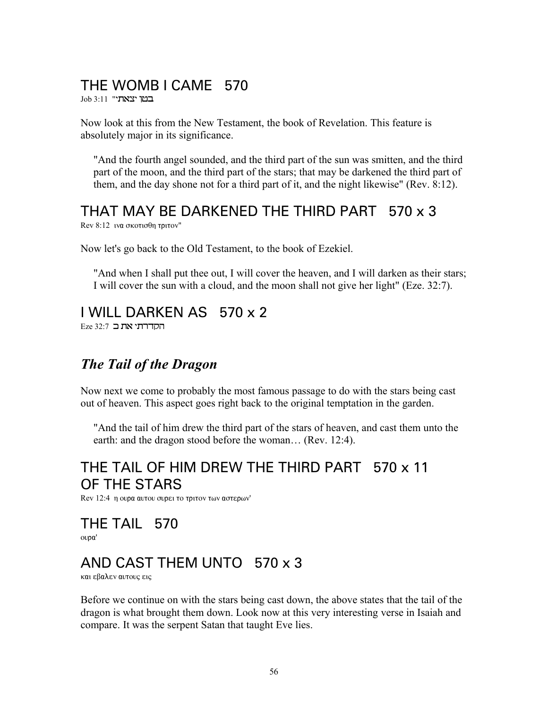# THE WOMB I CAME 570

 $\rm{Job}$ 3:11 "במו יצאת

Now look at this from the New Testament, the book of Revelation. This feature is absolutely major in its significance.

"And the fourth angel sounded, and the third part of the sun was smitten, and the third part of the moon, and the third part of the stars; that may be darkened the third part of them, and the day shone not for a third part of it, and the night likewise" (Rev. 8:12).

### THAT MAY BE DARKENED THE THIRD PART 570 x 3

 $Rev 8:12$  *iva σκοτισθη τριτον*"

Now let's go back to the Old Testament, to the book of Ezekiel.

"And when I shall put thee out, I will cover the heaven, and I will darken as their stars; I will cover the sun with a cloud, and the moon shall not give her light" (Eze. 32:7).

### I WILL DARKEN AS 570 x 2

 $E$ Eze 32:7 הקדרתי את ב

## *The Tail of the Dragon*

Now next we come to probably the most famous passage to do with the stars being cast out of heaven. This aspect goes right back to the original temptation in the garden.

"And the tail of him drew the third part of the stars of heaven, and cast them unto the earth: and the dragon stood before the woman… (Rev. 12:4).

## THE TAIL OF HIM DREW THE THIRD PART 570 x 11 OF THE STARS

Rev 12:4 η ουρα αυτου συρει το τριτον των αστερων'

# THE TAIL 570

ovpa'

## AND CAST THEM UNTO 570 x 3

και εβαλεν αυτους εις

Before we continue on with the stars being cast down, the above states that the tail of the dragon is what brought them down. Look now at this very interesting verse in Isaiah and compare. It was the serpent Satan that taught Eve lies.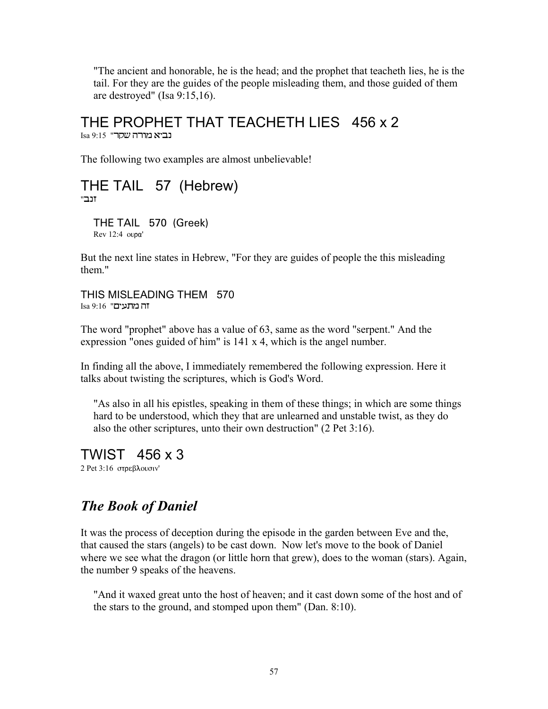"The ancient and honorable, he is the head; and the prophet that teacheth lies, he is the tail. For they are the guides of the people misleading them, and those guided of them are destroyed" (Isa 9:15,16).

THE PROPHET THAT TEACHETH LIES 456 x 2  $Isa 9:15$ " נביא מורה שקר

The following two examples are almost unbelievable!

## THE TAIL 57 (Hebrew)

"傠

THE TAIL 570 (Greek)  $Rev 12:4 ovo a'$ 

But the next line states in Hebrew, "For they are guides of people the this misleading them."

THIS MISLEADING THEM 570  $Isa 9:16$  "ה מתעים

The word "prophet" above has a value of 63, same as the word "serpent." And the expression "ones guided of him" is 141 x 4, which is the angel number.

In finding all the above, I immediately remembered the following expression. Here it talks about twisting the scriptures, which is God's Word.

"As also in all his epistles, speaking in them of these things; in which are some things hard to be understood, which they that are unlearned and unstable twist, as they do also the other scriptures, unto their own destruction" (2 Pet 3:16).

TWIST 456 x 3

2 Pet 3:16 στρεβλουσιν'

### *The Book of Daniel*

It was the process of deception during the episode in the garden between Eve and the, that caused the stars (angels) to be cast down. Now let's move to the book of Daniel where we see what the dragon (or little horn that grew), does to the woman (stars). Again, the number 9 speaks of the heavens.

"And it waxed great unto the host of heaven; and it cast down some of the host and of the stars to the ground, and stomped upon them" (Dan. 8:10).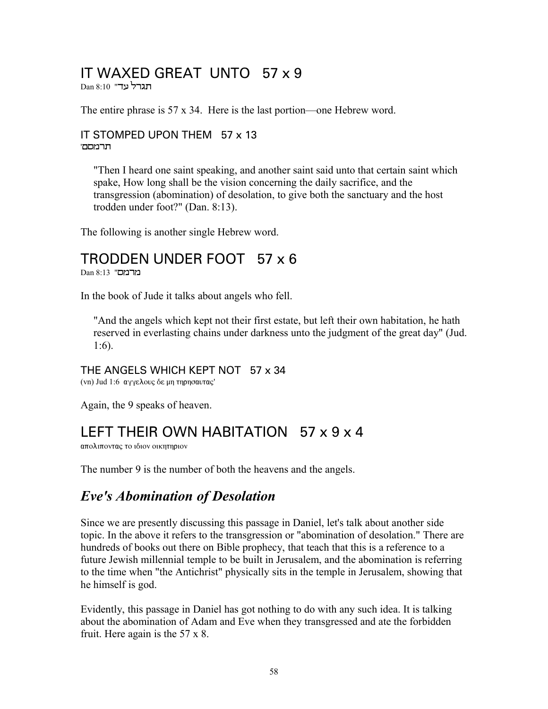### IT WAXED GREAT UNTO 57 x 9

Dan 8:10 "תגרל עד

The entire phrase is 57 x 34. Here is the last portion—one Hebrew word.

#### IT STOMPED UPON THEM 57 x 13 'תרמסם

"Then I heard one saint speaking, and another saint said unto that certain saint which spake, How long shall be the vision concerning the daily sacrifice, and the transgression (abomination) of desolation, to give both the sanctuary and the host trodden under foot?" (Dan. 8:13).

The following is another single Hebrew word.

#### TRODDEN UNDER FOOT 57 x 6

 $Dan 8:13$  "בורמם

In the book of Jude it talks about angels who fell.

"And the angels which kept not their first estate, but left their own habitation, he hath reserved in everlasting chains under darkness unto the judgment of the great day" (Jud. 1:6).

#### THE ANGELS WHICH KEPT NOT 57 x 34

(vn) Jud 1:6 αγγελους δε μη τηρησαυτας'

Again, the 9 speaks of heaven.

#### LEFT THEIR OWN HABITATION 57 x 9 x 4

απολιποντας το ιδιον οικητηριον

The number 9 is the number of both the heavens and the angels.

#### *Eve's Abomination of Desolation*

Since we are presently discussing this passage in Daniel, let's talk about another side topic. In the above it refers to the transgression or "abomination of desolation." There are hundreds of books out there on Bible prophecy, that teach that this is a reference to a future Jewish millennial temple to be built in Jerusalem, and the abomination is referring to the time when "the Antichrist" physically sits in the temple in Jerusalem, showing that he himself is god.

Evidently, this passage in Daniel has got nothing to do with any such idea. It is talking about the abomination of Adam and Eve when they transgressed and ate the forbidden fruit. Here again is the 57 x 8.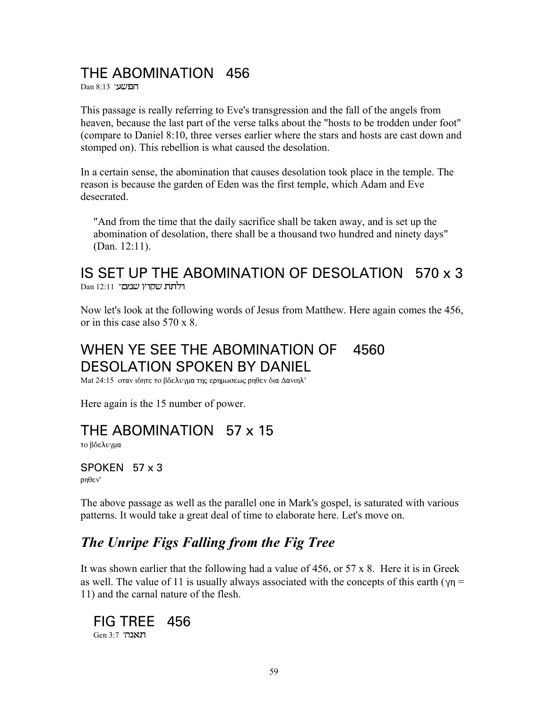### THE ABOMINATION 456

Dan 8:13 'הפשע

This passage is really referring to Eve's transgression and the fall of the angels from heaven, because the last part of the verse talks about the "hosts to be trodden under foot" (compare to Daniel 8:10, three verses earlier where the stars and hosts are cast down and stomped on). This rebellion is what caused the desolation.

In a certain sense, the abomination that causes desolation took place in the temple. The reason is because the garden of Eden was the first temple, which Adam and Eve desecrated

"And from the time that the daily sacrifice shall be taken away, and is set up the abomination of desolation, there shall be a thousand two hundred and ninety days" (Dan.  $12:11$ ).

#### IS SET UP THE ABOMINATION OF DESOLATION 570 x 3 רלתת שקרץ שמם" 12:11

Now let's look at the following words of Jesus from Matthew. Here again comes the 456, or in this case also  $570 \times 8$ .

#### WHEN YE SEE THE ABOMINATION OF 4560 **DESOLATION SPOKEN BY DANIEL**

Mat 24:15 οταν ιδητε το βδελυγμα της ερημωσεως ρηθεν δια Δανιηλ'

Here again is the 15 number of power.

#### THE ABOMINATION 57 x 15

το βδελυγμα

#### SPOKEN 57 x 3  $n\theta$ <sub>E</sub>v'

The above passage as well as the parallel one in Mark's gospel, is saturated with various patterns. It would take a great deal of time to elaborate here. Let's move on.

### The Unripe Figs Falling from the Fig Tree

It was shown earlier that the following had a value of 456, or  $57 \times 8$ . Here it is in Greek as well. The value of 11 is usually always associated with the concepts of this earth ( $\gamma$ n = 11) and the carnal nature of the flesh.

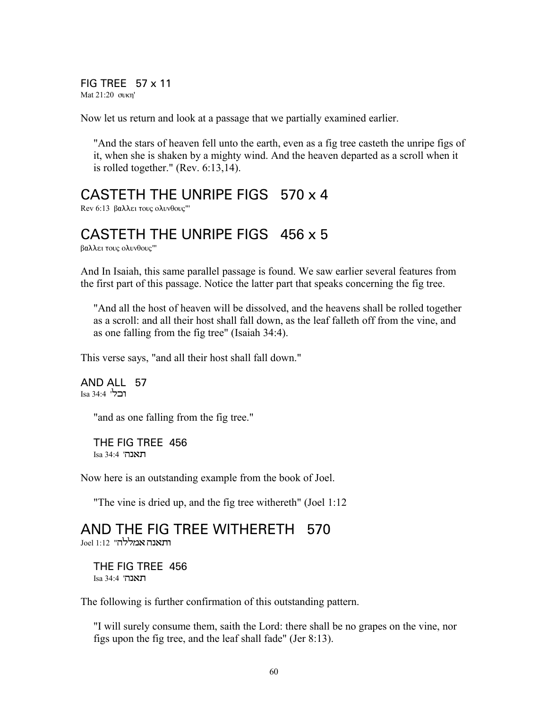FIG TREE 57 x 11 Mat 21:20 συκη'

Now let us return and look at a passage that we partially examined earlier.

"And the stars of heaven fell unto the earth, even as a fig tree casteth the unripe figs of it, when she is shaken by a mighty wind. And the heaven departed as a scroll when it is rolled together." (Rev. 6:13,14).

### CASTETH THE UNRIPE FIGS 570 x 4

Rev 6:13 βαλλει τους ολυνθους"'

## CASTETH THE UNRIPE FIGS 456 x 5

βαλλει τους ολυνθους"'

And In Isaiah, this same parallel passage is found. We saw earlier several features from the first part of this passage. Notice the latter part that speaks concerning the fig tree.

"And all the host of heaven will be dissolved, and the heavens shall be rolled together as a scroll: and all their host shall fall down, as the leaf falleth off from the vine, and as one falling from the fig tree" (Isaiah 34:4).

This verse says, "and all their host shall fall down."

AND ALL 57 Isa 34:4 'Œ‹…

"and as one falling from the fig tree."

THE FIG TREE 456 Isa 34:4 'תאנה

Now here is an outstanding example from the book of Joel.

"The vine is dried up, and the fig tree withereth" (Joel 1:12

### AND THE FIG TREE WITHERETH 570

ותאנה אמללה". 1:12 Joel

THE FIG TREE 456 Isa 34:4 'תאנה

The following is further confirmation of this outstanding pattern.

"I will surely consume them, saith the Lord: there shall be no grapes on the vine, nor figs upon the fig tree, and the leaf shall fade" (Jer 8:13).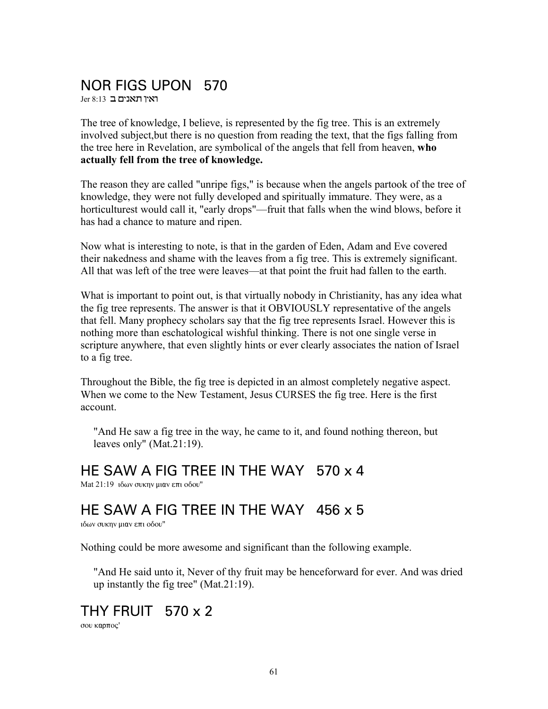### NOR FIGS UPON 570

 $Jer 8:13$  ראיו תאנים ב

The tree of knowledge, I believe, is represented by the fig tree. This is an extremely involved subject,but there is no question from reading the text, that the figs falling from the tree here in Revelation, are symbolical of the angels that fell from heaven, **who actually fell from the tree of knowledge.**

The reason they are called "unripe figs," is because when the angels partook of the tree of knowledge, they were not fully developed and spiritually immature. They were, as a horticulturest would call it, "early drops"—fruit that falls when the wind blows, before it has had a chance to mature and ripen.

Now what is interesting to note, is that in the garden of Eden, Adam and Eve covered their nakedness and shame with the leaves from a fig tree. This is extremely significant. All that was left of the tree were leaves—at that point the fruit had fallen to the earth.

What is important to point out, is that virtually nobody in Christianity, has any idea what the fig tree represents. The answer is that it OBVIOUSLY representative of the angels that fell. Many prophecy scholars say that the fig tree represents Israel. However this is nothing more than eschatological wishful thinking. There is not one single verse in scripture anywhere, that even slightly hints or ever clearly associates the nation of Israel to a fig tree.

Throughout the Bible, the fig tree is depicted in an almost completely negative aspect. When we come to the New Testament, Jesus CURSES the fig tree. Here is the first account.

"And He saw a fig tree in the way, he came to it, and found nothing thereon, but leaves only" (Mat.21:19).

HE SAW A FIG TREE IN THE WAY 570 x 4

Mat  $21:19$  ιδων συκην μιαν επι οδου"

HE SAW A FIG TREE IN THE WAY 456 x 5

ιδων συκην μιαν επι οδου"

Nothing could be more awesome and significant than the following example.

"And He said unto it, Never of thy fruit may be henceforward for ever. And was dried up instantly the fig tree" (Mat.21:19).

THY FRUIT  $570 \times 2$ σου καρπος'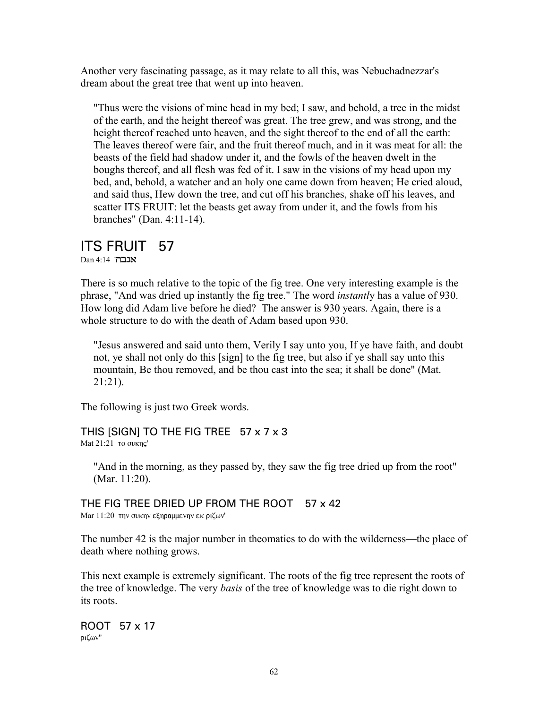Another very fascinating passage, as it may relate to all this, was Nebuchadnezzar's dream about the great tree that went up into heaven.

"Thus were the visions of mine head in my bed; I saw, and behold, a tree in the midst of the earth, and the height thereof was great. The tree grew, and was strong, and the height thereof reached unto heaven, and the sight thereof to the end of all the earth: The leaves thereof were fair, and the fruit thereof much, and in it was meat for all: the beasts of the field had shadow under it, and the fowls of the heaven dwelt in the boughs thereof, and all flesh was fed of it. I saw in the visions of my head upon my bed, and, behold, a watcher and an holy one came down from heaven; He cried aloud, and said thus, Hew down the tree, and cut off his branches, shake off his leaves, and scatter ITS FRUIT: let the beasts get away from under it, and the fowls from his branches" (Dan. 4:11-14).

#### ITS FRUIT 57

 $Dan 4:14$  'אנבה

There is so much relative to the topic of the fig tree. One very interesting example is the phrase, "And was dried up instantly the fig tree." The word *instantl*y has a value of 930. How long did Adam live before he died? The answer is 930 years. Again, there is a whole structure to do with the death of Adam based upon 930.

"Jesus answered and said unto them, Verily I say unto you, If ye have faith, and doubt not, ye shall not only do this [sign] to the fig tree, but also if ye shall say unto this mountain, Be thou removed, and be thou cast into the sea; it shall be done" (Mat. 21:21).

The following is just two Greek words.

THIS [SIGN] TO THE FIG TREE 57 x 7 x 3 Mat  $21:21$  to συκης'

"And in the morning, as they passed by, they saw the fig tree dried up from the root" (Mar. 11:20).

THE FIG TREE DRIED UP FROM THE ROOT 57 x 42 Mar  $11:20$  την συκην εξηραμμενην εκ ριζων'

The number 42 is the major number in theomatics to do with the wilderness—the place of death where nothing grows.

This next example is extremely significant. The roots of the fig tree represent the roots of the tree of knowledge. The very *basis* of the tree of knowledge was to die right down to its roots.

ROOT 57 x 17 ριζων"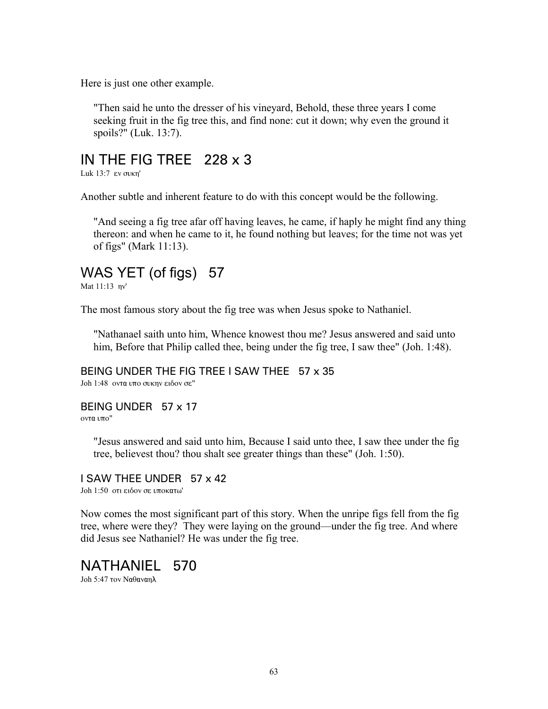Here is just one other example.

"Then said he unto the dresser of his vineyard, Behold, these three years I come seeking fruit in the fig tree this, and find none: cut it down; why even the ground it spoils?" (Luk. 13:7).

#### IN THE FIG TREE 228 x 3

Luk  $13:7$   $\varepsilon$ v συκη'

Another subtle and inherent feature to do with this concept would be the following.

"And seeing a fig tree afar off having leaves, he came, if haply he might find any thing thereon: and when he came to it, he found nothing but leaves; for the time not was yet of figs" (Mark 11:13).

# WAS YET (of figs) 57

Mat  $11:13$  nv'

The most famous story about the fig tree was when Jesus spoke to Nathaniel.

"Nathanael saith unto him, Whence knowest thou me? Jesus answered and said unto him, Before that Philip called thee, being under the fig tree, I saw thee" (Joh. 1:48).

#### BEING UNDER THE FIG TREE I SAW THEE 57 x 35

Joh 1:48 οντα υπο συκην ειδον σε"

#### BEING UNDER 57 x 17

οντα υπο"

"Jesus answered and said unto him, Because I said unto thee, I saw thee under the fig tree, believest thou? thou shalt see greater things than these" (Joh. 1:50).

#### I SAW THEE UNDER 57 x 42

Joh 1:50 οτι ειδον σε υποκατω'

Now comes the most significant part of this story. When the unripe figs fell from the fig tree, where were they? They were laying on the ground—under the fig tree. And where did Jesus see Nathaniel? He was under the fig tree.

#### NATHANIEL 570

Joh 5:47  $\text{row}$  Na $\theta$ avan $\lambda$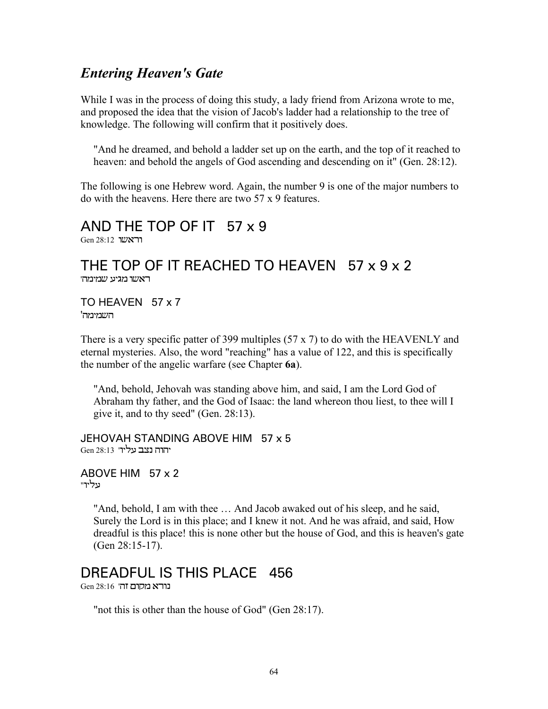#### *Entering Heaven's Gate*

While I was in the process of doing this study, a lady friend from Arizona wrote to me, and proposed the idea that the vision of Jacob's ladder had a relationship to the tree of knowledge. The following will confirm that it positively does.

"And he dreamed, and behold a ladder set up on the earth, and the top of it reached to heaven: and behold the angels of God ascending and descending on it" (Gen. 28:12).

The following is one Hebrew word. Again, the number 9 is one of the major numbers to do with the heavens. Here there are two 57 x 9 features.

#### AND THE TOP OF IT 57 x 9 Gen 28:12 **הראשר**

#### THE TOP OF IT REACHED TO HEAVEN 57 x 9 x 2 ראשו מגיע שמימה'

TO HEAVEN 57 x 7 השמימה'

There is a very specific patter of 399 multiples (57 x 7) to do with the HEAVENLY and eternal mysteries. Also, the word "reaching" has a value of 122, and this is specifically the number of the angelic warfare (see Chapter **6a**).

"And, behold, Jehovah was standing above him, and said, I am the Lord God of Abraham thy father, and the God of Isaac: the land whereon thou liest, to thee will I give it, and to thy seed" (Gen. 28:13).

JEHOVAH STANDING ABOVE HIM 57 x 5 יהוה נצב עליו" 13:33 Gen

ABOVE HIM 57 x 2 "מביר

> "And, behold, I am with thee … And Jacob awaked out of his sleep, and he said, Surely the Lord is in this place; and I knew it not. And he was afraid, and said, How dreadful is this place! this is none other but the house of God, and this is heaven's gate (Gen 28:15-17).

# DREADFUL IS THIS PLACE 456

 $Gen$  28:16 נורא מקום זה'

"not this is other than the house of God" (Gen 28:17).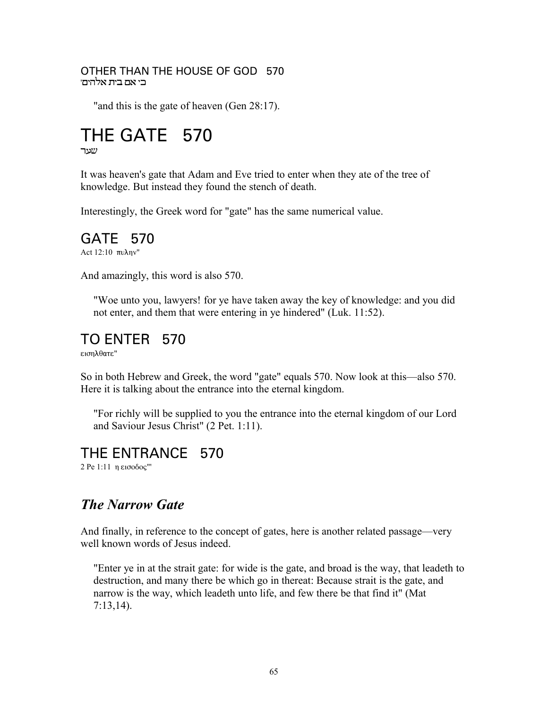#### OTHER THAN THE HOUSE OF GOD 570 בי אם בית אלהים'

"and this is the gate of heaven (Gen 28:17).

# THE GATE 570

#### שער

It was heaven's gate that Adam and Eve tried to enter when they ate of the tree of knowledge. But instead they found the stench of death.

Interestingly, the Greek word for "gate" has the same numerical value.

#### GATE 570

Act 12:10 πυλην"

And amazingly, this word is also 570.

"Woe unto you, lawyers! for ye have taken away the key of knowledge: and you did not enter, and them that were entering in ye hindered" (Luk. 11:52).

### TO ENTER 570

 $r$ 3700 km $\epsilon$ 

So in both Hebrew and Greek, the word "gate" equals 570. Now look at this—also 570. Here it is talking about the entrance into the eternal kingdom.

"For richly will be supplied to you the entrance into the eternal kingdom of our Lord and Saviour Jesus Christ" (2 Pet. 1:11).

### THE ENTRANCE 570

2 Ρε 1:11 η εισοδος"'

### **The Narrow Gate**

And finally, in reference to the concept of gates, here is another related passage—very well known words of Jesus indeed

"Enter ye in at the strait gate: for wide is the gate, and broad is the way, that leadeth to destruction, and many there be which go in thereat: Because strait is the gate, and narrow is the way, which leadeth unto life, and few there be that find it" (Mat  $7:13,14$ ).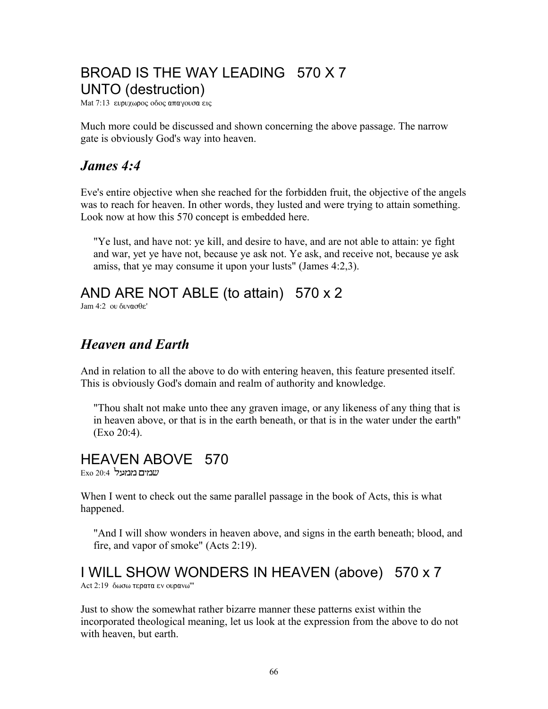# BROAD IS THE WAY LEADING 570 X 7 UNTO (destruction)

Mat 7:13 ευρυχωρος οδος απαγουσα εις

Much more could be discussed and shown concerning the above passage. The narrow gate is obviously God's way into heaven.

#### *James 4:4*

Eve's entire objective when she reached for the forbidden fruit, the objective of the angels was to reach for heaven. In other words, they lusted and were trying to attain something. Look now at how this 570 concept is embedded here.

"Ye lust, and have not: ye kill, and desire to have, and are not able to attain: ye fight and war, yet ye have not, because ye ask not. Ye ask, and receive not, because ye ask amiss, that ye may consume it upon your lusts" (James 4:2,3).

# AND ARE NOT ABLE (to attain) 570 x 2

 $\text{Iam } 4.2$  ou  $\text{div} \mathfrak{a}$ 

## *Heaven and Earth*

And in relation to all the above to do with entering heaven, this feature presented itself. This is obviously God's domain and realm of authority and knowledge.

"Thou shalt not make unto thee any graven image, or any likeness of any thing that is in heaven above, or that is in the earth beneath, or that is in the water under the earth" (Exo 20:4).

# HEAVEN ABOVE 570

 $\mathop{\hbox{\rm Exo}}\nolimits$  20:4  $\mathop{\hbox{\rm Exo}}\nolimits$  במבעל

When I went to check out the same parallel passage in the book of Acts, this is what happened.

"And I will show wonders in heaven above, and signs in the earth beneath; blood, and fire, and vapor of smoke" (Acts 2:19).

# I WILL SHOW WONDERS IN HEAVEN (above) 570 x 7

Act  $2:19$  δωσω τερατα εν ουρανω"'

Just to show the somewhat rather bizarre manner these patterns exist within the incorporated theological meaning, let us look at the expression from the above to do not with heaven, but earth.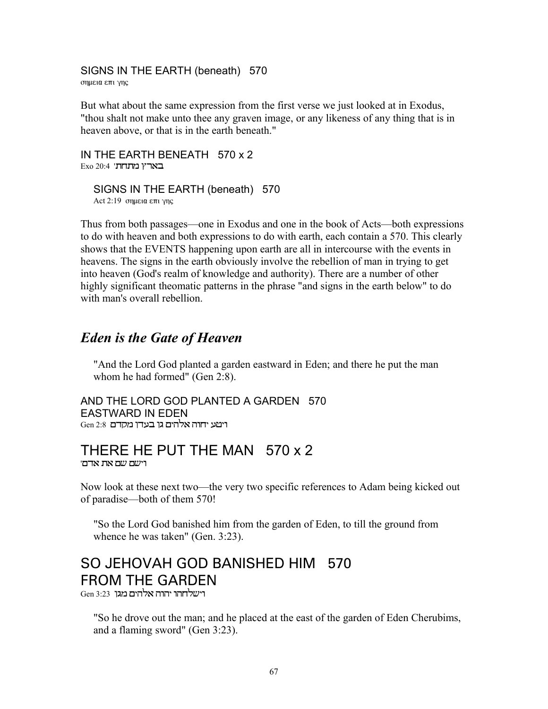### SIGNS IN THE EARTH (beneath) 570

σημεια επι γης

But what about the same expression from the first verse we just looked at in Exodus, "thou shalt not make unto thee any graven image, or any likeness of any thing that is in heaven above, or that is in the earth beneath."

IN THE EARTH BENEATH 570 x 2  $Exo 20:4$ ' בארץ מתחת

SIGNS IN THE EARTH (beneath) 570 Act  $2:19$  σημεια επι γης

Thus from both passages—one in Exodus and one in the book of Acts—both expressions to do with heaven and both expressions to do with earth, each contain a 570. This clearly shows that the EVENTS happening upon earth are all in intercourse with the events in heavens. The signs in the earth obviously involve the rebellion of man in trying to get into heaven (God's realm of knowledge and authority). There are a number of other highly significant theomatic patterns in the phrase "and signs in the earth below" to do with man's overall rebellion.

#### *Eden is the Gate of Heaven*

"And the Lord God planted a garden eastward in Eden; and there he put the man whom he had formed" (Gen 2:8).

AND THE LORD GOD PLANTED A GARDEN 570 EASTWARD IN EDEN Gen 2:8 ויטע יחוה אלהים גן בעדן מקדם

#### THERE HE PUT THE MAN 570 x 2 וישם שם את אדם<sup>.</sup>

Now look at these next two—the very two specific references to Adam being kicked out of paradise—both of them 570!

"So the Lord God banished him from the garden of Eden, to till the ground from whence he was taken" (Gen. 3:23).

# SO JEHOVAH GOD BANISHED HIM 570 FROM THE GARDEN

 $Gen 3:23$  רישלחהו יהוה אלהים מגו

"So he drove out the man; and he placed at the east of the garden of Eden Cherubims, and a flaming sword" (Gen 3:23).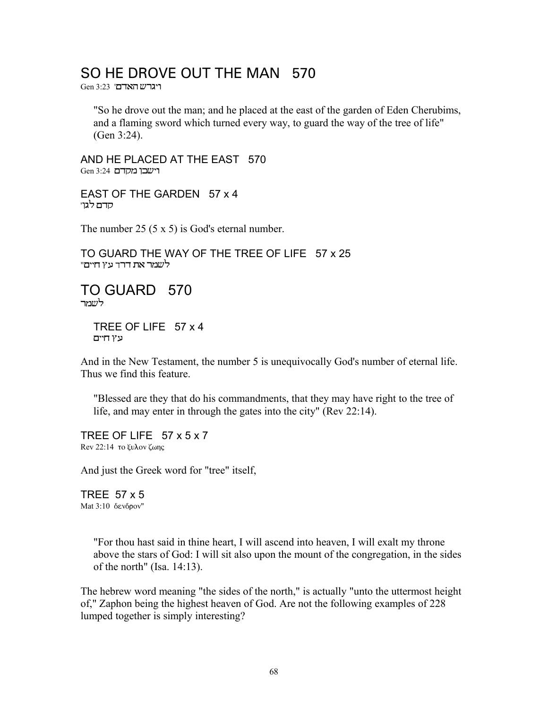#### SO HE DROVE OUT THE MAN 570

 $Gen 3:23$  'רגרש האדם

"So he drove out the man; and he placed at the east of the garden of Eden Cherubims, and a flaming sword which turned every way, to guard the way of the tree of life" (Gen 3:24).

AND HE PLACED AT THE EAST 570  $Gen 3:24$  רישבו מקדם

EAST OF THE GARDEN 57 x 4 'סדם לגו

The number 25 (5 x 5) is God's eternal number.

TO GUARD THE WAY OF THE TREE OF LIFE 57 x 25 לשמר את דרד עץ חיים"

TO GUARD 570 לשמר

> TREE OF LIFE 57 x 4 עץ חיים

And in the New Testament, the number 5 is unequivocally God's number of eternal life. Thus we find this feature.

"Blessed are they that do his commandments, that they may have right to the tree of life, and may enter in through the gates into the city" (Rev 22:14).

TREE OF LIFE 57 x 5 x 7 Rev 22:14 το ξυλον ζωης

And just the Greek word for "tree" itself,

TREE 57 x 5 Mat  $3:10$  δενδρον"

> "For thou hast said in thine heart, I will ascend into heaven, I will exalt my throne above the stars of God: I will sit also upon the mount of the congregation, in the sides of the north" (Isa. 14:13).

The hebrew word meaning "the sides of the north," is actually "unto the uttermost height of," Zaphon being the highest heaven of God. Are not the following examples of 228 lumped together is simply interesting?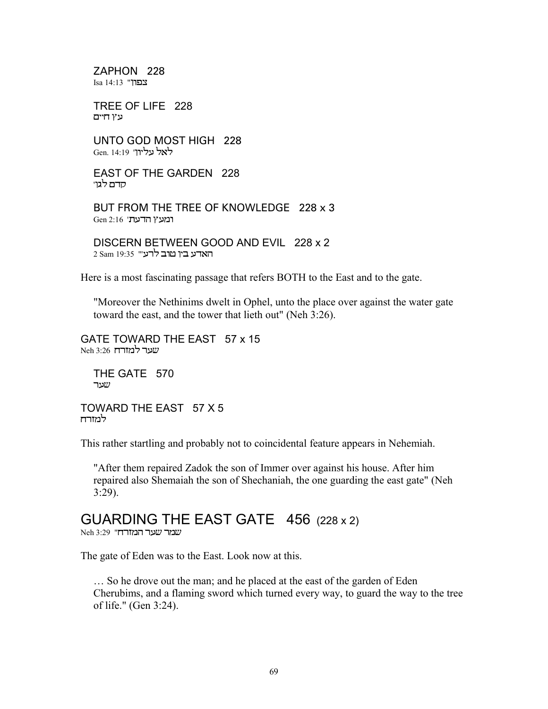7APHON 228 Esa 14:13 "צפוו"

TREE OF LIFE 228 עץ חיים

UNTO GOD MOST HIGH 228 לאל עליון' 14:19 Gen. ל

**EAST OF THE GARDEN 228** סדם לגוי

BUT FROM THE TREE OF KNOWLEDGE 228 x 3 Gen 2:16 'הדעת'

DISCERN BETWEEN GOOD AND EVIL 228 x 2 2 Sam 19:35 "רע"

Here is a most fascinating passage that refers BOTH to the East and to the gate.

"Moreover the Nethinims dwelt in Ophel, unto the place over against the water gate toward the east, and the tower that lieth out" (Neh 3:26).

GATE TOWARD THE EAST 57 x 15 שער למזרח 3:26 Neh

THE GATE 570 שער

TOWARD THE EAST 57 X 5 למזרח

This rather startling and probably not to coincidental feature appears in Nehemiah.

"After them repaired Zadok the son of Immer over against his house. After him repaired also Shemaiah the son of Shechaniah, the one guarding the east gate" (Neh  $3:29$ ).

# GUARDING THE EAST GATE 456 (228 x 2)

Neh 3:29 "שמר שער המזרח

The gate of Eden was to the East. Look now at this.

... So he drove out the man; and he placed at the east of the garden of Eden Cherubims, and a flaming sword which turned every way, to guard the way to the tree of life." (Gen 3:24).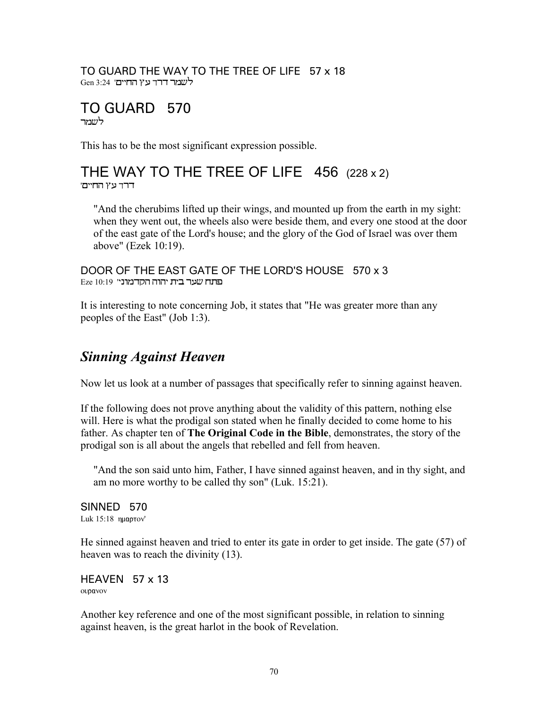#### TO GUARD THE WAY TO THE TREE OF LIFE 57 x 18 לשמר דרך עץ החיים' 3:24 Gen

#### TO GUARD 570 ˜Å™Œ

This has to be the most significant expression possible.

#### THE WAY TO THE TREE OF LIFE 456 (228 x 2) דרד עץ החיים'

"And the cherubims lifted up their wings, and mounted up from the earth in my sight: when they went out, the wheels also were beside them, and every one stood at the door of the east gate of the Lord's house; and the glory of the God of Israel was over them above" (Ezek 10:19).

DOOR OF THE EAST GATE OF THE LORD'S HOUSE 570 x 3  $E$ Eze 10:19 'הוה הקדמוני

It is interesting to note concerning Job, it states that "He was greater more than any peoples of the East" (Job 1:3).

## *Sinning Against Heaven*

Now let us look at a number of passages that specifically refer to sinning against heaven.

If the following does not prove anything about the validity of this pattern, nothing else will. Here is what the prodigal son stated when he finally decided to come home to his father. As chapter ten of **The Original Code in the Bible**, demonstrates, the story of the prodigal son is all about the angels that rebelled and fell from heaven.

"And the son said unto him, Father, I have sinned against heaven, and in thy sight, and am no more worthy to be called thy son" (Luk. 15:21).

SINNED 570 Luk 15:18 nuaprov'

He sinned against heaven and tried to enter its gate in order to get inside. The gate (57) of heaven was to reach the divinity (13).

HEAVEN 57 x 13 ουρανον

Another key reference and one of the most significant possible, in relation to sinning against heaven, is the great harlot in the book of Revelation.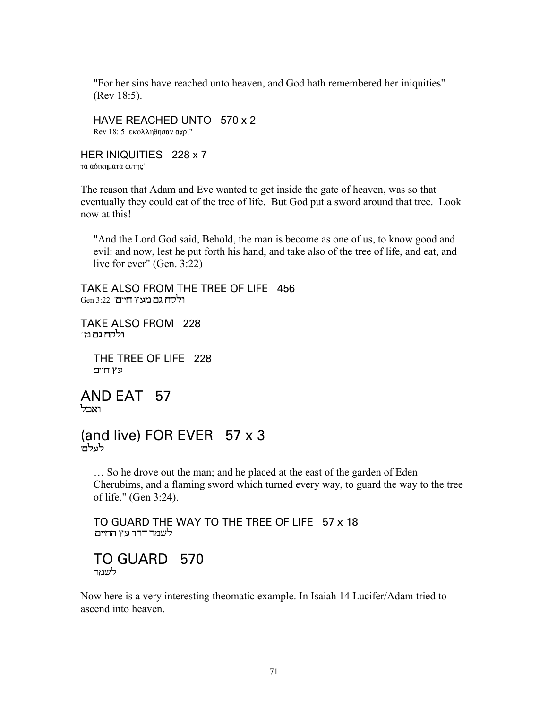"For her sins have reached unto heaven, and God hath remembered her iniquities" (Rev 18:5).

HAVE REACHED UNTO 570 x 2 Rev 18: 5 εκολληθησαν αχρι"

HER INIQUITIES 228 x 7 τα αδικηματα αυτης'

The reason that Adam and Eve wanted to get inside the gate of heaven, was so that eventually they could eat of the tree of life. But God put a sword around that tree. Look now at this!

"And the Lord God said, Behold, the man is become as one of us, to know good and evil: and now, lest he put forth his hand, and take also of the tree of life, and eat, and live for ever" (Gen. 3:22)

TAKE ALSO FROM THE TREE OF LIFE 456 ולקח גם מעץ חיים' 3:22 Gen

TAKE ALSO FROM 228 `ולקח גם מ

> THE TREE OF LIFE 228 עץ חיים

AND EAT 57 וארל

(and live) FOR EVER 57 x 3 לעלם'

… So he drove out the man; and he placed at the east of the garden of Eden Cherubims, and a flaming sword which turned every way, to guard the way to the tree of life." (Gen 3:24).

TO GUARD THE WAY TO THE TREE OF LIFE 57 x 18 לשמר דרד עץ החיים'

#### TO GUARD 570 לשמר

Now here is a very interesting theomatic example. In Isaiah 14 Lucifer/Adam tried to ascend into heaven.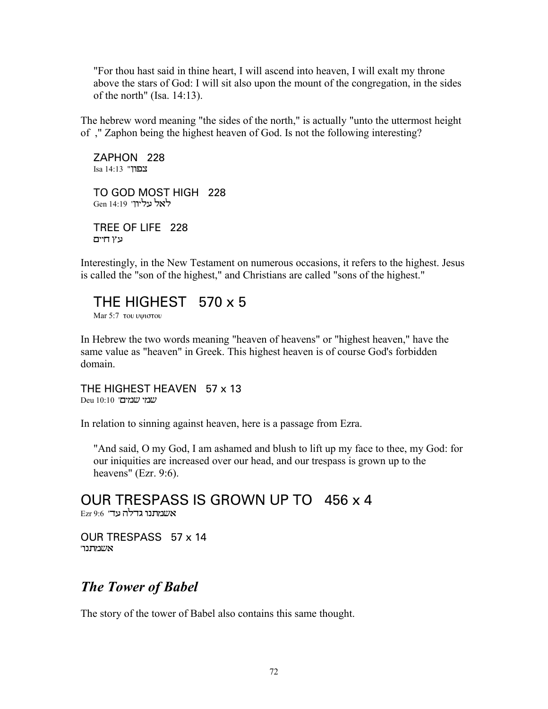"For thou hast said in thine heart, I will ascend into heaven, I will exalt my throne above the stars of God: I will sit also upon the mount of the congregation, in the sides of the north" (Isa. 14:13).

The hebrew word meaning "the sides of the north," is actually "unto the uttermost height of ," Zaphon being the highest heaven of God. Is not the following interesting?

ZAPHON 228 Isa 14:13 "בבוו

TO GOD MOST HIGH 228 Gen 14:19 'לאל ניליוו

TREE OF LIFE 228 עץ חיים

Interestingly, in the New Testament on numerous occasions, it refers to the highest. Jesus is called the "son of the highest," and Christians are called "sons of the highest."

THE HIGHEST 570 x 5

Mar  $5:7$   $\tau$ ou vyno $\tau$ ou

In Hebrew the two words meaning "heaven of heavens" or "highest heaven," have the same value as "heaven" in Greek. This highest heaven is of course God's forbidden domain.

THE HIGHEST HEAVEN 57 x 13 Deu 10:10 'שמי שמים

In relation to sinning against heaven, here is a passage from Ezra.

"And said, O my God, I am ashamed and blush to lift up my face to thee, my God: for our iniquities are increased over our head, and our trespass is grown up to the heavens" (Ezr. 9:6).

OUR TRESPASS IS GROWN UP TO 456 x 4  $\mathop{\hbox{\rm Exr}}\nolimits$ 9:6 'אשמתנו גדלה עד

OUR TRESPASS 57 x 14 אשמתנוי $w$ 

## *The Tower of Babel*

The story of the tower of Babel also contains this same thought.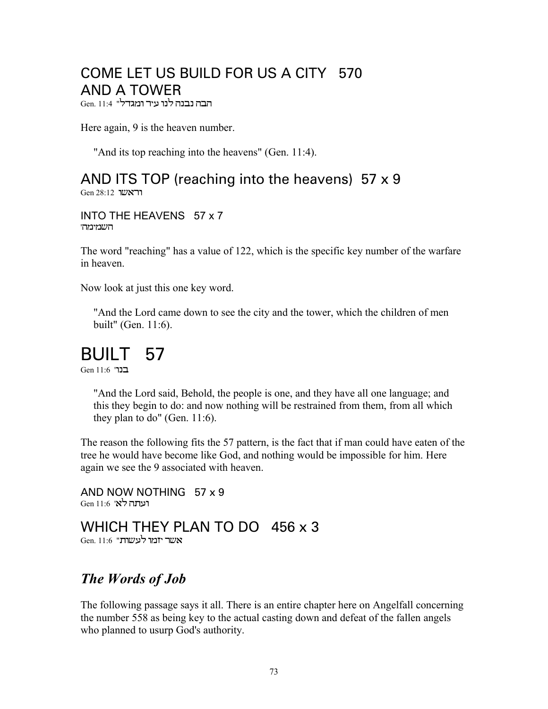## COME LET US BUILD FOR US A CITY 570 **AND A TOWER**

הבה נבנה לנו עיר ומגדל" 11:4 .Gen, 11:4

Here again, 9 is the heaven number.

"And its top reaching into the heavens" (Gen. 11:4).

AND ITS TOP (reaching into the heavens) 57 x 9 **Gen 28:12** Cien

INTO THE HEAVENS 57 x 7 השמימהי

The word "reaching" has a value of 122, which is the specific key number of the warfare in heaven

Now look at just this one key word.

"And the Lord came down to see the city and the tower, which the children of men built" (Gen. 11:6).

## BUILT 57

בנר' Gen 11.6

"And the Lord said, Behold, the people is one, and they have all one language; and this they begin to do: and now nothing will be restrained from them, from all which they plan to do" (Gen.  $11:6$ ).

The reason the following fits the 57 pattern, is the fact that if man could have eaten of the tree he would have become like God, and nothing would be impossible for him. Here again we see the 9 associated with heaven.

AND NOW NOTHING 57 x 9 רעתה לא' 11:6 Gen 11:6

# WHICH THEY PLAN TO DO 456 x 3

Gen. 11:6 "אשר יזמו לעשות

### The Words of Job

The following passage says it all. There is an entire chapter here on Angelfall concerning the number 558 as being key to the actual casting down and defeat of the fallen angels who planned to usurp God's authority.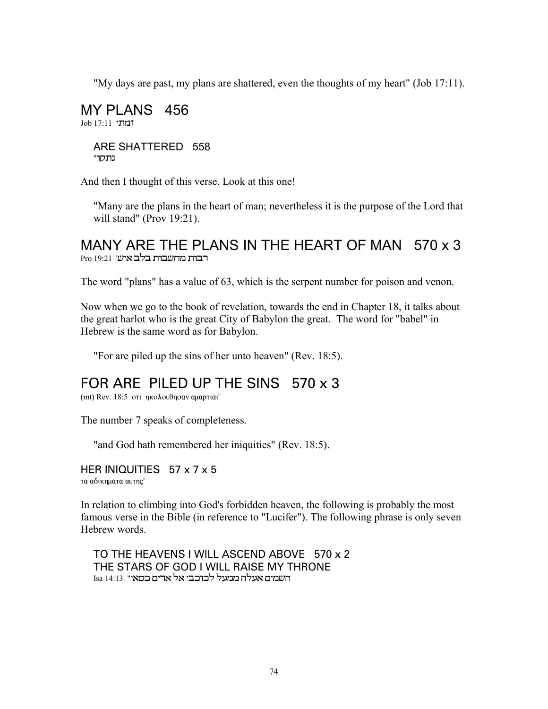"My days are past, my plans are shattered, even the thoughts of my heart" (Job 17:11).

MY PLANS 456 Job 17:11 ARE SHATTERED 558 נתקר"

And then I thought of this verse. Look at this one!

"Many are the plans in the heart of man; nevertheless it is the purpose of the Lord that will stand" (Prov  $19:21$ ).

### MANY ARE THE PLANS IN THE HEART OF MAN 570 x 3 רבות מחשבות בלב איש' 19:21 Pro

The word "plans" has a value of 63, which is the serpent number for poison and venon.

Now when we go to the book of revelation, towards the end in Chapter 18, it talks about the great harlot who is the great City of Babylon the great. The word for "babel" in Hebrew is the same word as for Babylon.

"For are piled up the sins of her unto heaven" (Rev. 18:5).

### FOR ARE PILED UP THE SINS 570 x 3

(mt) Rev. 18:5 οτι ηκολουθησαν αμαρτιαι'

The number 7 speaks of completeness.

"and God hath remembered her iniquities" (Rev. 18:5).

HER INIQUITIES 57 x 7 x 5 τα αδικηματα αυτης'

In relation to climbing into God's forbidden heaven, the following is probably the most famous verse in the Bible (in reference to "Lucifer"). The following phrase is only seven Hebrew words.

TO THE HEAVENS I WILL ASCEND ABOVE 570 x 2 THE STARS OF GOD I WILL RAISE MY THRONE השמים אעלה ממעל לכוכבי אל ארים כסאי" 14:13 Isa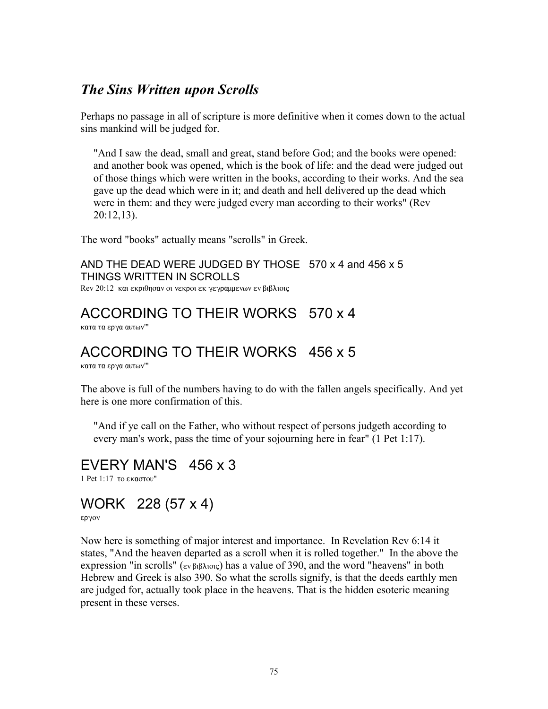### *The Sins Written upon Scrolls*

Perhaps no passage in all of scripture is more definitive when it comes down to the actual sins mankind will be judged for.

"And I saw the dead, small and great, stand before God; and the books were opened: and another book was opened, which is the book of life: and the dead were judged out of those things which were written in the books, according to their works. And the sea gave up the dead which were in it; and death and hell delivered up the dead which were in them: and they were judged every man according to their works" (Rev 20:12,13).

The word "books" actually means "scrolls" in Greek.

AND THE DEAD WERE JUDGED BY THOSE 570 x 4 and 456 x 5 THINGS WRITTEN IN SCROLLS

Rev 20:12 και εκριθησαν οι νεκροι εκ γεγραμμενων εν βιβλιοις

### ACCORDING TO THEIR WORKS 570 x 4

κατα τα ερνα αυτων'"

## ACCORDING TO THEIR WORKS 456 x 5

κατα τα εργα αυτων'"

The above is full of the numbers having to do with the fallen angels specifically. And yet here is one more confirmation of this.

"And if ye call on the Father, who without respect of persons judgeth according to every man's work, pass the time of your sojourning here in fear" (1 Pet 1:17).

EVERY MAN'S 456 x 3

1 Pet  $1:17$  to  $\epsilon$ *kagatou*"

## WORK 228 (57 x 4)

εργον

Now here is something of major interest and importance. In Revelation Rev 6:14 it states, "And the heaven departed as a scroll when it is rolled together." In the above the expression "in scrolls" (εν βιβλιοις) has a value of 390, and the word "heavens" in both Hebrew and Greek is also 390. So what the scrolls signify, is that the deeds earthly men are judged for, actually took place in the heavens. That is the hidden esoteric meaning present in these verses.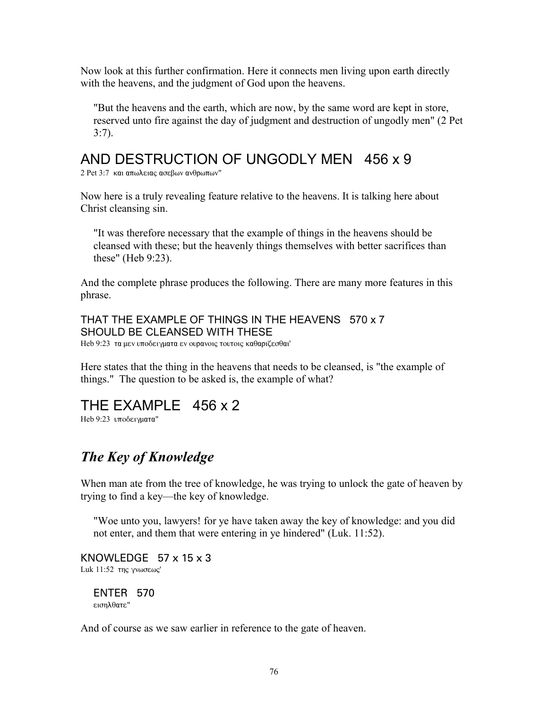Now look at this further confirmation. Here it connects men living upon earth directly with the heavens, and the judgment of God upon the heavens.

"But the heavens and the earth, which are now, by the same word are kept in store, reserved unto fire against the day of judgment and destruction of ungodly men" (2 Pet 3:7).

### AND DESTRUCTION OF UNGODLY MEN 456 x 9

2 Pet 3:7 και απωλειας ασεβων ανθρωπων"

Now here is a truly revealing feature relative to the heavens. It is talking here about Christ cleansing sin.

"It was therefore necessary that the example of things in the heavens should be cleansed with these; but the heavenly things themselves with better sacrifices than these" (Heb 9:23).

And the complete phrase produces the following. There are many more features in this phrase.

THAT THE EXAMPLE OF THINGS IN THE HEAVENS 570 x 7 SHOULD BE CLEANSED WITH THESE Heb 9:23 τα μεν υποδειγματα εν ουρανοις τουτοις καθαριζεσθαι'

Here states that the thing in the heavens that needs to be cleansed, is "the example of things." The question to be asked is, the example of what?

THE EXAMPLE 456 x 2

Heb 9:23 υποδειγματα"

### *The Key of Knowledge*

When man ate from the tree of knowledge, he was trying to unlock the gate of heaven by trying to find a key—the key of knowledge.

"Woe unto you, lawyers! for ye have taken away the key of knowledge: and you did not enter, and them that were entering in ye hindered" (Luk. 11:52).

KNOWLEDGE 57 x 15 x 3 Luk  $11:52$  της γνωσεως'

ENTER 570 εισηλθατε"

And of course as we saw earlier in reference to the gate of heaven.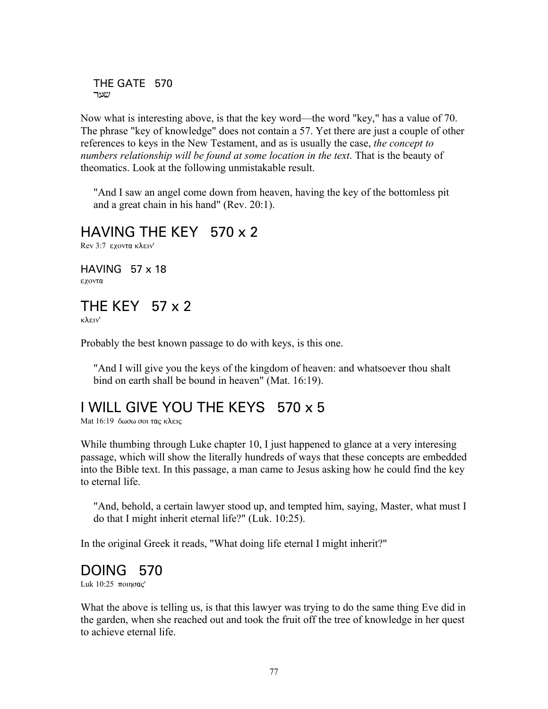```
THE GATE 570
˜'™
```
Now what is interesting above, is that the key word—the word "key," has a value of 70. The phrase "key of knowledge" does not contain a 57. Yet there are just a couple of other references to keys in the New Testament, and as is usually the case, *the concept to numbers relationship will be found at some location in the text*. That is the beauty of theomatics. Look at the following unmistakable result.

"And I saw an angel come down from heaven, having the key of the bottomless pit and a great chain in his hand" (Rev. 20:1).

## HAVING THE KEY 570 x 2

Rev 3:7 εχοντα κλειν'

HAVING 57 x 18 εχοντα

# THE KEY 57 x 2

 $\kappa\lambda\epsilon\bar{\iota}\nu'$ 

Probably the best known passage to do with keys, is this one.

"And I will give you the keys of the kingdom of heaven: and whatsoever thou shalt bind on earth shall be bound in heaven" (Mat. 16:19).

### I WILL GIVE YOU THE KEYS 570 x 5

Mat  $16:19$  δωσω σοι τας κλεις

While thumbing through Luke chapter 10, I just happened to glance at a very interesing passage, which will show the literally hundreds of ways that these concepts are embedded into the Bible text. In this passage, a man came to Jesus asking how he could find the key to eternal life.

"And, behold, a certain lawyer stood up, and tempted him, saying, Master, what must I do that I might inherit eternal life?" (Luk. 10:25).

In the original Greek it reads, "What doing life eternal I might inherit?"

### DOING 570

Luk  $10:25$   $\pi$ oinoac'

What the above is telling us, is that this lawyer was trying to do the same thing Eve did in the garden, when she reached out and took the fruit off the tree of knowledge in her quest to achieve eternal life.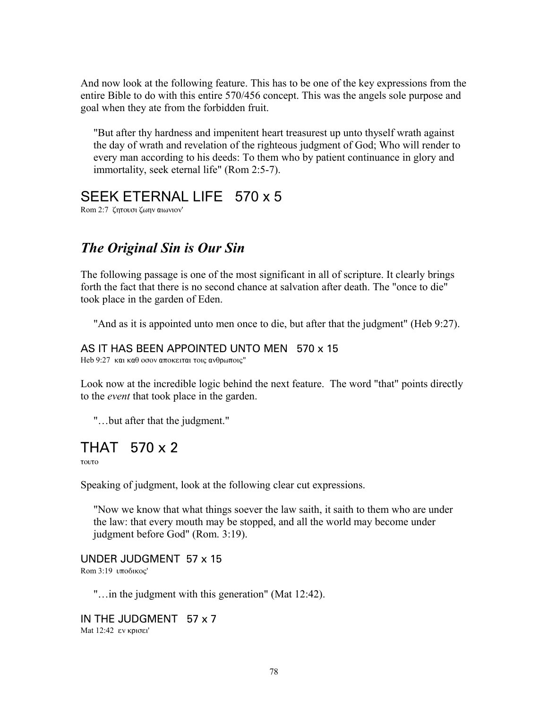And now look at the following feature. This has to be one of the key expressions from the entire Bible to do with this entire 570/456 concept. This was the angels sole purpose and goal when they ate from the forbidden fruit.

"But after thy hardness and impenitent heart treasurest up unto thyself wrath against the day of wrath and revelation of the righteous judgment of God; Who will render to every man according to his deeds: To them who by patient continuance in glory and immortality, seek eternal life" (Rom 2:5-7).

### SEEK ETERNAL LIFE 570 x 5

Rom 2:7 ζητουσι ζωην αιωνιον'

### *The Original Sin is Our Sin*

The following passage is one of the most significant in all of scripture. It clearly brings forth the fact that there is no second chance at salvation after death. The "once to die" took place in the garden of Eden.

"And as it is appointed unto men once to die, but after that the judgment" (Heb 9:27).

#### AS IT HAS BEEN APPOINTED UNTO MEN 570 x 15

Heb 9:27 και καθ οσον αποκειται τοις ανθρωποις"

Look now at the incredible logic behind the next feature. The word "that" points directly to the *event* that took place in the garden.

"…but after that the judgment."

### THAT 570 x 2

τουτο

Speaking of judgment, look at the following clear cut expressions.

"Now we know that what things soever the law saith, it saith to them who are under the law: that every mouth may be stopped, and all the world may become under judgment before God" (Rom. 3:19).

UNDER JUDGMENT 57 x 15 Rom  $3:19$   $\upsilon\pi$ οδικος'

"…in the judgment with this generation" (Mat 12:42).

IN THE JUDGMENT 57 x 7 Mat 12:42 εν κρισει'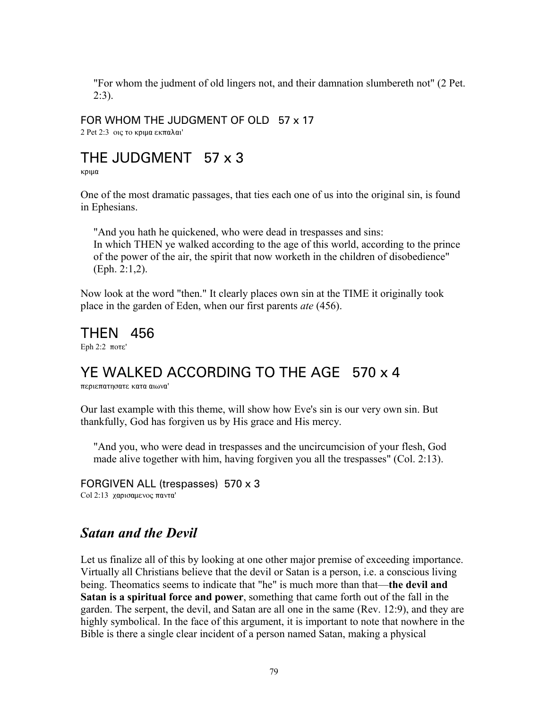"For whom the judment of old lingers not, and their damnation slumbereth not" (2 Pet. 2:3).

#### FOR WHOM THE JUDGMENT OF OLD 57 x 17

 $2$  Pet  $2:3$  oiς το κριμα εκπαλαι'

### THE JUDGMENT 57 x 3

κριμα

One of the most dramatic passages, that ties each one of us into the original sin, is found in Ephesians.

"And you hath he quickened, who were dead in trespasses and sins: In which THEN ye walked according to the age of this world, according to the prince of the power of the air, the spirit that now worketh in the children of disobedience" (Eph. 2:1,2).

Now look at the word "then." It clearly places own sin at the TIME it originally took place in the garden of Eden, when our first parents *ate* (456).

# THEN 456

Eph  $2:2$   $\pi$ o $\tau$ e'

## YE WALKED ACCORDING TO THE AGE 570 x 4

περιεπατησατε κατα αιωνα'

Our last example with this theme, will show how Eve's sin is our very own sin. But thankfully, God has forgiven us by His grace and His mercy.

"And you, who were dead in trespasses and the uncircumcision of your flesh, God made alive together with him, having forgiven you all the trespasses" (Col. 2:13).

#### FORGIVEN ALL (trespasses) 570 x 3 Col 2:13 χαρισαμενος παντα'

### *Satan and the Devil*

Let us finalize all of this by looking at one other major premise of exceeding importance. Virtually all Christians believe that the devil or Satan is a person, i.e. a conscious living being. Theomatics seems to indicate that "he" is much more than that—**the devil and Satan is a spiritual force and power**, something that came forth out of the fall in the garden. The serpent, the devil, and Satan are all one in the same (Rev. 12:9), and they are highly symbolical. In the face of this argument, it is important to note that nowhere in the Bible is there a single clear incident of a person named Satan, making a physical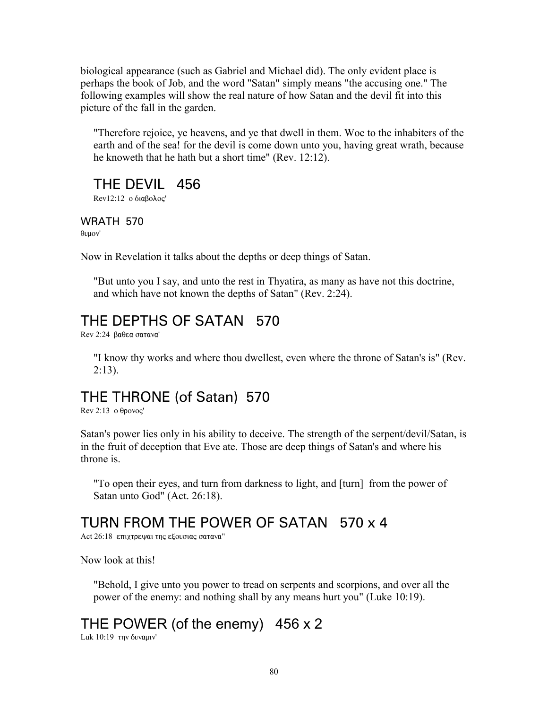biological appearance (such as Gabriel and Michael did). The only evident place is perhaps the book of Job, and the word "Satan" simply means "the accusing one." The following examples will show the real nature of how Satan and the devil fit into this picture of the fall in the garden.

"Therefore rejoice, ye heavens, and ye that dwell in them. Woe to the inhabiters of the earth and of the sea! for the devil is come down unto you, having great wrath, because he knoweth that he hath but a short time" (Rev. 12:12).

### THE DEVIL 456

 $Rev12:12$  ο διαβολος'

WRATH 570  $\theta$ <sub>U</sub>µov'

Now in Revelation it talks about the depths or deep things of Satan.

"But unto you I say, and unto the rest in Thyatira, as many as have not this doctrine, and which have not known the depths of Satan" (Rev. 2:24).

## THE DEPTHS OF SATAN 570

 $Rev$  2:24  $Baθ$ εα σατανα'

"I know thy works and where thou dwellest, even where the throne of Satan's is" (Rev.  $2:13$ ).

### THE THRONE (of Satan) 570

Rev 2:13  $o \theta p o v o c'$ 

Satan's power lies only in his ability to deceive. The strength of the serpent/devil/Satan, is in the fruit of deception that Eve ate. Those are deep things of Satan's and where his throne is.

"To open their eyes, and turn from darkness to light, and [turn] from the power of Satan unto God" (Act. 26:18).

## TURN FROM THE POWER OF SATAN 570 x 4

Act 26:18 επιχτρεψαι της εξουσιας σατανα"

Now look at this!

"Behold, I give unto you power to tread on serpents and scorpions, and over all the power of the enemy: and nothing shall by any means hurt you" (Luke 10:19).

## THE POWER (of the enemy) 456 x 2

Luk 10:19 την δυναμιν'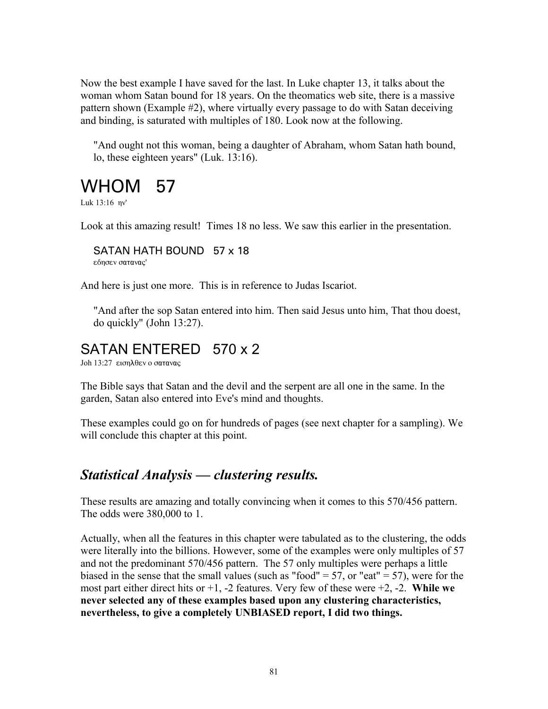Now the best example I have saved for the last. In Luke chapter 13, it talks about the woman whom Satan bound for 18 years. On the theomatics web site, there is a massive pattern shown (Example #2), where virtually every passage to do with Satan deceiving and binding, is saturated with multiples of 180. Look now at the following.

"And ought not this woman, being a daughter of Abraham, whom Satan hath bound, lo, these eighteen years" (Luk. 13:16).

# WHOM 57

Luk  $13:16$   $\eta v'$ 

Look at this amazing result! Times 18 no less. We saw this earlier in the presentation.

SATAN HATH BOUND 57 x 18 εδησεν σατανας'

And here is just one more. This is in reference to Judas Iscariot.

"And after the sop Satan entered into him. Then said Jesus unto him, That thou doest, do quickly" (John 13:27).

### SATAN ENTERED 570 x 2

Joh 13:27 εισηλθεν ο σατανας

The Bible says that Satan and the devil and the serpent are all one in the same. In the garden, Satan also entered into Eve's mind and thoughts.

These examples could go on for hundreds of pages (see next chapter for a sampling). We will conclude this chapter at this point.

### *Statistical Analysis — clustering results.*

These results are amazing and totally convincing when it comes to this 570/456 pattern. The odds were 380,000 to 1.

Actually, when all the features in this chapter were tabulated as to the clustering, the odds were literally into the billions. However, some of the examples were only multiples of 57 and not the predominant 570/456 pattern. The 57 only multiples were perhaps a little biased in the sense that the small values (such as "food" = 57, or "eat" = 57), were for the most part either direct hits or +1, -2 features. Very few of these were +2, -2. **While we never selected any of these examples based upon any clustering characteristics, nevertheless, to give a completely UNBIASED report, I did two things.**